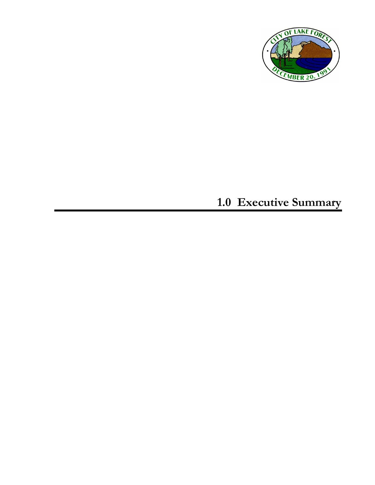

# **1.0 Executive Summary**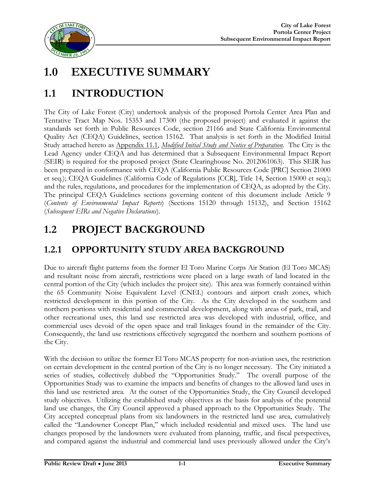

# **1.0 EXECUTIVE SUMMARY**

## **1.1 INTRODUCTION**

The City of Lake Forest (City) undertook analysis of the proposed Portola Center Area Plan and Tentative Tract Map Nos. 15353 and 17300 (the proposed project) and evaluated it against the standards set forth in Public Resources Code, section 21166 and State California Environmental Quality Act (CEQA) Guidelines, section 15162. That analysis is set forth in the Modified Initial Study attached hereto as Appendix 11.1, *Modified Initial Study and Notice of Preparation*. The City is the Lead Agency under CEQA and has determined that a Subsequent Environmental Impact Report (SEIR) is required for the proposed project (State Clearinghouse No. 2012061063). This SEIR has been prepared in conformance with CEQA (California Public Resources Code [PRC] Section 21000 et seq.); CEQA Guidelines (California Code of Regulations [CCR], Title 14, Section 15000 et seq.); and the rules, regulations, and procedures for the implementation of CEQA, as adopted by the City. The principal CEQA Guidelines sections governing content of this document include Article 9 (*Contents of Environmental Impact Reports*) (Sections 15120 through 15132), and Section 15162 (*Subsequent EIRs and Negative Declarations*).

## **1.2 PROJECT BACKGROUND**

## **1.2.1 OPPORTUNITY STUDY AREA BACKGROUND**

Due to aircraft flight patterns from the former El Toro Marine Corps Air Station (El Toro MCAS) and resultant noise from aircraft, restrictions were placed on a large swath of land located in the central portion of the City (which includes the project site). This area was formerly contained within the 65 Community Noise Equivalent Level (CNEL) contours and airport crash zones, which restricted development in this portion of the City. As the City developed in the southern and northern portions with residential and commercial development, along with areas of park, trail, and other recreational uses, this land use restricted area was developed with industrial, office, and commercial uses devoid of the open space and trail linkages found in the remainder of the City. Consequently, the land use restrictions effectively segregated the northern and southern portions of the City.

With the decision to utilize the former El Toro MCAS property for non-aviation uses, the restriction on certain development in the central portion of the City is no longer necessary. The City initiated a series of studies, collectively dubbed the "Opportunities Study." The overall purpose of the Opportunities Study was to examine the impacts and benefits of changes to the allowed land uses in this land use restricted area. At the outset of the Opportunities Study, the City Council developed study objectives. Utilizing the established study objectives as the basis for analysis of the potential land use changes, the City Council approved a phased approach to the Opportunities Study. The City accepted conceptual plans from six landowners in the restricted land use area, cumulatively called the "Landowner Concept Plan," which included residential and mixed uses. The land use changes proposed by the landowners were evaluated from planning, traffic, and fiscal perspectives, and compared against the industrial and commercial land uses previously allowed under the City's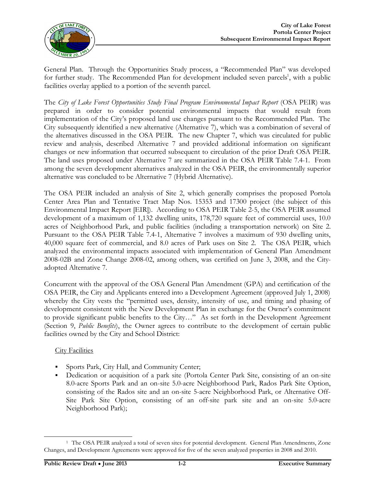

General Plan. Through the Opportunities Study process, a "Recommended Plan" was developed for further study. The Recommended Plan for development included seven parcels<sup>1</sup>, with a public facilities overlay applied to a portion of the seventh parcel.

The *City of Lake Forest Opportunities Study Final Program Environmental Impact Report* (OSA PEIR) was prepared in order to consider potential environmental impacts that would result from implementation of the City's proposed land use changes pursuant to the Recommended Plan. The City subsequently identified a new alternative (Alternative 7), which was a combination of several of the alternatives discussed in the OSA PEIR. The new Chapter 7, which was circulated for public review and analysis, described Alternative 7 and provided additional information on significant changes or new information that occurred subsequent to circulation of the prior Draft OSA PEIR. The land uses proposed under Alternative 7 are summarized in the OSA PEIR Table 7.4-1. From among the seven development alternatives analyzed in the OSA PEIR, the environmentally superior alternative was concluded to be Alternative 7 (Hybrid Alternative).

The OSA PEIR included an analysis of Site 2, which generally comprises the proposed Portola Center Area Plan and Tentative Tract Map Nos. 15353 and 17300 project (the subject of this Environmental Impact Report [EIR]). According to OSA PEIR Table 2-5, the OSA PEIR assumed development of a maximum of 1,132 dwelling units, 178,720 square feet of commercial uses, 10.0 acres of Neighborhood Park, and public facilities (including a transportation network) on Site 2. Pursuant to the OSA PEIR Table 7.4-1, Alternative 7 involves a maximum of 930 dwelling units, 40,000 square feet of commercial, and 8.0 acres of Park uses on Site 2. The OSA PEIR, which analyzed the environmental impacts associated with implementation of General Plan Amendment 2008-02B and Zone Change 2008-02, among others, was certified on June 3, 2008, and the Cityadopted Alternative 7.

Concurrent with the approval of the OSA General Plan Amendment (GPA) and certification of the OSA PEIR, the City and Applicants entered into a Development Agreement (approved July 1, 2008) whereby the City vests the "permitted uses, density, intensity of use, and timing and phasing of development consistent with the New Development Plan in exchange for the Owner's commitment to provide significant public benefits to the City…" As set forth in the Development Agreement (Section 9, *Public Benefits*), the Owner agrees to contribute to the development of certain public facilities owned by the City and School District:

#### **City Facilities**

- **Sports Park, City Hall, and Community Center;**
- Dedication or acquisition of a park site (Portola Center Park Site, consisting of an on-site 8.0-acre Sports Park and an on-site 5.0-acre Neighborhood Park, Rados Park Site Option, consisting of the Rados site and an on-site 5-acre Neighborhood Park, or Alternative Off-Site Park Site Option, consisting of an off-site park site and an on-site 5.0-acre Neighborhood Park);

 $\overline{a}$ <sup>1</sup> The OSA PEIR analyzed a total of seven sites for potential development. General Plan Amendments, Zone Changes, and Development Agreements were approved for five of the seven analyzed properties in 2008 and 2010.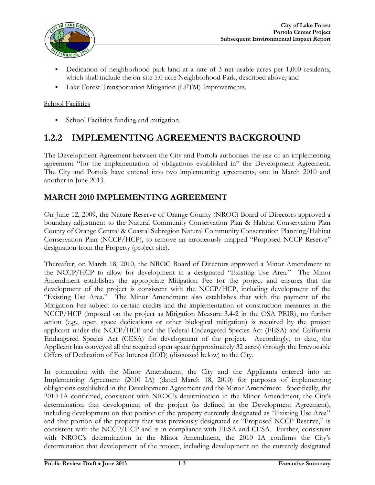

- Dedication of neighborhood park land at a rate of 3 net usable acres per 1,000 residents, which shall include the on-site 5.0-acre Neighborhood Park, described above; and
- Lake Forest Transportation Mitigation (LFTM) Improvements.

#### School Facilities

• School Facilities funding and mitigation.

## **1.2.2 IMPLEMENTING AGREEMENTS BACKGROUND**

The Development Agreement between the City and Portola authorizes the use of an implementing agreement "for the implementation of obligations established in" the Development Agreement. The City and Portola have entered into two implementing agreements, one in March 2010 and another in June 2013.

### **MARCH 2010 IMPLEMENTING AGREEMENT**

On June 12, 2009, the Nature Reserve of Orange County (NROC) Board of Directors approved a boundary adjustment to the Natural Community Conservation Plan & Habitat Conservation Plan County of Orange Central & Coastal Subregion Natural Community Conservation Planning/Habitat Conservation Plan (NCCP/HCP), to remove an erroneously mapped "Proposed NCCP Reserve" designation from the Property (project site).

Thereafter, on March 18, 2010, the NROC Board of Directors approved a Minor Amendment to the NCCP/HCP to allow for development in a designated "Existing Use Area." The Minor Amendment establishes the appropriate Mitigation Fee for the project and ensures that the development of the project is consistent with the NCCP/HCP, including development of the "Existing Use Area." The Minor Amendment also establishes that with the payment of the Mitigation Fee subject to certain credits and the implementation of construction measures in the NCCP/HCP (imposed on the project as Mitigation Measure 3.4-2 in the OSA PEIR), no further action (e.g., open space dedications or other biological mitigation) is required by the project applicant under the NCCP/HCP and the Federal Endangered Species Act (FESA) and California Endangered Species Act (CESA) for development of the project. Accordingly, to date, the Applicant has conveyed all the required open space (approximately 32 acres) through the Irrevocable Offers of Dedication of Fee Interest (IOD) (discussed below) to the City.

In connection with the Minor Amendment, the City and the Applicants entered into an Implementing Agreement (2010 IA) (dated March 18, 2010) for purposes of implementing obligations established in the Development Agreement and the Minor Amendment. Specifically, the 2010 IA confirmed, consistent with NROC's determination in the Minor Amendment, the City's determination that development of the project (as defined in the Development Agreement), including development on that portion of the property currently designated as "Existing Use Area" and that portion of the property that was previously designated as "Proposed NCCP Reserve," is consistent with the NCCP/HCP and is in compliance with FESA and CESA. Further, consistent with NROC's determination in the Minor Amendment, the 2010 IA confirms the City's determination that development of the project, including development on the currently designated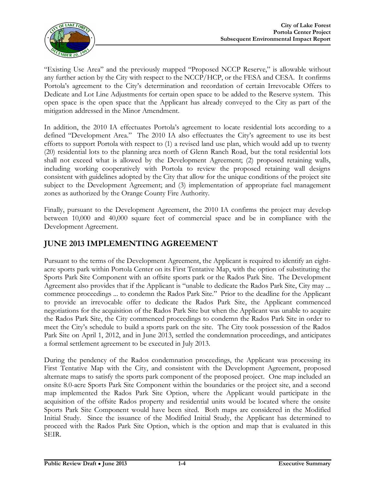

"Existing Use Area" and the previously mapped "Proposed NCCP Reserve," is allowable without any further action by the City with respect to the NCCP/HCP, or the FESA and CESA. It confirms Portola's agreement to the City's determination and recordation of certain Irrevocable Offers to Dedicate and Lot Line Adjustments for certain open space to be added to the Reserve system. This open space is the open space that the Applicant has already conveyed to the City as part of the mitigation addressed in the Minor Amendment.

In addition, the 2010 IA effectuates Portola's agreement to locate residential lots according to a defined "Development Area." The 2010 IA also effectuates the City's agreement to use its best efforts to support Portola with respect to (1) a revised land use plan, which would add up to twenty (20) residential lots to the planning area north of Glenn Ranch Road, but the total residential lots shall not exceed what is allowed by the Development Agreement; (2) proposed retaining walls, including working cooperatively with Portola to review the proposed retaining wall designs consistent with guidelines adopted by the City that allow for the unique conditions of the project site subject to the Development Agreement; and (3) implementation of appropriate fuel management zones as authorized by the Orange County Fire Authority.

Finally, pursuant to the Development Agreement, the 2010 IA confirms the project may develop between 10,000 and 40,000 square feet of commercial space and be in compliance with the Development Agreement.

### **JUNE 2013 IMPLEMENTING AGREEMENT**

Pursuant to the terms of the Development Agreement, the Applicant is required to identify an eightacre sports park within Portola Center on its First Tentative Map, with the option of substituting the Sports Park Site Component with an offsite sports park or the Rados Park Site. The Development Agreement also provides that if the Applicant is "unable to dedicate the Rados Park Site, City may ... commence proceedings ... to condemn the Rados Park Site." Prior to the deadline for the Applicant to provide an irrevocable offer to dedicate the Rados Park Site, the Applicant commenced negotiations for the acquisition of the Rados Park Site but when the Applicant was unable to acquire the Rados Park Site, the City commenced proceedings to condemn the Rados Park Site in order to meet the City's schedule to build a sports park on the site. The City took possession of the Rados Park Site on April 1, 2012, and in June 2013, settled the condemnation proceedings, and anticipates a formal settlement agreement to be executed in July 2013.

During the pendency of the Rados condemnation proceedings, the Applicant was processing its First Tentative Map with the City, and consistent with the Development Agreement, proposed alternate maps to satisfy the sports park component of the proposed project. One map included an onsite 8.0-acre Sports Park Site Component within the boundaries or the project site, and a second map implemented the Rados Park Site Option, where the Applicant would participate in the acquisition of the offsite Rados property and residential units would be located where the onsite Sports Park Site Component would have been sited. Both maps are considered in the Modified Initial Study. Since the issuance of the Modified Initial Study, the Applicant has determined to proceed with the Rados Park Site Option, which is the option and map that is evaluated in this SEIR.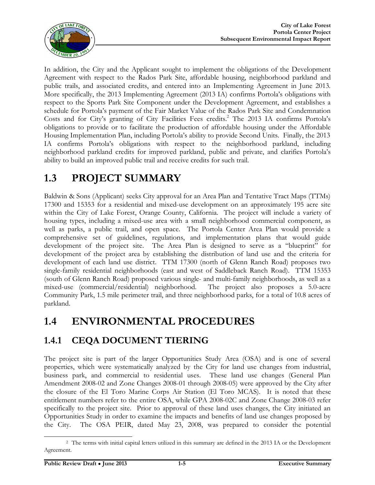

In addition, the City and the Applicant sought to implement the obligations of the Development Agreement with respect to the Rados Park Site, affordable housing, neighborhood parkland and public trails, and associated credits, and entered into an Implementing Agreement in June 2013. More specifically, the 2013 Implementing Agreement (2013 IA) confirms Portola's obligations with respect to the Sports Park Site Component under the Development Agreement, and establishes a schedule for Portola's payment of the Fair Market Value of the Rados Park Site and Condemnation Costs and for City's granting of City Facilities Fees credits.<sup>2</sup> The 2013 IA confirms Portola's obligations to provide or to facilitate the production of affordable housing under the Affordable Housing Implementation Plan, including Portola's ability to provide Second Units. Finally, the 2013 IA confirms Portola's obligations with respect to the neighborhood parkland, including neighborhood parkland credits for improved parkland, public and private, and clarifies Portola's ability to build an improved public trail and receive credits for such trail.

## **1.3 PROJECT SUMMARY**

Baldwin & Sons (Applicant) seeks City approval for an Area Plan and Tentative Tract Maps (TTMs) 17300 and 15353 for a residential and mixed-use development on an approximately 195 acre site within the City of Lake Forest, Orange County, California. The project will include a variety of housing types, including a mixed-use area with a small neighborhood commercial component, as well as parks, a public trail, and open space. The Portola Center Area Plan would provide a comprehensive set of guidelines, regulations, and implementation plans that would guide development of the project site. The Area Plan is designed to serve as a "blueprint" for development of the project area by establishing the distribution of land use and the criteria for development of each land use district. TTM 17300 (north of Glenn Ranch Road) proposes two single-family residential neighborhoods (east and west of Saddleback Ranch Road). TTM 15353 (south of Glenn Ranch Road) proposed various single- and multi-family neighborhoods, as well as a mixed-use (commercial/residential) neighborhood. The project also proposes a 5.0-acre Community Park, 1.5 mile perimeter trail, and three neighborhood parks, for a total of 10.8 acres of parkland.

## **1.4 ENVIRONMENTAL PROCEDURES**

## **1.4.1 CEQA DOCUMENT TIERING**

The project site is part of the larger Opportunities Study Area (OSA) and is one of several properties, which were systematically analyzed by the City for land use changes from industrial, business park, and commercial to residential uses. These land use changes (General Plan Amendment 2008-02 and Zone Changes 2008-01 through 2008-05) were approved by the City after the closure of the El Toro Marine Corps Air Station (El Toro MCAS). It is noted that these entitlement numbers refer to the entire OSA, while GPA 2008-02C and Zone Change 2008-03 refer specifically to the project site. Prior to approval of these land uses changes, the City initiated an Opportunities Study in order to examine the impacts and benefits of land use changes proposed by the City. The OSA PEIR, dated May 23, 2008, was prepared to consider the potential

 $\overline{a}$ 

<sup>2</sup> The terms with initial capital letters utilized in this summary are defined in the 2013 IA or the Development Agreement.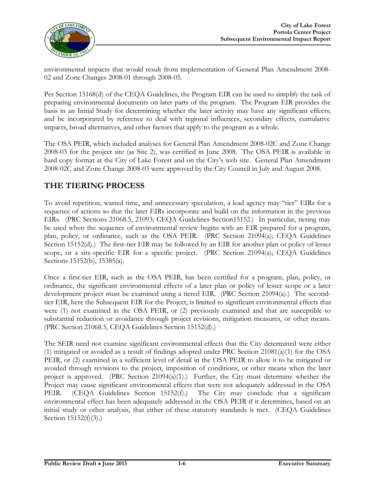

environmental impacts that would result from implementation of General Plan Amendment 2008- 02 and Zone Changes 2008-01 through 2008-05.

Per Section 15168(d) of the CEQA Guidelines, the Program EIR can be used to simplify the task of preparing environmental documents on later parts of the program. The Program EIR provides the basis in an Initial Study for determining whether the later activity may have any significant effects; and be incorporated by reference to deal with regional influences, secondary effects, cumulative impacts, broad alternatives, and other factors that apply to the program as a whole.

The OSA PEIR, which included analyses for General Plan Amendment 2008-02C and Zone Change 2008-03 for the project site (as Site 2), was certified in June 2008. The OSA PEIR is available in hard copy format at the City of Lake Forest and on the City's web site. General Plan Amendment 2008-02C and Zone Change 2008-03 were approved by the City Council in July and August 2008.

### **THE TIERING PROCESS**

To avoid repetition, wasted time, and unnecessary speculation, a lead agency may "tier" EIRs for a sequence of actions so that the later EIRs incorporate and build on the information in the previous EIRs. (PRC Sections 21068.5, 21093; CEQA Guidelines Section15152.) In particular, tiering may be used when the sequence of environmental review begins with an EIR prepared for a program, plan, policy, or ordinance, such as the OSA PEIR. (PRC Section 21094(a); CEQA Guidelines Section 15152(d).) The first-tier EIR may be followed by an EIR for another plan or policy of lesser scope, or a site-specific EIR for a specific project. (PRC Section 21094(a); CEQA Guidelines Sections 15152(b), 15385(a).

Once a first-tier EIR, such as the OSA PEIR, has been certified for a program, plan, policy, or ordinance, the significant environmental effects of a later plan or policy of lesser scope or a later development project must be examined using a tiered EIR. (PRC Section 21094(a).) The secondtier EIR, here the Subsequent EIR for the Project, is limited to significant environmental effects that were (1) not examined in the OSA PEIR, or (2) previously examined and that are susceptible to substantial reduction or avoidance through project revisions, mitigation measures, or other means. (PRC Section 21068.5, CEQA Guidelines Section 15152(d).)

The SEIR need not examine significant environmental effects that the City determined were either (1) mitigated or avoided as a result of findings adopted under PRC Section  $21081(a)(1)$  for the OSA PEIR, or (2) examined in a sufficient level of detail in the OSA PEIR to allow it to be mitigated or avoided through revisions to the project, imposition of conditions, or other means when the later project is approved. (PRC Section  $21094(a)(1)$ .) Further, the City must determine whether the Project may cause significant environmental effects that were not adequately addressed in the OSA PEIR. (CEQA Guidelines Section 15152(f).) The City may conclude that a significant environmental effect has been adequately addressed in the OSA PEIR if it determines, based on an initial study or other analysis, that either of these statutory standards is met. (CEQA Guidelines Section 15152(f)(3).)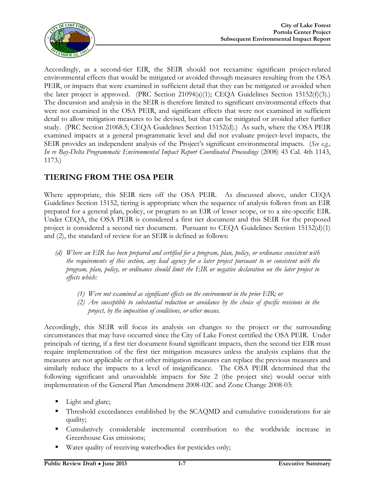

Accordingly, as a second-tier EIR, the SEIR should not reexamine significant project-related environmental effects that would be mitigated or avoided through measures resulting from the OSA PEIR, or impacts that were examined in sufficient detail that they can be mitigated or avoided when the later project is approved. (PRC Section 21094(a)(1); CEQA Guidelines Section 15152(f)(3).) The discussion and analysis in the SEIR is therefore limited to significant environmental effects that were not examined in the OSA PEIR, and significant effects that were not examined in sufficient detail to allow mitigation measures to be devised, but that can be mitigated or avoided after further study. (PRC Section 21068.5; CEQA Guidelines Section 15152(d).) As such, where the OSA PEIR examined impacts at a general programmatic level and did not evaluate project-level impacts, the SEIR provides an independent analysis of the Project's significant environmental impacts. (*See e.g., In re Bay-Delta Programmatic Environmental Impact Report Coordinated Proceedings* (2008) 43 Cal. 4th 1143, 1173.)

### **TIERING FROM THE OSA PEIR**

Where appropriate, this SEIR tiers off the OSA PEIR. As discussed above, under CEQA Guidelines Section 15152, tiering is appropriate when the sequence of analysis follows from an EIR prepared for a general plan, policy, or program to an EIR of lesser scope, or to a site-specific EIR. Under CEQA, the OSA PEIR is considered a first tier document and this SEIR for the proposed project is considered a second tier document. Pursuant to CEQA Guidelines Section  $15152(d)(1)$ and (2), the standard of review for an SEIR is defined as follows:

- *(d) Where an EIR has been prepared and certified for a program, plan, policy, or ordinance consistent with the requirements of this section, any lead agency for a later project pursuant to or consistent with the program, plan, policy, or ordinance should limit the EIR or negative declaration on the later project to effects which:*
	- *(1) Were not examined as significant effects on the environment in the prior EIR; or*
	- *(2) Are susceptible to substantial reduction or avoidance by the choice of specific revisions in the project, by the imposition of conditions, or other means.*

Accordingly, this SEIR will focus its analysis on changes to the project or the surrounding circumstances that may have occurred since the City of Lake Forest certified the OSA PEIR. Under principals of tiering, if a first tier document found significant impacts, then the second tier EIR must require implementation of the first tier mitigation measures unless the analysis explains that the measures are not applicable or that other mitigation measures can replace the previous measures and similarly reduce the impacts to a level of insignificance. The OSA PEIR determined that the following significant and unavoidable impacts for Site 2 (the project site) would occur with implementation of the General Plan Amendment 2008-02C and Zone Change 2008-03:

- Light and glare;
- Threshold exceedances established by the SCAQMD and cumulative considerations for air quality;
- Cumulatively considerable incremental contribution to the worldwide increase in Greenhouse Gas emissions;
- Water quality of receiving waterbodies for pesticides only;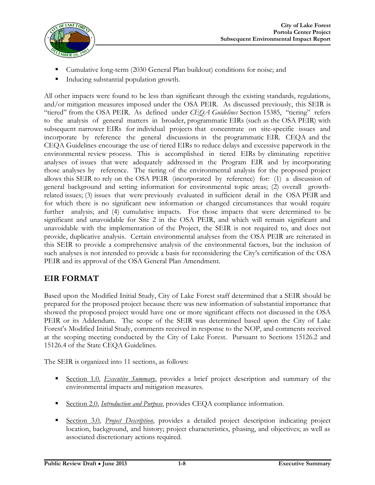

- Cumulative long-term (2030 General Plan buildout) conditions for noise; and
- Inducing substantial population growth.

All other impacts were found to be less than significant through the existing standards, regulations, and/or mitigation measures imposed under the OSA PEIR. As discussed previously, this SEIR is "tiered" from the OSA PEIR. As defined under *CEQA Guidelines* Section 15385, "tiering" refers to the analysis of general matters in broader, programmatic EIRs (such as the OSA PEIR) with subsequent narrower EIRs for individual projects that concentrate on site-specific issues and incorporate by reference the general discussions in the programmatic EIR. CEQA and the CEQA Guidelines encourage the use of tiered EIRs to reduce delays and excessive paperwork in the environmental review process. This is accomplished in tiered EIRs by eliminating repetitive analyses of issues that were adequately addressed in the Program EIR and by incorporating those analyses by reference. The tiering of the environmental analysis for the proposed project allows this SEIR to rely on the OSA PEIR (incorporated by reference) for: (1) a discussion of general background and setting information for environmental topic areas; (2) overall growthrelated issues; (3) issues that were previously evaluated in sufficient detail in the OSA PEIR and for which there is no significant new information or changed circumstances that would require further analysis; and (4) cumulative impacts. For those impacts that were determined to be significant and unavoidable for Site 2 in the OSA PEIR, and which will remain significant and unavoidable with the implementation of the Project, the SEIR is not required to, and does not provide, duplicative analysis. Certain environmental analyses from the OSA PEIR are reiterated in this SEIR to provide a comprehensive analysis of the environmental factors, but the inclusion of such analyses is not intended to provide a basis for reconsidering the City's certification of the OSA PEIR and its approval of the OSA General Plan Amendment.

### **EIR FORMAT**

Based upon the Modified Initial Study, City of Lake Forest staff determined that a SEIR should be prepared for the proposed project because there was new information of substantial importance that showed the proposed project would have one or more significant effects not discussed in the OSA PEIR or its Addendum. The scope of the SEIR was determined based upon the City of Lake Forest's Modified Initial Study, comments received in response to the NOP, and comments received at the scoping meeting conducted by the City of Lake Forest. Pursuant to Sections 15126.2 and 15126.4 of the State CEQA Guidelines.

The SEIR is organized into 11 sections, as follows:

- Section 1.0, *Executive Summary*, provides a brief project description and summary of the environmental impacts and mitigation measures.
- Section 2.0, *Introduction and Purpose*, provides CEQA compliance information.
- Section 3.0, *Project Description*, provides a detailed project description indicating project location, background, and history; project characteristics, phasing, and objectives; as well as associated discretionary actions required.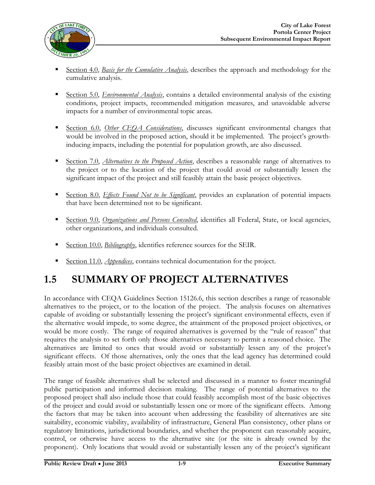

- Section 4.0, *Basis for the Cumulative Analysis*, describes the approach and methodology for the cumulative analysis.
- Section 5.0, *Environmental Analysis*, contains a detailed environmental analysis of the existing conditions, project impacts, recommended mitigation measures, and unavoidable adverse impacts for a number of environmental topic areas.
- Section 6.0, *Other CEQA Considerations*, discusses significant environmental changes that would be involved in the proposed action, should it be implemented. The project's growthinducing impacts, including the potential for population growth, are also discussed.
- Section 7.0, *Alternatives to the Proposed Action*, describes a reasonable range of alternatives to the project or to the location of the project that could avoid or substantially lessen the significant impact of the project and still feasibly attain the basic project objectives.
- Section 8.0, *Effects Found Not to be Significant*, provides an explanation of potential impacts that have been determined not to be significant.
- Section 9.0, *Organizations and Persons Consulted*, identifies all Federal, State, or local agencies, other organizations, and individuals consulted.
- Section 10.0, *Bibliography*, identifies reference sources for the SEIR.
- Section 11.0, *Appendices*, contains technical documentation for the project.

## **1.5 SUMMARY OF PROJECT ALTERNATIVES**

In accordance with CEQA Guidelines Section 15126.6, this section describes a range of reasonable alternatives to the project, or to the location of the project. The analysis focuses on alternatives capable of avoiding or substantially lessening the project's significant environmental effects, even if the alternative would impede, to some degree, the attainment of the proposed project objectives, or would be more costly. The range of required alternatives is governed by the "rule of reason" that requires the analysis to set forth only those alternatives necessary to permit a reasoned choice. The alternatives are limited to ones that would avoid or substantially lessen any of the project's significant effects. Of those alternatives, only the ones that the lead agency has determined could feasibly attain most of the basic project objectives are examined in detail.

The range of feasible alternatives shall be selected and discussed in a manner to foster meaningful public participation and informed decision making. The range of potential alternatives to the proposed project shall also include those that could feasibly accomplish most of the basic objectives of the project and could avoid or substantially lessen one or more of the significant effects. Among the factors that may be taken into account when addressing the feasibility of alternatives are site suitability, economic viability, availability of infrastructure, General Plan consistency, other plans or regulatory limitations, jurisdictional boundaries, and whether the proponent can reasonably acquire, control, or otherwise have access to the alternative site (or the site is already owned by the proponent). Only locations that would avoid or substantially lessen any of the project's significant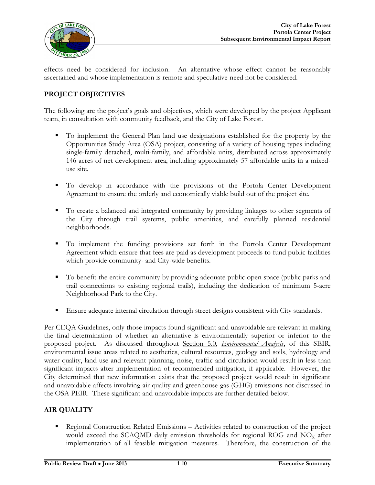

effects need be considered for inclusion. An alternative whose effect cannot be reasonably ascertained and whose implementation is remote and speculative need not be considered.

#### **PROJECT OBJECTIVES**

The following are the project's goals and objectives, which were developed by the project Applicant team, in consultation with community feedback, and the City of Lake Forest.

- To implement the General Plan land use designations established for the property by the Opportunities Study Area (OSA) project, consisting of a variety of housing types including single-family detached, multi-family, and affordable units, distributed across approximately 146 acres of net development area, including approximately 57 affordable units in a mixeduse site.
- To develop in accordance with the provisions of the Portola Center Development Agreement to ensure the orderly and economically viable build out of the project site.
- To create a balanced and integrated community by providing linkages to other segments of the City through trail systems, public amenities, and carefully planned residential neighborhoods.
- To implement the funding provisions set forth in the Portola Center Development Agreement which ensure that fees are paid as development proceeds to fund public facilities which provide community- and City-wide benefits.
- To benefit the entire community by providing adequate public open space (public parks and trail connections to existing regional trails), including the dedication of minimum 5-acre Neighborhood Park to the City.
- **Ensure adequate internal circulation through street designs consistent with City standards.**

Per CEQA Guidelines, only those impacts found significant and unavoidable are relevant in making the final determination of whether an alternative is environmentally superior or inferior to the proposed project. As discussed throughout Section 5.0, *Environmental Analysis*, of this SEIR, environmental issue areas related to aesthetics, cultural resources, geology and soils, hydrology and water quality, land use and relevant planning, noise, traffic and circulation would result in less than significant impacts after implementation of recommended mitigation, if applicable. However, the City determined that new information exists that the proposed project would result in significant and unavoidable affects involving air quality and greenhouse gas (GHG) emissions not discussed in the OSA PEIR. These significant and unavoidable impacts are further detailed below.

#### **AIR QUALITY**

 Regional Construction Related Emissions – Activities related to construction of the project would exceed the SCAQMD daily emission thresholds for regional ROG and  $NO<sub>x</sub>$  after implementation of all feasible mitigation measures. Therefore, the construction of the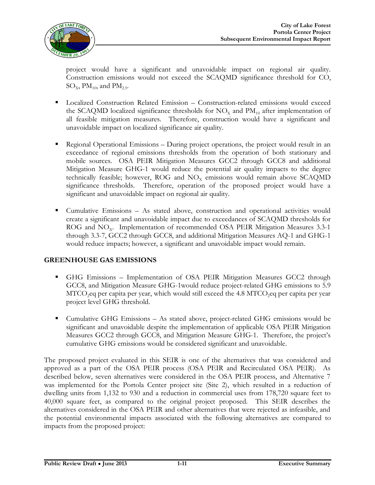

project would have a significant and unavoidable impact on regional air quality. Construction emissions would not exceed the SCAQMD significance threshold for CO,  $\text{SO}_{\text{X}}$ , PM<sub>10</sub>, and PM<sub>2.5</sub>.

- Localized Construction Related Emission Construction-related emissions would exceed the SCAQMD localized significance thresholds for  $NO<sub>x</sub>$  and  $PM<sub>10</sub>$  after implementation of all feasible mitigation measures. Therefore, construction would have a significant and unavoidable impact on localized significance air quality.
- Regional Operational Emissions During project operations, the project would result in an exceedance of regional emissions thresholds from the operation of both stationary and mobile sources. OSA PEIR Mitigation Measures GCC2 through GCC8 and additional Mitigation Measure GHG-1 would reduce the potential air quality impacts to the degree technically feasible; however, ROG and  $NO<sub>x</sub>$  emissions would remain above SCAQMD significance thresholds. Therefore, operation of the proposed project would have a significant and unavoidable impact on regional air quality.
- Cumulative Emissions As stated above, construction and operational activities would create a significant and unavoidable impact due to exceedances of SCAQMD thresholds for ROG and NO<sub>x</sub>. Implementation of recommended OSA PEIR Mitigation Measures 3.3-1 through 3.3-7, GCC2 through GCC8, and additional Mitigation Measures AQ-1 and GHG-1 would reduce impacts; however, a significant and unavoidable impact would remain.

#### **GREENHOUSE GAS EMISSIONS**

- GHG Emissions Implementation of OSA PEIR Mitigation Measures GCC2 through GCC8, and Mitigation Measure GHG-1would reduce project-related GHG emissions to 5.9  $MTCO<sub>2</sub>$  per capita per year, which would still exceed the 4.8 MTCO<sub>2</sub>eq per capita per year project level GHG threshold.
- Cumulative GHG Emissions As stated above, project-related GHG emissions would be significant and unavoidable despite the implementation of applicable OSA PEIR Mitigation Measures GCC2 through GCC8, and Mitigation Measure GHG-1. Therefore, the project's cumulative GHG emissions would be considered significant and unavoidable.

The proposed project evaluated in this SEIR is one of the alternatives that was considered and approved as a part of the OSA PEIR process (OSA PEIR and Recirculated OSA PEIR). As described below, seven alternatives were considered in the OSA PEIR process, and Alternative 7 was implemented for the Portola Center project site (Site 2), which resulted in a reduction of dwelling units from 1,132 to 930 and a reduction in commercial uses from 178,720 square feet to 40,000 square feet, as compared to the original project proposed. This SEIR describes the alternatives considered in the OSA PEIR and other alternatives that were rejected as infeasible, and the potential environmental impacts associated with the following alternatives are compared to impacts from the proposed project: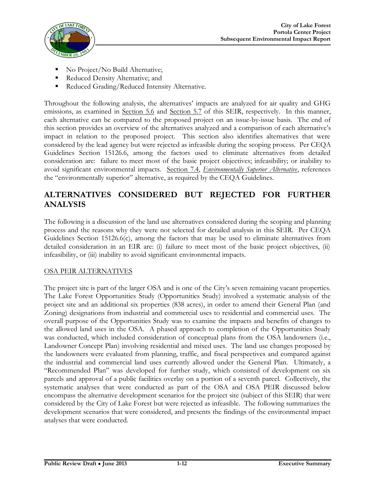

- No Project/No Build Alternative;
- Reduced Density Alternative; and
- Reduced Grading/Reduced Intensity Alternative.

Throughout the following analysis, the alternatives' impacts are analyzed for air quality and GHG emissions, as examined in <u>Section 5.6</u> and <u>Section 5.7</u> of this SEIR, respectively. In this manner, each alternative can be compared to the proposed project on an issue-by-issue basis. The end of this section provides an overview of the alternatives analyzed and a comparison of each alternative's impact in relation to the proposed project. This section also identifies alternatives that were considered by the lead agency but were rejected as infeasible during the scoping process. Per CEQA Guidelines Section 15126.6, among the factors used to eliminate alternatives from detailed consideration are: failure to meet most of the basic project objectives; infeasibility; or inability to avoid significant environmental impacts. Section 7.4, *Environmentally Superior Alternative*, references the "environmentally superior" alternative, as required by the CEQA Guidelines.

### **ALTERNATIVES CONSIDERED BUT REJECTED FOR FURTHER ANALYSIS**

The following is a discussion of the land use alternatives considered during the scoping and planning process and the reasons why they were not selected for detailed analysis in this SEIR. Per CEQA Guidelines Section 15126.6(c), among the factors that may be used to eliminate alternatives from detailed consideration in an EIR are: (i) failure to meet most of the basic project objectives, (ii) infeasibility, or (iii) inability to avoid significant environmental impacts.

#### OSA PEIR ALTERNATIVES

The project site is part of the larger OSA and is one of the City's seven remaining vacant properties. The Lake Forest Opportunities Study (Opportunities Study) involved a systematic analysis of the project site and an additional six properties (838 acres), in order to amend their General Plan (and Zoning) designations from industrial and commercial uses to residential and commercial uses. The overall purpose of the Opportunities Study was to examine the impacts and benefits of changes to the allowed land uses in the OSA. A phased approach to completion of the Opportunities Study was conducted, which included consideration of conceptual plans from the OSA landowners (i.e., Landowner Concept Plan) involving residential and mixed uses. The land use changes proposed by the landowners were evaluated from planning, traffic, and fiscal perspectives and compared against the industrial and commercial land uses currently allowed under the General Plan. Ultimately, a "Recommended Plan" was developed for further study, which consisted of development on six parcels and approval of a public facilities overlay on a portion of a seventh parcel. Collectively, the systematic analyses that were conducted as part of the OSA and OSA PEIR discussed below encompass the alternative development scenarios for the project site (subject of this SEIR) that were considered by the City of Lake Forest but were rejected as infeasible. The following summarizes the development scenarios that were considered, and presents the findings of the environmental impact analyses that were conducted.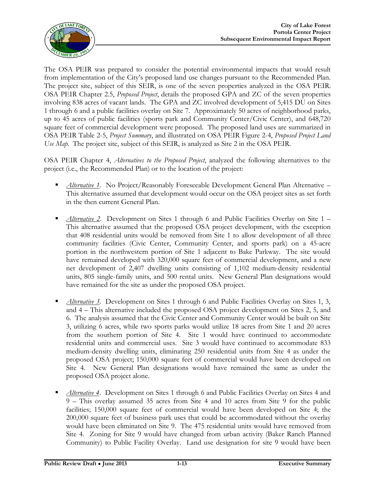

The OSA PEIR was prepared to consider the potential environmental impacts that would result from implementation of the City's proposed land use changes pursuant to the Recommended Plan. The project site, subject of this SEIR, is one of the seven properties analyzed in the OSA PEIR. OSA PEIR Chapter 2.5, *Proposed Project*, details the proposed GPA and ZC of the seven properties involving 838 acres of vacant lands. The GPA and ZC involved development of 5,415 DU on Sites 1 through 6 and a public facilities overlay on Site 7. Approximately 50 acres of neighborhood parks, up to 45 acres of public facilities (sports park and Community Center/Civic Center), and 648,720 square feet of commercial development were proposed. The proposed land uses are summarized in OSA PEIR Table 2-5, *Project Summary*, and illustrated on OSA PEIR Figure 2-4, *Proposed Project Land Use Map*. The project site, subject of this SEIR, is analyzed as Site 2 in the OSA PEIR.

OSA PEIR Chapter 4, *Alternatives to the Proposed Project*, analyzed the following alternatives to the project (i.e., the Recommended Plan) or to the location of the project:

- *Alternative 1*. No Project/Reasonably Foreseeable Development General Plan Alternative This alternative assumed that development would occur on the OSA project sites as set forth in the then current General Plan.
- *Alternative 2.* Development on Sites 1 through 6 and Public Facilities Overlay on Site 1 This alternative assumed that the proposed OSA project development, with the exception that 408 residential units would be removed from Site 1 to allow development of all three community facilities (Civic Center, Community Center, and sports park) on a 45-acre portion in the northwestern portion of Site 1 adjacent to Bake Parkway. The site would have remained developed with 320,000 square feet of commercial development, and a new net development of 2,407 dwelling units consisting of 1,102 medium-density residential units, 805 single-family units, and 500 rental units. New General Plan designations would have remained for the site as under the proposed OSA project.
- *Alternative 3*. Development on Sites 1 through 6 and Public Facilities Overlay on Sites 1, 3, and 4 – This alternative included the proposed OSA project development on Sites 2, 5, and 6. The analysis assumed that the Civic Center and Community Center would be built on Site 3, utilizing 6 acres, while two sports parks would utilize 18 acres from Site 1 and 20 acres from the southern portion of Site 4. Site 1 would have continued to accommodate residential units and commercial uses. Site 3 would have continued to accommodate 833 medium-density dwelling units, eliminating 250 residential units from Site 4 as under the proposed OSA project; 150,000 square feet of commercial would have been developed on Site 4. New General Plan designations would have remained the same as under the proposed OSA project alone.
- *Alternative 4*. Development on Sites 1 through 6 and Public Facilities Overlay on Sites 4 and 9 – This overlay assumed 35 acres from Site 4 and 10 acres from Site 9 for the public facilities; 150,000 square feet of commercial would have been developed on Site 4; the 200,000 square feet of business park uses that could be accommodated without the overlay would have been eliminated on Site 9. The 475 residential units would have removed from Site 4. Zoning for Site 9 would have changed from urban activity (Baker Ranch Planned Community) to Public Facility Overlay. Land use designation for site 9 would have been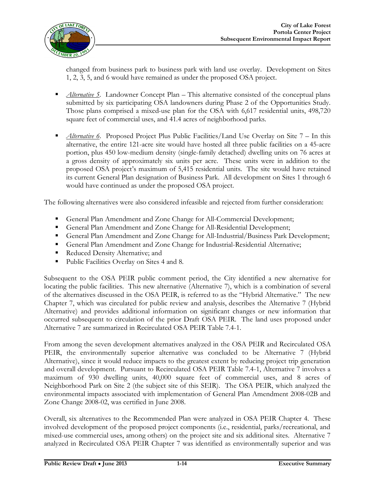

changed from business park to business park with land use overlay. Development on Sites 1, 2, 3, 5, and 6 would have remained as under the proposed OSA project.

- *Alternative 5*. Landowner Concept Plan This alternative consisted of the conceptual plans submitted by six participating OSA landowners during Phase 2 of the Opportunities Study. Those plans comprised a mixed-use plan for the OSA with 6,617 residential units, 498,720 square feet of commercial uses, and 41.4 acres of neighborhood parks.
- *Alternative 6*. Proposed Project Plus Public Facilities/Land Use Overlay on Site 7 In this alternative, the entire 121-acre site would have hosted all three public facilities on a 45-acre portion, plus 450 low-medium density (single-family detached) dwelling units on 76 acres at a gross density of approximately six units per acre. These units were in addition to the proposed OSA project's maximum of 5,415 residential units. The site would have retained its current General Plan designation of Business Park. All development on Sites 1 through 6 would have continued as under the proposed OSA project.

The following alternatives were also considered infeasible and rejected from further consideration:

- General Plan Amendment and Zone Change for All-Commercial Development;
- General Plan Amendment and Zone Change for All-Residential Development;
- General Plan Amendment and Zone Change for All-Industrial/Business Park Development;
- General Plan Amendment and Zone Change for Industrial-Residential Alternative;
- Reduced Density Alternative; and
- Public Facilities Overlay on Sites 4 and 8.

Subsequent to the OSA PEIR public comment period, the City identified a new alternative for locating the public facilities. This new alternative (Alternative 7), which is a combination of several of the alternatives discussed in the OSA PEIR, is referred to as the "Hybrid Alternative." The new Chapter 7, which was circulated for public review and analysis, describes the Alternative 7 (Hybrid Alternative) and provides additional information on significant changes or new information that occurred subsequent to circulation of the prior Draft OSA PEIR. The land uses proposed under Alternative 7 are summarized in Recirculated OSA PEIR Table 7.4-1.

From among the seven development alternatives analyzed in the OSA PEIR and Recirculated OSA PEIR, the environmentally superior alternative was concluded to be Alternative 7 (Hybrid Alternative), since it would reduce impacts to the greatest extent by reducing project trip generation and overall development. Pursuant to Recirculated OSA PEIR Table 7.4-1, Alternative 7 involves a maximum of 930 dwelling units, 40,000 square feet of commercial uses, and 8 acres of Neighborhood Park on Site 2 (the subject site of this SEIR). The OSA PEIR, which analyzed the environmental impacts associated with implementation of General Plan Amendment 2008-02B and Zone Change 2008-02, was certified in June 2008.

Overall, six alternatives to the Recommended Plan were analyzed in OSA PEIR Chapter 4. These involved development of the proposed project components (i.e., residential, parks/recreational, and mixed-use commercial uses, among others) on the project site and six additional sites. Alternative 7 analyzed in Recirculated OSA PEIR Chapter 7 was identified as environmentally superior and was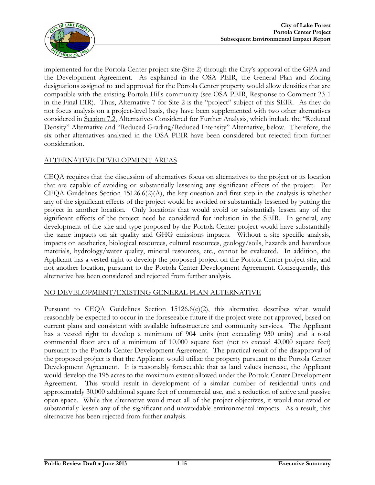

implemented for the Portola Center project site (Site 2) through the City's approval of the GPA and the Development Agreement. As explained in the OSA PEIR, the General Plan and Zoning designations assigned to and approved for the Portola Center property would allow densities that are compatible with the existing Portola Hills community (see OSA PEIR, Response to Comment 23-1 in the Final EIR). Thus, Alternative 7 for Site 2 is the "project" subject of this SEIR. As they do not focus analysis on a project-level basis, they have been supplemented with two other alternatives considered in Section 7.2, Alternatives Considered for Further Analysis, which include the "Reduced Density" Alternative and "Reduced Grading/Reduced Intensity" Alternative, below. Therefore, the six other alternatives analyzed in the OSA PEIR have been considered but rejected from further consideration.

#### ALTERNATIVE DEVELOPMENT AREAS

CEQA requires that the discussion of alternatives focus on alternatives to the project or its location that are capable of avoiding or substantially lessening any significant effects of the project. Per CEQA Guidelines Section 15126.6(2)(A), the key question and first step in the analysis is whether any of the significant effects of the project would be avoided or substantially lessened by putting the project in another location. Only locations that would avoid or substantially lessen any of the significant effects of the project need be considered for inclusion in the SEIR. In general, any development of the size and type proposed by the Portola Center project would have substantially the same impacts on air quality and GHG emissions impacts. Without a site specific analysis, impacts on aesthetics, biological resources, cultural resources, geology/soils, hazards and hazardous materials, hydrology/water quality, mineral resources, etc., cannot be evaluated. In addition, the Applicant has a vested right to develop the proposed project on the Portola Center project site, and not another location, pursuant to the Portola Center Development Agreement. Consequently, this alternative has been considered and rejected from further analysis.

#### NO DEVELOPMENT/EXISTING GENERAL PLAN ALTERNATIVE

Pursuant to CEQA Guidelines Section  $15126.6(e)(2)$ , this alternative describes what would reasonably be expected to occur in the foreseeable future if the project were not approved, based on current plans and consistent with available infrastructure and community services. The Applicant has a vested right to develop a minimum of 904 units (not exceeding 930 units) and a total commercial floor area of a minimum of 10,000 square feet (not to exceed 40,000 square feet) pursuant to the Portola Center Development Agreement. The practical result of the disapproval of the proposed project is that the Applicant would utilize the property pursuant to the Portola Center Development Agreement. It is reasonably foreseeable that as land values increase, the Applicant would develop the 195 acres to the maximum extent allowed under the Portola Center Development Agreement. This would result in development of a similar number of residential units and approximately 30,000 additional square feet of commercial use, and a reduction of active and passive open space. While this alternative would meet all of the project objectives, it would not avoid or substantially lessen any of the significant and unavoidable environmental impacts. As a result, this alternative has been rejected from further analysis.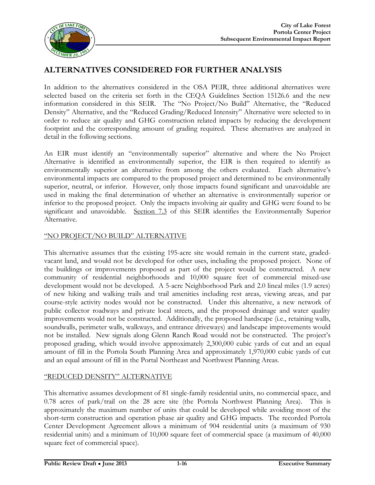

### **ALTERNATIVES CONSIDERED FOR FURTHER ANALYSIS**

In addition to the alternatives considered in the OSA PEIR, three additional alternatives were selected based on the criteria set forth in the CEQA Guidelines Section 15126.6 and the new information considered in this SEIR. The "No Project/No Build" Alternative, the "Reduced Density" Alternative, and the "Reduced Grading/Reduced Intensity" Alternative were selected to in order to reduce air quality and GHG construction related impacts by reducing the development footprint and the corresponding amount of grading required. These alternatives are analyzed in detail in the following sections.

An EIR must identify an "environmentally superior" alternative and where the No Project Alternative is identified as environmentally superior, the EIR is then required to identify as environmentally superior an alternative from among the others evaluated. Each alternative's environmental impacts are compared to the proposed project and determined to be environmentally superior, neutral, or inferior. However, only those impacts found significant and unavoidable are used in making the final determination of whether an alternative is environmentally superior or inferior to the proposed project. Only the impacts involving air quality and GHG were found to be significant and unavoidable. Section 7.3 of this SEIR identifies the Environmentally Superior Alternative.

#### "NO PROJECT/NO BUILD" ALTERNATIVE

This alternative assumes that the existing 195-acre site would remain in the current state, gradedvacant land, and would not be developed for other uses, including the proposed project. None of the buildings or improvements proposed as part of the project would be constructed. A new community of residential neighborhoods and 10,000 square feet of commercial mixed-use development would not be developed. A 5-acre Neighborhood Park and 2.0 lineal miles (1.9 acres) of new hiking and walking trails and trail amenities including rest areas, viewing areas, and par course-style activity nodes would not be constructed. Under this alternative, a new network of public collector roadways and private local streets, and the proposed drainage and water quality improvements would not be constructed. Additionally, the proposed hardscape (i.e., retaining walls, soundwalls, perimeter walls, walkways, and entrance driveways) and landscape improvements would not be installed. New signals along Glenn Ranch Road would not be constructed. The project's proposed grading, which would involve approximately 2,300,000 cubic yards of cut and an equal amount of fill in the Portola South Planning Area and approximately 1,970,000 cubic yards of cut and an equal amount of fill in the Portal Northeast and Northwest Planning Areas.

#### "REDUCED DENSITY" ALTERNATIVE

This alternative assumes development of 81 single-family residential units, no commercial space, and 0.78 acres of park/trail on the 28 acre site (the Portola Northwest Planning Area). This is approximately the maximum number of units that could be developed while avoiding most of the short-term construction and operation phase air quality and GHG impacts. The recorded Portola Center Development Agreement allows a minimum of 904 residential units (a maximum of 930 residential units) and a minimum of 10,000 square feet of commercial space (a maximum of 40,000 square feet of commercial space).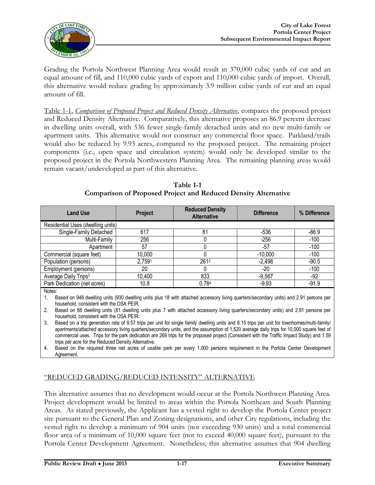

Grading the Portola Northwest Planning Area would result in 370,000 cubic yards of cut and an equal amount of fill, and 110,000 cubic yards of export and 110,000 cubic yards of import. Overall, this alternative would reduce grading by approximately 3.9 million cubic yards of cut and an equal amount of fill.

Table 1-1, *Comparison of Proposed Project and Reduced Density Alternative*, compares the proposed project and Reduced Density Alternative. Comparatively, this alternative proposes an 86.9 percent decrease in dwelling units overall, with 536 fewer single-family detached units and no new multi-family or apartment units. This alternative would not construct any commercial floor space. Parkland/trails would also be reduced by 9.93 acres, compared to the proposed project. The remaining project components (i.e., open space and circulation system) would only be developed similar to the proposed project in the Portola Northwestern Planning Area. The remaining planning areas would remain vacant/undeveloped as part of this alternative.

| <b>Land Use</b>                                                                                                                                 | Project | <b>Reduced Density</b><br><b>Alternative</b> | <b>Difference</b> | % Difference |
|-------------------------------------------------------------------------------------------------------------------------------------------------|---------|----------------------------------------------|-------------------|--------------|
| Residential Uses (dwelling units)                                                                                                               |         |                                              |                   |              |
| Single-Family Detached                                                                                                                          | 617     | 81                                           | $-536$            | $-86.9$      |
| Multi-Family                                                                                                                                    | 256     | 0                                            | $-256$            | $-100$       |
| Apartment                                                                                                                                       | 57      | 0                                            | -57               | $-100$       |
| Commercial (square feet)                                                                                                                        | 10,000  | 0                                            | $-10,000$         | $-100$       |
| Population (persons)                                                                                                                            | 2,7591  | 2612                                         | $-2,498$          | $-90.5$      |
| Employment (persons)                                                                                                                            | 20      | 0                                            | -20               | $-100$       |
| Average Daily Trips <sup>3</sup>                                                                                                                | 10,400  | 833                                          | $-9.567$          | -92          |
| Park Dedication (net acres)                                                                                                                     | 10.8    | 0.784                                        | $-9.93$           | $-91.9$      |
| Notes:<br>Based on 948 dwelling units (930 dwelling units plus 18 with attached accessory living quarters/secondary units) and 2.91 persons per |         |                                              |                   |              |

#### **Table 1-1 Comparison of Proposed Project and Reduced Density Alternative**

1. Based on 948 dwelling units (930 dwelling units plus 18 with attached accessory living quarters/secondary units) and 2.91 persons per household, consistent with the OSA PEIR.

2. Based on 88 dwelling units (81 dwelling units plus 7 with attached accessory living quarters/secondary units) and 2.91 persons per household, consistent with the OSA PEIR.

3. Based on a trip generation rate of 9.57 trips per unit for single family dwelling units and 8.15 trips per unit for townhomes/multi-family/ apartments/attached accessory living quarters/secondary units, and the assumption of 1,520 average daily trips for 10,000 square feet of commercial uses. Trips for the park dedication are 269 trips for the proposed project (Consistent with the Traffic Impact Study) and 1.59 trips per acre for the Reduced Density Alternative.

4. Based on the required three net acres of usable park per every 1,000 persons requirement in the Portola Center Development Agreement.

#### "REDUCED GRADING/REDUCED INTENSITY" ALTERNATIVE

This alternative assumes that no development would occur at the Portola Northwest Planning Area. Project development would be limited to areas within the Portola Northeast and South Planning Areas*.* As stated previously, the Applicant has a vested right to develop the Portola Center project site pursuant to the General Plan and Zoning designations, and other City regulations, including the vested right to develop a minimum of 904 units (not exceeding 930 units) and a total commercial floor area of a minimum of 10,000 square feet (not to exceed 40,000 square feet), pursuant to the Portola Center Development Agreement. Nonetheless, this alternative assumes that 904 dwelling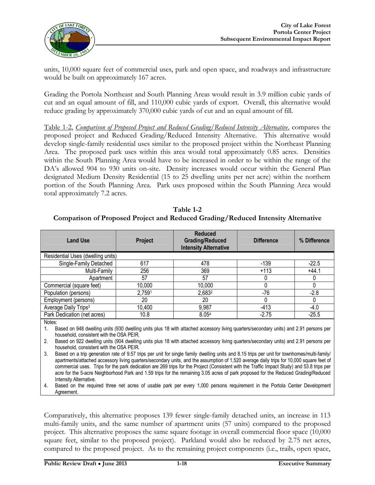

units, 10,000 square feet of commercial uses, park and open space, and roadways and infrastructure would be built on approximately 167 acres.

Grading the Portola Northeast and South Planning Areas would result in 3.9 million cubic yards of cut and an equal amount of fill, and 110,000 cubic yards of export. Overall, this alternative would reduce grading by approximately 370,000 cubic yards of cut and an equal amount of fill.

Table 1-2, *Comparison of Proposed Project and Reduced Grading/Reduced Intensity Alternative*, compares the proposed project and Reduced Grading/Reduced Intensity Alternative. This alternative would develop single-family residential uses similar to the proposed project within the Northeast Planning Area. The proposed park uses within this area would total approximately 0.85 acres. Densities within the South Planning Area would have to be increased in order to be within the range of the DA's allowed 904 to 930 units on-site. Density increases would occur within the General Plan designated Medium Density Residential (15 to 25 dwelling units per net acre) within the northern portion of the South Planning Area. Park uses proposed within the South Planning Area would total approximately 7.2 acres.

| <b>Table 1-2</b>                                                                 |
|----------------------------------------------------------------------------------|
| Comparison of Proposed Project and Reduced Grading/Reduced Intensity Alternative |

| <b>Land Use</b>                   | Project | <b>Reduced</b><br><b>Grading/Reduced</b><br><b>Intensity Alternative</b> | <b>Difference</b> | % Difference |
|-----------------------------------|---------|--------------------------------------------------------------------------|-------------------|--------------|
| Residential Uses (dwelling units) |         |                                                                          |                   |              |
| Single-Family Detached            | 617     | 478                                                                      | $-139$            | $-22.5$      |
| Multi-Family                      | 256     | 369                                                                      | $+113$            | $+44.1$      |
| Apartment                         | 57      | 57                                                                       |                   |              |
| Commercial (square feet)          | 10,000  | 10,000                                                                   |                   |              |
| Population (persons)              | 2,7591  | 2,6832                                                                   | $-76$             | $-2.8$       |
| Employment (persons)              | 20      | 20                                                                       |                   |              |
| Average Daily Trips <sup>3</sup>  | 10,400  | 9,987                                                                    | $-413$            | -4.0         |
| Park Dedication (net acres)       | 10.8    | 8.054                                                                    | $-2.75$           | $-25.5$      |
| Notes:                            |         |                                                                          |                   |              |

1. Based on 948 dwelling units (930 dwelling units plus 18 with attached accessory living quarters/secondary units) and 2.91 persons per household, consistent with the OSA PEIR.

2. Based on 922 dwelling units (904 dwelling units plus 18 with attached accessory living quarters/secondary units) and 2.91 persons per household, consistent with the OSA PEIR.

3. Based on a trip generation rate of 9.57 trips per unit for single family dwelling units and 8.15 trips per unit for townhomes/multi-family/ apartments/attached accessory living quarters/secondary units, and the assumption of 1,520 average daily trips for 10,000 square feet of commercial uses. Trips for the park dedication are 269 trips for the Project (Consistent with the Traffic Impact Study) and 53.8 trips per acre for the 5-acre Neighborhood Park and 1.59 trips for the remaining 3.05 acres of park proposed for the Reduced Grading/Reduced Intensity Alternative.

4. Based on the required three net acres of usable park per every 1,000 persons requirement in the Portola Center Development Agreement.

Comparatively, this alternative proposes 139 fewer single-family detached units, an increase in 113 multi-family units, and the same number of apartment units (57 units) compared to the proposed project. This alternative proposes the same square footage in overall commercial floor space (10,000 square feet, similar to the proposed project). Parkland would also be reduced by 2.75 net acres, compared to the proposed project. As to the remaining project components (i.e., trails, open space,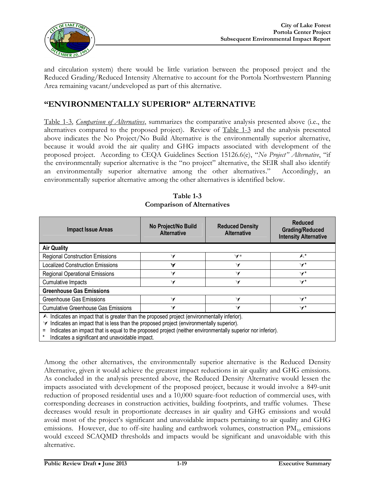

and circulation system) there would be little variation between the proposed project and the Reduced Grading/Reduced Intensity Alternative to account for the Portola Northwestern Planning Area remaining vacant/undeveloped as part of this alternative.

### **"ENVIRONMENTALLY SUPERIOR" ALTERNATIVE**

Table 1-3, *Comparison of Alternatives*, summarizes the comparative analysis presented above (i.e., the alternatives compared to the proposed project). Review of Table 1-3 and the analysis presented above indicates the No Project/No Build Alternative is the environmentally superior alternative, because it would avoid the air quality and GHG impacts associated with development of the proposed project. According to CEQA Guidelines Section 15126.6(e), "*No Project" Alternative*, "if the environmentally superior alternative is the "no project" alternative, the SEIR shall also identify an environmentally superior alternative among the other alternatives." Accordingly, an environmentally superior alternative among the other alternatives is identified below.

| <b>Impact Issue Areas</b>                                                                                                                                                                             | No Project/No Build<br><b>Alternative</b> | <b>Reduced Density</b><br><b>Alternative</b> | <b>Reduced</b><br><b>Grading/Reduced</b><br><b>Intensity Alternative</b> |  |
|-------------------------------------------------------------------------------------------------------------------------------------------------------------------------------------------------------|-------------------------------------------|----------------------------------------------|--------------------------------------------------------------------------|--|
| <b>Air Quality</b>                                                                                                                                                                                    |                                           |                                              |                                                                          |  |
| <b>Regional Construction Emissions</b>                                                                                                                                                                | ∾                                         | $\mathbf{A}^*$                               | $\blacktriangle^*$                                                       |  |
| <b>Localized Construction Emissions</b>                                                                                                                                                               | V                                         | $\blacktriangleleft$                         | $\mathbf{v}^{\star}$                                                     |  |
| <b>Regional Operational Emissions</b>                                                                                                                                                                 | V                                         | V                                            | $\mathbf{A}$                                                             |  |
| Cumulative Impacts                                                                                                                                                                                    | $\blacktriangleleft$                      | V                                            | $\mathbf{A}^{\star}$                                                     |  |
| <b>Greenhouse Gas Emissions</b>                                                                                                                                                                       |                                           |                                              |                                                                          |  |
| Greenhouse Gas Emissions                                                                                                                                                                              | $\blacktriangledown$                      | V                                            | $\mathbf{v}^*$                                                           |  |
| <b>Cumulative Greenhouse Gas Emissions</b>                                                                                                                                                            | V                                         | V                                            | $\mathbf{v}^{\star}$                                                     |  |
| $\land$ Indicates an impact that is greater than the proposed project (environmentally inferior).<br>$\forall$ Indicates an impact that is less than the proposed project (environmentally superior). |                                           |                                              |                                                                          |  |

#### **Table 1-3 Comparison of Alternatives**

= Indicates an impact that is equal to the proposed project (neither environmentally superior nor inferior).

Indicates a significant and unavoidable impact.

Among the other alternatives, the environmentally superior alternative is the Reduced Density Alternative, given it would achieve the greatest impact reductions in air quality and GHG emissions. As concluded in the analysis presented above, the Reduced Density Alternative would lessen the impacts associated with development of the proposed project, because it would involve a 849-unit reduction of proposed residential uses and a 10,000 square-foot reduction of commercial uses, with corresponding decreases in construction activities, building footprints, and traffic volumes. These decreases would result in proportionate decreases in air quality and GHG emissions and would avoid most of the project's significant and unavoidable impacts pertaining to air quality and GHG emissions. However, due to off-site hauling and earthwork volumes, construction  $PM_{10}$  emissions would exceed SCAQMD thresholds and impacts would be significant and unavoidable with this alternative.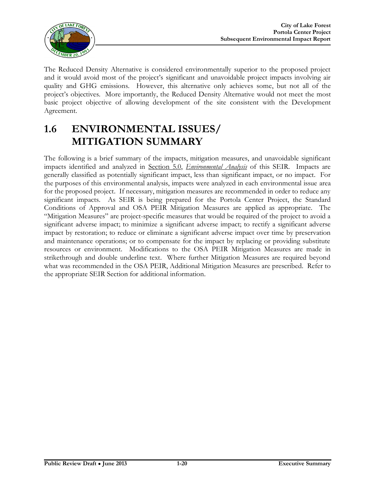

The Reduced Density Alternative is considered environmentally superior to the proposed project and it would avoid most of the project's significant and unavoidable project impacts involving air quality and GHG emissions. However, this alternative only achieves some, but not all of the project's objectives. More importantly, the Reduced Density Alternative would not meet the most basic project objective of allowing development of the site consistent with the Development Agreement.

## **1.6 ENVIRONMENTAL ISSUES/ MITIGATION SUMMARY**

The following is a brief summary of the impacts, mitigation measures, and unavoidable significant impacts identified and analyzed in Section 5.0, *Environmental Analysis* of this SEIR. Impacts are generally classified as potentially significant impact, less than significant impact, or no impact. For the purposes of this environmental analysis, impacts were analyzed in each environmental issue area for the proposed project. If necessary, mitigation measures are recommended in order to reduce any significant impacts. As SEIR is being prepared for the Portola Center Project, the Standard Conditions of Approval and OSA PEIR Mitigation Measures are applied as appropriate. The "Mitigation Measures" are project-specific measures that would be required of the project to avoid a significant adverse impact; to minimize a significant adverse impact; to rectify a significant adverse impact by restoration; to reduce or eliminate a significant adverse impact over time by preservation and maintenance operations; or to compensate for the impact by replacing or providing substitute resources or environment. Modifications to the OSA PEIR Mitigation Measures are made in strikethrough and double underline text. Where further Mitigation Measures are required beyond what was recommended in the OSA PEIR, Additional Mitigation Measures are prescribed. Refer to the appropriate SEIR Section for additional information.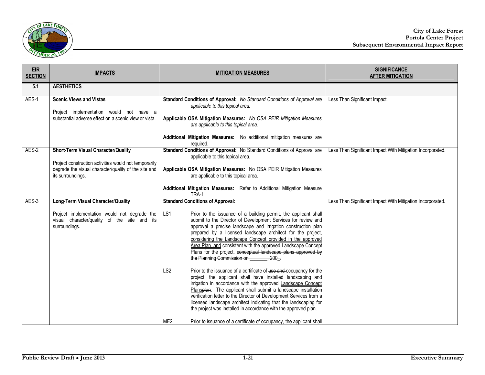

| <b>EIR</b><br><b>SECTION</b> | <b>IMPACTS</b>                                                                                                                                                            | <b>MITIGATION MEASURES</b>                                                                                                                                                                                                                                                                                                                                                                                                                                                                                                                                                                                                                                                                                                                                                                                                                                                                                                                                                                                                                                                                                                                               | <b>SIGNIFICANCE</b><br><b>AFTER MITIGATION</b>             |
|------------------------------|---------------------------------------------------------------------------------------------------------------------------------------------------------------------------|----------------------------------------------------------------------------------------------------------------------------------------------------------------------------------------------------------------------------------------------------------------------------------------------------------------------------------------------------------------------------------------------------------------------------------------------------------------------------------------------------------------------------------------------------------------------------------------------------------------------------------------------------------------------------------------------------------------------------------------------------------------------------------------------------------------------------------------------------------------------------------------------------------------------------------------------------------------------------------------------------------------------------------------------------------------------------------------------------------------------------------------------------------|------------------------------------------------------------|
| 5.1                          | <b>AESTHETICS</b>                                                                                                                                                         |                                                                                                                                                                                                                                                                                                                                                                                                                                                                                                                                                                                                                                                                                                                                                                                                                                                                                                                                                                                                                                                                                                                                                          |                                                            |
| AES-1                        | <b>Scenic Views and Vistas</b><br>Project implementation would not have a<br>substantial adverse effect on a scenic view or vista.                                        | Standard Conditions of Approval: No Standard Conditions of Approval are<br>applicable to this topical area.<br>Applicable OSA Mitigation Measures: No OSA PEIR Mitigation Measures<br>are applicable to this topical area.<br>Additional Mitigation Measures: No additional mitigation measures are<br>required.                                                                                                                                                                                                                                                                                                                                                                                                                                                                                                                                                                                                                                                                                                                                                                                                                                         | Less Than Significant Impact.                              |
| AES-2                        | Short-Term Visual Character/Quality<br>Project construction activities would not temporarily<br>degrade the visual character/quality of the site and<br>its surroundings. | Standard Conditions of Approval: No Standard Conditions of Approval are<br>applicable to this topical area.<br>Applicable OSA Mitigation Measures: No OSA PEIR Mitigation Measures<br>are applicable to this topical area.<br>Additional Mitigation Measures: Refer to Additional Mitigation Measure<br>TRA-1                                                                                                                                                                                                                                                                                                                                                                                                                                                                                                                                                                                                                                                                                                                                                                                                                                            | Less Than Significant Impact With Mitigation Incorporated. |
| AES-3                        | Long-Term Visual Character/Quality<br>Project implementation would not degrade the<br>visual character/quality of the site and its<br>surroundings.                       | <b>Standard Conditions of Approval:</b><br>LS1<br>Prior to the issuance of a building permit, the applicant shall<br>submit to the Director of Development Services for review and<br>approval a precise landscape and irrigation construction plan<br>prepared by a licensed landscape architect for the project.<br>considering the Landscape Concept provided in the approved<br>Area Plan, and consistent with the approved Landscape Concept<br>Plans for the project. conceptual landscape plans approved by<br>the Planning Commission on 300.<br>LS <sub>2</sub><br>Prior to the issuance of a certificate of use and occupancy for the<br>project, the applicant shall have installed landscaping and<br>irrigation in accordance with the approved Landscape Concept<br>Plansplan. The applicant shall submit a landscape installation<br>verification letter to the Director of Development Services from a<br>licensed landscape architect indicating that the landscaping for<br>the project was installed in accordance with the approved plan.<br>ME <sub>2</sub><br>Prior to issuance of a certificate of occupancy, the applicant shall | Less Than Significant Impact With Mitigation Incorporated. |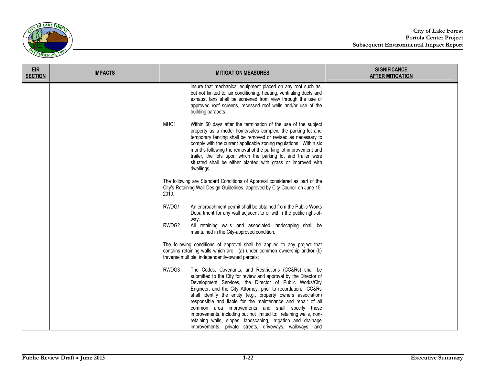

| <b>EIR</b><br><b>SECTION</b> | <b>IMPACTS</b> | <b>MITIGATION MEASURES</b>                                                                                                                                                                                                                                                                                                                                                                                                                                                                                                                                                                                                                            | <b>SIGNIFICANCE</b><br><b>AFTER MITIGATION</b> |
|------------------------------|----------------|-------------------------------------------------------------------------------------------------------------------------------------------------------------------------------------------------------------------------------------------------------------------------------------------------------------------------------------------------------------------------------------------------------------------------------------------------------------------------------------------------------------------------------------------------------------------------------------------------------------------------------------------------------|------------------------------------------------|
|                              |                | insure that mechanical equipment placed on any roof such as,<br>but not limited to, air conditioning, heating, ventilating ducts and<br>exhaust fans shall be screened from view through the use of<br>approved roof screens, recessed roof wells and/or use of the<br>building parapets.                                                                                                                                                                                                                                                                                                                                                             |                                                |
|                              |                | MHC1<br>Within 60 days after the termination of the use of the subject<br>property as a model home/sales complex, the parking lot and<br>temporary fencing shall be removed or revised as necessary to<br>comply with the current applicable zoning regulations. Within six<br>months following the removal of the parking lot improvement and<br>trailer, the lots upon which the parking lot and trailer were<br>situated shall be either planted with grass or improved with<br>dwellings.                                                                                                                                                         |                                                |
|                              |                | The following are Standard Conditions of Approval considered as part of the<br>City's Retaining Wall Design Guidelines, approved by City Council on June 15,<br>2010.                                                                                                                                                                                                                                                                                                                                                                                                                                                                                 |                                                |
|                              |                | RWDG1<br>An encroachment permit shall be obtained from the Public Works<br>Department for any wall adjacent to or within the public right-of-<br>way.<br>RWDG2<br>All retaining walls and associated landscaping shall be                                                                                                                                                                                                                                                                                                                                                                                                                             |                                                |
|                              |                | maintained in the City-approved condition.<br>The following conditions of approval shall be applied to any project that<br>contains retaining walls which are: (a) under common ownership and/or (b)<br>traverse multiple, independently-owned parcels:                                                                                                                                                                                                                                                                                                                                                                                               |                                                |
|                              |                | RWDG3<br>The Codes, Covenants, and Restrictions (CC&Rs) shall be<br>submitted to the City for review and approval by the Director of<br>Development Services, the Director of Public Works/City<br>Engineer, and the City Attorney, prior to recordation. CC&Rs<br>shall identify the entity (e.g., property owners association)<br>responsible and liable for the maintenance and repair of all<br>common area improvements and shall specify those<br>improvements, including but not limited to: retaining walls, non-<br>retaining walls, slopes, landscaping, irrigation and drainage<br>improvements, private streets, driveways, walkways, and |                                                |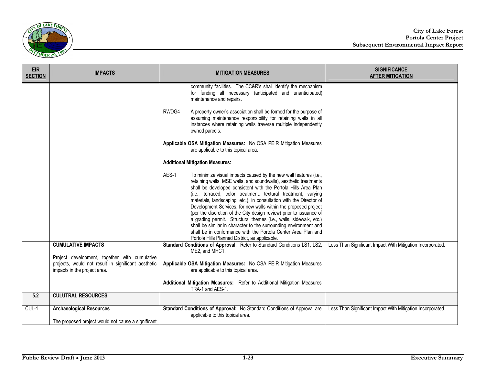

| <b>EIR</b><br><b>SECTION</b> | <b>IMPACTS</b>                                                                                                                       | <b>MITIGATION MEASURES</b>                                                                                                                                                                                                                                                                                                                                                                                                                                                                                                                                                                                                                                                                                                                                      | <b>SIGNIFICANCE</b><br><b>AFTER MITIGATION</b>             |
|------------------------------|--------------------------------------------------------------------------------------------------------------------------------------|-----------------------------------------------------------------------------------------------------------------------------------------------------------------------------------------------------------------------------------------------------------------------------------------------------------------------------------------------------------------------------------------------------------------------------------------------------------------------------------------------------------------------------------------------------------------------------------------------------------------------------------------------------------------------------------------------------------------------------------------------------------------|------------------------------------------------------------|
|                              |                                                                                                                                      | community facilities. The CC&R's shall identify the mechanism<br>for funding all necessary (anticipated and unanticipated)<br>maintenance and repairs.<br>RWDG4<br>A property owner's association shall be formed for the purpose of<br>assuming maintenance responsibility for retaining walls in all<br>instances where retaining walls traverse multiple independently<br>owned parcels.<br>Applicable OSA Mitigation Measures: No OSA PEIR Mitigation Measures                                                                                                                                                                                                                                                                                              |                                                            |
|                              |                                                                                                                                      | are applicable to this topical area.<br><b>Additional Mitigation Measures:</b>                                                                                                                                                                                                                                                                                                                                                                                                                                                                                                                                                                                                                                                                                  |                                                            |
|                              |                                                                                                                                      | AES-1<br>To minimize visual impacts caused by the new wall features (i.e.,<br>retaining walls, MSE walls, and soundwalls), aesthetic treatments<br>shall be developed consistent with the Portola Hills Area Plan<br>(i.e., terraced, color treatment, textural treatment, varying<br>materials, landscaping, etc.), in consultation with the Director of<br>Development Services, for new walls within the proposed project<br>(per the discretion of the City design review) prior to issuance of<br>a grading permit. Structural themes (i.e., walls, sidewalk, etc.)<br>shall be similar in character to the surrounding environment and<br>shall be in conformance with the Portola Center Area Plan and<br>Portola Hills Planned District, as applicable. |                                                            |
|                              | <b>CUMULATIVE IMPACTS</b>                                                                                                            | Standard Conditions of Approval: Refer to Standard Conditions LS1, LS2,<br>ME2, and MHC1.                                                                                                                                                                                                                                                                                                                                                                                                                                                                                                                                                                                                                                                                       | Less Than Significant Impact With Mitigation Incorporated. |
|                              | Project development, together with cumulative<br>projects, would not result in significant aesthetic<br>impacts in the project area. | Applicable OSA Mitigation Measures: No OSA PEIR Mitigation Measures<br>are applicable to this topical area.                                                                                                                                                                                                                                                                                                                                                                                                                                                                                                                                                                                                                                                     |                                                            |
|                              |                                                                                                                                      | Additional Mitigation Measures: Refer to Additional Mitigation Measures<br>TRA-1 and AES-1.                                                                                                                                                                                                                                                                                                                                                                                                                                                                                                                                                                                                                                                                     |                                                            |
| 5.2                          | <b>CULUTRAL RESOURCES</b>                                                                                                            |                                                                                                                                                                                                                                                                                                                                                                                                                                                                                                                                                                                                                                                                                                                                                                 |                                                            |
| $CUL-1$                      | <b>Archaeological Resources</b><br>The proposed project would not cause a significant                                                | Standard Conditions of Approval: No Standard Conditions of Approval are<br>applicable to this topical area.                                                                                                                                                                                                                                                                                                                                                                                                                                                                                                                                                                                                                                                     | Less Than Significant Impact With Mitigation Incorporated. |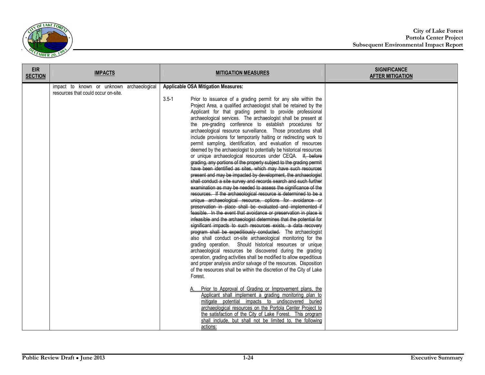

| <b>EIR</b><br><b>SECTION</b> | <b>IMPACTS</b>                                                                   | <b>MITIGATION MEASURES</b>                                                                                                                                                                                                                                                                                                                                                                                                                                                                                                                                                                                                                                                                                                                                                                                                                                                                                                                                                                                                                                                                                                                                                                                                                                                                                                                                                                                                                                                                                                                                                                                                                                                                                                                                                                                                                                                                                                                                                                                                                                                                                                                                                                                                                                                                                                                             | <b>SIGNIFICANCE</b><br><b>AFTER MITIGATION</b> |
|------------------------------|----------------------------------------------------------------------------------|--------------------------------------------------------------------------------------------------------------------------------------------------------------------------------------------------------------------------------------------------------------------------------------------------------------------------------------------------------------------------------------------------------------------------------------------------------------------------------------------------------------------------------------------------------------------------------------------------------------------------------------------------------------------------------------------------------------------------------------------------------------------------------------------------------------------------------------------------------------------------------------------------------------------------------------------------------------------------------------------------------------------------------------------------------------------------------------------------------------------------------------------------------------------------------------------------------------------------------------------------------------------------------------------------------------------------------------------------------------------------------------------------------------------------------------------------------------------------------------------------------------------------------------------------------------------------------------------------------------------------------------------------------------------------------------------------------------------------------------------------------------------------------------------------------------------------------------------------------------------------------------------------------------------------------------------------------------------------------------------------------------------------------------------------------------------------------------------------------------------------------------------------------------------------------------------------------------------------------------------------------------------------------------------------------------------------------------------------------|------------------------------------------------|
|                              | impact to known or unknown archaeological<br>resources that could occur on-site. | <b>Applicable OSA Mitigation Measures:</b><br>$3.5 - 1$<br>Prior to issuance of a grading permit for any site within the<br>Project Area, a qualified archaeologist shall be retained by the<br>Applicant for that grading permit to provide professional<br>archaeological services. The archaeologist shall be present at<br>the pre-grading conference to establish procedures for<br>archaeological resource surveillance. Those procedures shall<br>include provisions for temporarily halting or redirecting work to<br>permit sampling, identification, and evaluation of resources<br>deemed by the archaeologist to potentially be historical resources<br>or unique archaeological resources under CEQA. If, before<br>grading, any portions of the property subject to the grading permit<br>have been identified as sites, which may have such resources<br>present and may be impacted by development, the archaeologist<br>shall conduct a site survey and records search and such further<br>examination as may be needed to assess the significance of the<br>resources. If the archaeological resource is determined to be a<br>unique archaeological resource, options for avoidance or<br>preservation in place shall be evaluated and implemented if<br>feasible. In the event that avoidance or preservation in place is<br>infeasible and the archaeologist determines that the potential for<br>significant impacts to such resources exists, a data recovery<br>program shall be expeditiously conducted. The archaeologist<br>also shall conduct on-site archaeological monitoring for the<br>grading operation. Should historical resources or unique<br>archaeological resources be discovered during the grading<br>operation, grading activities shall be modified to allow expeditious<br>and proper analysis and/or salvage of the resources. Disposition<br>of the resources shall be within the discretion of the City of Lake<br>Forest.<br>Prior to Approval of Grading or Improvement plans, the<br>Applicant shall implement a grading monitoring plan to<br>mitigate potential impacts to undiscovered buried<br>archaeological resources on the Portola Center Project to<br>the satisfaction of the City of Lake Forest. This program<br>shall include, but shall not be limited to, the following<br>actions: |                                                |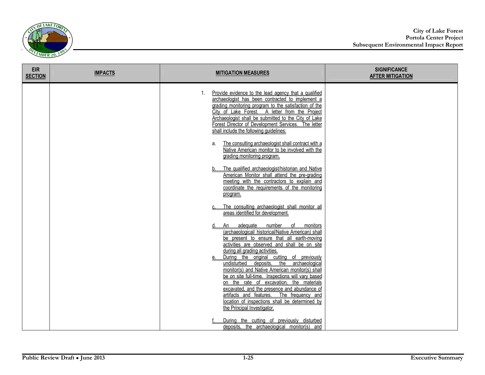

| <b>EIR</b><br><b>SECTION</b> | <b>IMPACTS</b> | <b>MITIGATION MEASURES</b>                                                                                                                                                                                                                                                                                                                                                               | <b>SIGNIFICANCE</b><br><b>AFTER MITIGATION</b> |
|------------------------------|----------------|------------------------------------------------------------------------------------------------------------------------------------------------------------------------------------------------------------------------------------------------------------------------------------------------------------------------------------------------------------------------------------------|------------------------------------------------|
|                              |                | Provide evidence to the lead agency that a qualified<br>$1_{-}$<br>archaeologist has been contracted to implement a<br>grading monitoring program to the satisfaction of the<br>City of Lake Forest. A letter from the Project<br>Archaeologist shall be submitted to the City of Lake<br>Forest Director of Development Services. The letter<br>shall include the following guidelines: |                                                |
|                              |                | The consulting archaeologist shall contract with a<br>a.<br>Native American monitor to be involved with the<br>grading monitoring program.                                                                                                                                                                                                                                               |                                                |
|                              |                | The qualified archaeologist/historian and Native<br>b<br>American Monitor shall attend the pre-grading<br>meeting with the contractors to explain and<br>coordinate the requirements of the monitoring<br>program.                                                                                                                                                                       |                                                |
|                              |                | The consulting archaeologist shall monitor all<br>areas identified for development.                                                                                                                                                                                                                                                                                                      |                                                |
|                              |                | adequate____ number ___ of ___ monitors<br>An<br>d.<br>(archaeological/ historical/Native American) shall<br>be present to ensure that all earth-moving<br>activities are observed and shall be on site<br>during all grading activities.                                                                                                                                                |                                                |
|                              |                | During the original cutting of previously<br>е.<br>undisturbed deposits, the archaeological<br>monitor(s) and Native American monitor(s) shall<br>be on site full-time. Inspections will vary based<br>on the rate of excavation, the materials                                                                                                                                          |                                                |
|                              |                | excavated, and the presence and abundance of<br>artifacts and features.<br>The frequency and<br>location of inspections shall be determined by<br>the Principal Investigator.                                                                                                                                                                                                            |                                                |
|                              |                | During the cutting of previously disturbed<br>deposits, the archaeological monitor(s) and                                                                                                                                                                                                                                                                                                |                                                |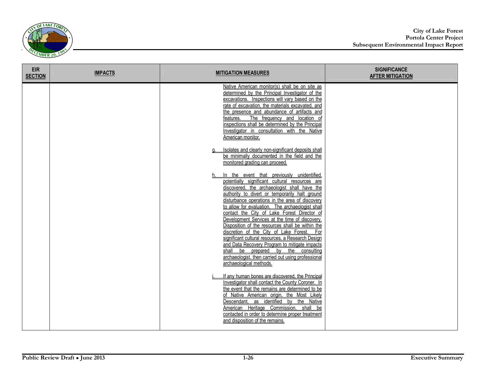

| <b>EIR</b><br><b>SECTION</b> | <b>IMPACTS</b> | <b>MITIGATION MEASURES</b>                                                                                                                                                                                                                                                                                                                                                                                                                                                                                                                                                                                                                                                                                                                     | <b>SIGNIFICANCE</b><br><b>AFTER MITIGATION</b> |
|------------------------------|----------------|------------------------------------------------------------------------------------------------------------------------------------------------------------------------------------------------------------------------------------------------------------------------------------------------------------------------------------------------------------------------------------------------------------------------------------------------------------------------------------------------------------------------------------------------------------------------------------------------------------------------------------------------------------------------------------------------------------------------------------------------|------------------------------------------------|
|                              |                | Native American monitor(s) shall be on site as<br>determined by the Principal Investigator of the<br>excavations. Inspections will vary based on the<br>rate of excavation, the materials excavated, and<br>the presence and abundance of artifacts and<br>The frequency and location of<br>features.<br>inspections shall be determined by the Principal<br>Investigator in consultation with the Native<br>American monitor.                                                                                                                                                                                                                                                                                                                 |                                                |
|                              |                | Isolates and clearly non-significant deposits shall<br><u>q</u><br>be minimally documented in the field and the<br>monitored aradina can proceed.                                                                                                                                                                                                                                                                                                                                                                                                                                                                                                                                                                                              |                                                |
|                              |                | In the event that previously unidentified,<br>h<br>potentially significant cultural resources are<br>discovered, the archaeologist shall have the<br>authority to divert or temporarily halt ground<br>disturbance operations in the area of discovery<br>to allow for evaluation. The archaeologist shall<br>contact the City of Lake Forest Director of<br>Development Services at the time of discovery.<br>Disposition of the resources shall be within the<br>discretion of the City of Lake Forest.<br>For<br>significant cultural resources, a Research Design<br>and Data Recovery Program to mitigate impacts<br>shall be prepared by the consulting<br>archaeologist, then carried out using professional<br>archaeological methods. |                                                |
|                              |                | If any human bones are discovered, the Principal<br>Investigator shall contact the County Coroner. In<br>the event that the remains are determined to be<br>Native American origin, the Most Likely<br>Descendant, as identified by the Native<br>American Heritage Commission, shall be<br>contacted in order to determine proper treatment<br>and disposition of the remains.                                                                                                                                                                                                                                                                                                                                                                |                                                |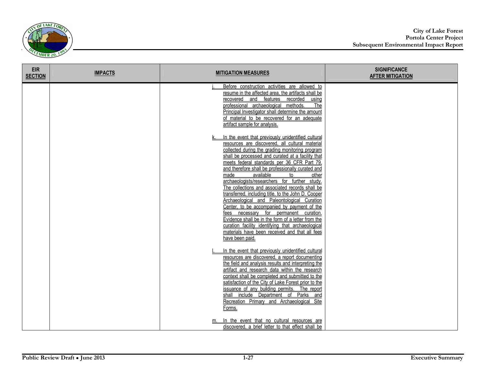

| <b>EIR</b><br><b>SECTION</b> | <b>IMPACTS</b> | <b>MITIGATION MEASURES</b>                                                                                                                                                                                                                                                                                                                                                                                                                                                                                                                                                                                                                                                                                                                                                                                            | <b>SIGNIFICANCE</b><br><b>AFTER MITIGATION</b> |
|------------------------------|----------------|-----------------------------------------------------------------------------------------------------------------------------------------------------------------------------------------------------------------------------------------------------------------------------------------------------------------------------------------------------------------------------------------------------------------------------------------------------------------------------------------------------------------------------------------------------------------------------------------------------------------------------------------------------------------------------------------------------------------------------------------------------------------------------------------------------------------------|------------------------------------------------|
|                              |                | Before construction activities are allowed to<br>resume in the affected area, the artifacts shall be<br>recovered and features recorded<br>using<br>professional archaeological methods.<br>The<br>Principal Investigator shall determine the amount<br>of material to be recovered for an adequate<br>artifact sample for analysis.                                                                                                                                                                                                                                                                                                                                                                                                                                                                                  |                                                |
|                              |                | In the event that previously unidentified cultural<br>resources are discovered. all cultural material<br>collected during the grading monitoring program<br>shall be processed and curated at a facility that<br>meets federal standards per 36 CFR Part 79.<br>and therefore shall be professionally curated and<br>available<br>made<br>other<br>to<br>archaeologists/researchers for further study.<br>The collections and associated records shall be<br>transferred, including title, to the John D. Cooper<br>Archaeological and Paleontological Curation<br>Center, to be accompanied by payment of the<br>fees necessary for permanent curation.<br>Evidence shall be in the form of a letter from the<br>curation facility identifying that archaeological<br>materials have been received and that all fees |                                                |
|                              |                | have been paid.<br>In the event that previously unidentified cultural<br>resources are discovered, a report documenting<br>the field and analysis results and interpreting the<br>artifact and research data within the research<br>context shall be completed and submitted to the<br>satisfaction of the City of Lake Forest prior to the<br>issuance of any building permits. The report<br>include Department of Parks and<br>shall<br>Recreation Primary and Archaeological Site<br>Forms.<br>In the event that no cultural resources are<br>m.<br>discovered, a brief letter to that effect shall be                                                                                                                                                                                                            |                                                |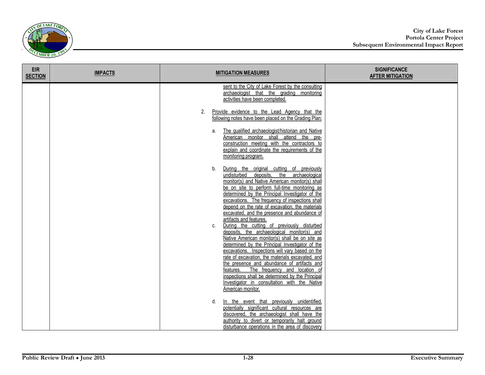

| <b>EIR</b><br><b>SECTION</b> | <b>IMPACTS</b> | <b>MITIGATION MEASURES</b>                                                                                                                                                                                                                                                                                                                                                                                                                                                                                                        | <b>SIGNIFICANCE</b><br><b>AFTER MITIGATION</b> |
|------------------------------|----------------|-----------------------------------------------------------------------------------------------------------------------------------------------------------------------------------------------------------------------------------------------------------------------------------------------------------------------------------------------------------------------------------------------------------------------------------------------------------------------------------------------------------------------------------|------------------------------------------------|
|                              |                | sent to the City of Lake Forest by the consulting<br>archaeologist that the grading monitoring<br>activities have been completed.                                                                                                                                                                                                                                                                                                                                                                                                 |                                                |
|                              |                | Provide evidence to the Lead Agency that the<br>2.<br>following notes have been placed on the Grading Plan:                                                                                                                                                                                                                                                                                                                                                                                                                       |                                                |
|                              |                | The qualified archaeologist/historian and Native<br>a.<br>American monitor shall attend the pre-<br>construction meeting with the contractors to<br>explain and coordinate the requirements of the<br>monitoring program.                                                                                                                                                                                                                                                                                                         |                                                |
|                              |                | During the original cutting of previously<br>b.<br>undisturbed deposits, the archaeological<br>monitor(s) and Native American monitor(s) shall<br>be on site to perform full-time monitoring as<br>determined by the Principal Investigator of the<br>excavations. The frequency of inspections shall<br>depend on the rate of excavation, the materials<br>excavated, and the presence and abundance of<br>artifacts and features.                                                                                               |                                                |
|                              |                | During the cutting of previously disturbed<br>c.<br>deposits, the archaeological monitor(s) and<br>Native American monitor(s) shall be on site as<br>determined by the Principal Investigator of the<br>excavations. Inspections will vary based on the<br>rate of excavation, the materials excavated, and<br>the presence and abundance of artifacts and<br>The frequency and location of<br>features.<br>inspections shall be determined by the Principal<br>Investigator in consultation with the Native<br>American monitor. |                                                |
|                              |                | In the event that previously unidentified.<br>d.<br>potentially significant cultural resources are<br>discovered, the archaeologist shall have the<br>authority to divert or temporarily halt ground<br>disturbance operations in the area of discovery                                                                                                                                                                                                                                                                           |                                                |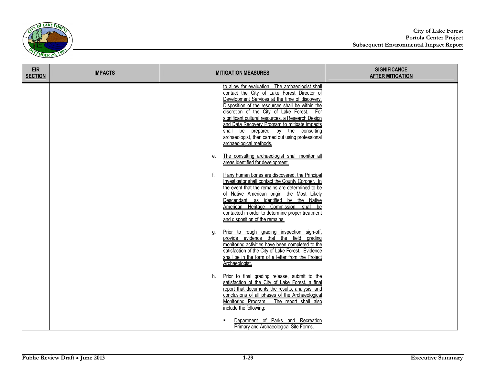

| <b>EIR</b><br><b>SECTION</b> | <b>IMPACTS</b> | <b>MITIGATION MEASURES</b>                                                                                                                                                                                                                                                                                                                                                                                                                                                           | <b>SIGNIFICANCE</b><br><b>AFTER MITIGATION</b> |
|------------------------------|----------------|--------------------------------------------------------------------------------------------------------------------------------------------------------------------------------------------------------------------------------------------------------------------------------------------------------------------------------------------------------------------------------------------------------------------------------------------------------------------------------------|------------------------------------------------|
|                              |                | to allow for evaluation. The archaeologist shall<br>contact the City of Lake Forest Director of<br>Development Services at the time of discovery.<br>Disposition of the resources shall be within the<br>discretion of the City of Lake Forest.<br>For<br>significant cultural resources, a Research Design<br>and Data Recovery Program to mitigate impacts<br>shall be prepared by the consulting<br>archaeologist, then carried out using professional<br>archaeological methods. |                                                |
|                              |                | The consulting archaeologist shall monitor all<br>е.<br>areas identified for development.                                                                                                                                                                                                                                                                                                                                                                                            |                                                |
|                              |                | f.<br>If any human bones are discovered, the Principal<br>Investigator shall contact the County Coroner. In<br>the event that the remains are determined to be<br>of Native American origin. the Most Likely<br>Descendant, as identified by the Native<br>American Heritage Commission, shall be<br>contacted in order to determine proper treatment<br>and disposition of the remains.                                                                                             |                                                |
|                              |                | Prior to rough grading inspection sign-off.<br>g.<br>provide evidence that the field grading<br>monitoring activities have been completed to the<br>satisfaction of the City of Lake Forest. Evidence<br>shall be in the form of a letter from the Project<br>Archaeologist.                                                                                                                                                                                                         |                                                |
|                              |                | Prior to final grading release, submit to the<br>h.<br>satisfaction of the City of Lake Forest, a final<br>report that documents the results, analysis, and<br>conclusions of all phases of the Archaeological<br>Monitoring Program.<br>The report shall also<br>include the following:                                                                                                                                                                                             |                                                |
|                              |                | Department of Parks and Recreation<br>Primary and Archaeological Site Forms                                                                                                                                                                                                                                                                                                                                                                                                          |                                                |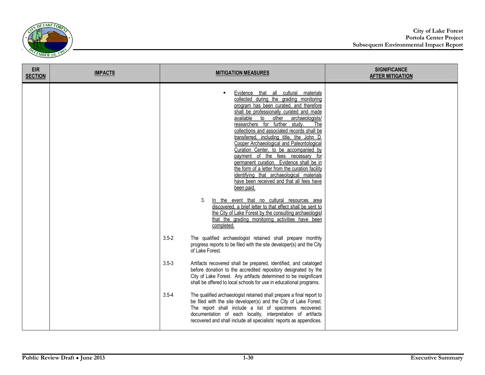

| <b>EIR</b><br><b>SECTION</b> | <b>IMPACTS</b> | <b>MITIGATION MEASURES</b>                                                                                                                                                                                                                                                                                                                                                                                                                                                                                                                                                                                                                                                                                                                                                                                                                                                                                                                                                                                                                                                                                                                                                                                                                                                                                                                                                                                                                                                                                                                                                                                                                                                                                                                                         | <b>SIGNIFICANCE</b><br><b>AFTER MITIGATION</b> |
|------------------------------|----------------|--------------------------------------------------------------------------------------------------------------------------------------------------------------------------------------------------------------------------------------------------------------------------------------------------------------------------------------------------------------------------------------------------------------------------------------------------------------------------------------------------------------------------------------------------------------------------------------------------------------------------------------------------------------------------------------------------------------------------------------------------------------------------------------------------------------------------------------------------------------------------------------------------------------------------------------------------------------------------------------------------------------------------------------------------------------------------------------------------------------------------------------------------------------------------------------------------------------------------------------------------------------------------------------------------------------------------------------------------------------------------------------------------------------------------------------------------------------------------------------------------------------------------------------------------------------------------------------------------------------------------------------------------------------------------------------------------------------------------------------------------------------------|------------------------------------------------|
|                              |                | Evidence that all cultural materials<br>collected during the grading monitoring<br>program has been curated, and therefore<br>shall be professionally curated and made<br>available to other archaeologists/<br>researchers for further study.<br>The<br>collections and associated records shall be<br>transferred, including title, the John D.<br>Cooper Archaeological and Paleontological<br>Curation Center, to be accompanied by<br>payment of the fees necessary for<br>permanent curation. Evidence shall be in<br>the form of a letter from the curation facility<br>identifying that archaeological materials<br>have been received and that all fees have<br>been paid.<br>In the event that no cultural resources area<br>3.<br>discovered, a brief letter to that effect shall be sent to<br>the City of Lake Forest by the consulting archaeologist<br>that the grading monitoring activities have been<br>completed.<br>$3.5 - 2$<br>The qualified archaeologist retained shall prepare monthly<br>progress reports to be filed with the site developer(s) and the City<br>of Lake Forest.<br>$3.5 - 3$<br>Artifacts recovered shall be prepared, identified, and cataloged<br>before donation to the accredited repository designated by the<br>City of Lake Forest. Any artifacts determined to be insignificant<br>shall be offered to local schools for use in educational programs.<br>$3.5 - 4$<br>The qualified archaeologist retained shall prepare a final report to<br>be filed with the site developer(s) and the City of Lake Forest.<br>The report shall include a list of specimens recovered,<br>documentation of each locality, interpretation of artifacts<br>recovered and shall include all specialists' reports as appendices. |                                                |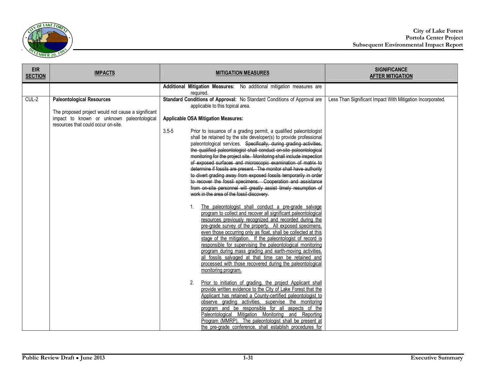

| <b>EIR</b><br><b>SECTION</b> | <b>IMPACTS</b>                                                                                                                                                              | <b>MITIGATION MEASURES</b>                                                                                                                                                                                                                                                                                                                                                                                                                                                                                                                                                                                                                                                                                                                                                                                                                                                                                                                                                                                                                                                                                                                                                                                                                                                                                                                                                                                                                                                                                | <b>SIGNIFICANCE</b><br><b>AFTER MITIGATION</b>             |
|------------------------------|-----------------------------------------------------------------------------------------------------------------------------------------------------------------------------|-----------------------------------------------------------------------------------------------------------------------------------------------------------------------------------------------------------------------------------------------------------------------------------------------------------------------------------------------------------------------------------------------------------------------------------------------------------------------------------------------------------------------------------------------------------------------------------------------------------------------------------------------------------------------------------------------------------------------------------------------------------------------------------------------------------------------------------------------------------------------------------------------------------------------------------------------------------------------------------------------------------------------------------------------------------------------------------------------------------------------------------------------------------------------------------------------------------------------------------------------------------------------------------------------------------------------------------------------------------------------------------------------------------------------------------------------------------------------------------------------------------|------------------------------------------------------------|
|                              |                                                                                                                                                                             | Additional Mitigation Measures: No additional mitigation measures are<br>required.                                                                                                                                                                                                                                                                                                                                                                                                                                                                                                                                                                                                                                                                                                                                                                                                                                                                                                                                                                                                                                                                                                                                                                                                                                                                                                                                                                                                                        |                                                            |
| $CUL-2$                      | <b>Paleontological Resources</b><br>The proposed project would not cause a significant<br>impact to known or unknown paleontological<br>resources that could occur on-site. | Standard Conditions of Approval: No Standard Conditions of Approval are<br>applicable to this topical area.<br><b>Applicable OSA Mitigation Measures:</b><br>$3.5 - 5$<br>Prior to issuance of a grading permit, a qualified paleontologist<br>shall be retained by the site developer(s) to provide professional<br>paleontological services. Specifically, during grading activities,<br>the qualified paleontologist shall conduct on site paleontological<br>monitoring for the project site. Monitoring shall include inspection<br>of exposed surfaces and microscopic examination of matrix to<br>determine if fossils are present. The monitor shall have authority<br>to divert grading away from exposed fossils temporarily in order<br>to recover the fossil specimens. Cooperation and assistance<br>from on-site personnel will greatly assist timely resumption of<br>work in the area of the fossil discovery.<br>The paleontologist shall conduct a pre-grade salvage<br>1.<br>program to collect and recover all significant paleontological<br>resources previously recognized and recorded during the<br>pre-grade survey of the property. All exposed specimens,<br>even those occurring only as float, shall be collected at this<br>stage of the mitigation. If the paleontologist of record is<br>responsible for supervising the paleontological monitoring<br>program during mass grading and earth-moving activities,<br>all fossils salvaged at that time can be retained and | Less Than Significant Impact With Mitigation Incorporated. |
|                              |                                                                                                                                                                             | processed with those recovered during the paleontological<br>monitoring program.<br>2.<br>Prior to initiation of grading, the project Applicant shall<br>provide written evidence to the City of Lake Forest that the<br>Applicant has retained a County-certified paleontologist to<br>observe grading activities, supervise the monitoring<br>program and be responsible for all aspects of the<br>Paleontological Mitigation Monitoring and Reporting<br>Program (MMRP). The paleontologist shall be present at<br>the pre-grade conference, shall establish procedures for                                                                                                                                                                                                                                                                                                                                                                                                                                                                                                                                                                                                                                                                                                                                                                                                                                                                                                                            |                                                            |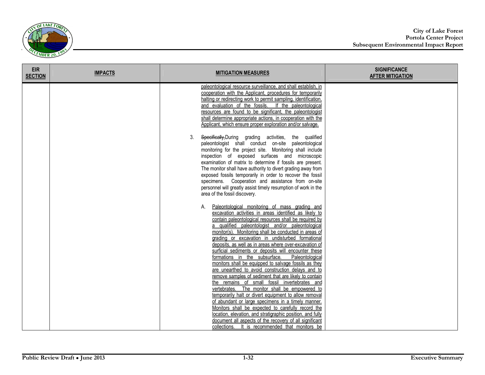

| <b>EIR</b><br><b>SECTION</b> | <b>IMPACTS</b> | <b>MITIGATION MEASURES</b>                                                                                                                                                                                                                                                                                                                                                                                                                                                                                                                                                                                                                                                                                                                                                                                                                                                                                | <b>SIGNIFICANCE</b><br><b>AFTER MITIGATION</b> |
|------------------------------|----------------|-----------------------------------------------------------------------------------------------------------------------------------------------------------------------------------------------------------------------------------------------------------------------------------------------------------------------------------------------------------------------------------------------------------------------------------------------------------------------------------------------------------------------------------------------------------------------------------------------------------------------------------------------------------------------------------------------------------------------------------------------------------------------------------------------------------------------------------------------------------------------------------------------------------|------------------------------------------------|
|                              |                | paleontological resource surveillance, and shall establish, in<br>cooperation with the Applicant, procedures for temporarily<br>halting or redirecting work to permit sampling, identification.<br>and evaluation of the fossils. If the paleontological<br>resources are found to be significant, the paleontologist<br>shall determine appropriate actions, in cooperation with the<br>Applicant, which ensure proper exploration and/or salvage.                                                                                                                                                                                                                                                                                                                                                                                                                                                       |                                                |
|                              |                | Specifically, During grading activities, the qualified<br>3.<br>paleontologist shall conduct on-site paleontological<br>monitoring for the project site. Monitoring shall include<br>inspection of exposed surfaces and microscopic<br>examination of matrix to determine if fossils are present.<br>The monitor shall have authority to divert grading away from<br>exposed fossils temporarily in order to recover the fossil<br>specimens. Cooperation and assistance from on-site<br>personnel will greatly assist timely resumption of work in the<br>area of the fossil discovery.                                                                                                                                                                                                                                                                                                                  |                                                |
|                              |                | Paleontological monitoring of mass grading and<br>А.<br>excavation activities in areas identified as likely to<br>contain paleontological resources shall be required by<br>a qualified paleontologist and/or paleontological<br>monitor(s). Monitoring shall be conducted in areas of<br>grading or excavation in undisturbed formational<br>deposits, as well as in areas where over-excavation of<br>surficial sediments or deposits will encounter these<br>formations in the subsurface.<br>Paleontological<br>monitors shall be equipped to salvage fossils as they<br>are unearthed to avoid construction delays and to<br>remove samples of sediment that are likely to contain<br>the remains of small fossil invertebrates and<br>vertebrates. The monitor shall be empowered to<br>temporarily halt or divert equipment to allow removal<br>of abundant or large specimens in a timely manner. |                                                |
|                              |                | Monitors shall be expected to carefully record the<br>location, elevation, and stratigraphic position, and fully<br>document all aspects of the recovery of all significant<br>collections. It is recommended that monitors be                                                                                                                                                                                                                                                                                                                                                                                                                                                                                                                                                                                                                                                                            |                                                |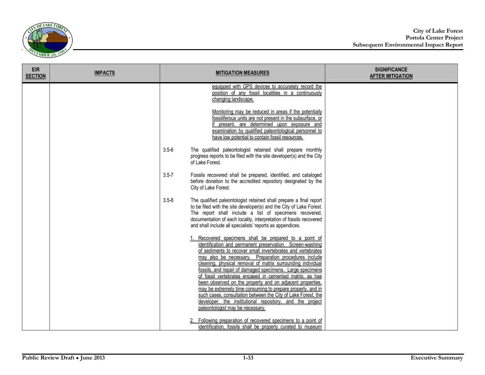

| <b>EIR</b><br><b>SECTION</b> | <b>IMPACTS</b> | <b>MITIGATION MEASURES</b>                                                                                                                                                                                                                                                                                                                                           | <b>SIGNIFICANCE</b><br><b>AFTER MITIGATION</b> |
|------------------------------|----------------|----------------------------------------------------------------------------------------------------------------------------------------------------------------------------------------------------------------------------------------------------------------------------------------------------------------------------------------------------------------------|------------------------------------------------|
|                              |                | equipped with GPS devices to accurately record the<br>position of any fossil localities in a continuously<br>changing landscape.                                                                                                                                                                                                                                     |                                                |
|                              |                | Monitoring may be reduced in areas if the potentially<br>fossiliferous units are not present in the subsurface, or<br>present, are determined upon exposure and<br>examination by qualified paleontological personnel to<br>have low potential to contain fossil resources.                                                                                          |                                                |
|                              |                | $3.5 - 6$<br>The qualified paleontologist retained shall prepare monthly<br>progress reports to be filed with the site developer(s) and the City<br>of Lake Forest.                                                                                                                                                                                                  |                                                |
|                              |                | $3.5 - 7$<br>Fossils recovered shall be prepared, identified, and cataloged<br>before donation to the accredited repository designated by the<br>City of Lake Forest.                                                                                                                                                                                                |                                                |
|                              |                | $3.5 - 8$<br>The qualified paleontologist retained shall prepare a final report<br>to be filed with the site developer(s) and the City of Lake Forest.<br>The report shall include a list of specimens recovered,<br>documentation of each locality, interpretation of fossils recovered<br>and shall include all specialists' reports as appendices.                |                                                |
|                              |                | Recovered specimens shall be prepared to a point of<br>identification and permanent preservation. Screen-washing<br>of sediments to recover small invertebrates and vertebrates<br>may also be necessary. Preparation procedures include<br>cleaning, physical removal of matrix surrounding individual<br>fossils, and repair of damaged specimens. Large specimens |                                                |
|                              |                | of fossil vertebrates encased in cemented matrix, as has<br>been observed on the property and on adjacent properties.<br>may be extremely time consuming to prepare properly, and in<br>such cases, consultation between the City of Lake Forest, the<br>developer, the institutional repository, and the project<br>paleontologist may be necessary.                |                                                |
|                              |                | Following preparation of recovered specimens to a point of<br>identification. fossils shall be properly curated to museum                                                                                                                                                                                                                                            |                                                |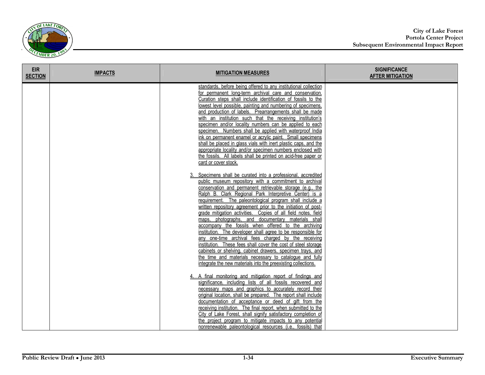

| <b>EIR</b><br><b>SECTION</b> | <b>IMPACTS</b> | <b>MITIGATION MEASURES</b>                                                                                                                                                                                                                                                                                                                                                                                                                                                                                                                                                                                                                                                                                                                                                                                                                                                                                                                                                                     | <b>SIGNIFICANCE</b><br><b>AFTER MITIGATION</b> |
|------------------------------|----------------|------------------------------------------------------------------------------------------------------------------------------------------------------------------------------------------------------------------------------------------------------------------------------------------------------------------------------------------------------------------------------------------------------------------------------------------------------------------------------------------------------------------------------------------------------------------------------------------------------------------------------------------------------------------------------------------------------------------------------------------------------------------------------------------------------------------------------------------------------------------------------------------------------------------------------------------------------------------------------------------------|------------------------------------------------|
|                              |                | standards, before being offered to any institutional collection<br>for permanent long-term archival care and conservation<br>Curation steps shall include identification of fossils to the<br>lowest level possible, painting and numbering of specimens.<br>and production of labels. Prearrangements shall be made<br>with an institution such that the receiving institution's<br>specimen and/or locality numbers can be applied to each<br>specimen. Numbers shall be applied with waterproof India<br>ink on permanent enamel or acrylic paint. Small specimens<br>shall be placed in glass vials with inert plastic caps, and the<br>appropriate locality and/or specimen numbers enclosed with<br>the fossils. All labels shall be printed on acid-free paper or<br>card or cover stock.<br>Specimens shall be curated into a professional, accredited<br>public museum repository with a commitment to archival<br>conservation and permanent retrievable storage (e.g.<br><u>the</u> |                                                |
|                              |                | Ralph B. Clark Regional Park Interpretive Center) is a<br>requirement. The paleontological program shall include a<br>written repository agreement prior to the initiation of post-<br>Copies of all field notes, field<br>grade mitigation activities.<br>maps, photographs, and documentary materials shall<br>accompany the fossils when offered to the archiving<br>institution. The developer shall agree to be responsible for<br>any one-time archival fees charged by the receiving<br>institution. These fees shall cover the cost of steel storage<br>cabinets or shelving, cabinet drawers, specimen travs, and<br>the time and materials necessary to catalogue and fully<br>integrate the new materials into the preexisting collections.                                                                                                                                                                                                                                         |                                                |
|                              |                | A final monitoring and mitigation report of findings and<br>significance, including lists of all fossils recovered and<br>necessary maps and graphics to accurately record their<br>original location, shall be prepared. The report shall include<br>documentation of acceptance or deed of gift from the<br>receiving institution. The final report, when submitted to the<br>City of Lake Forest, shall signify satisfactory completion of<br>the proiect program to mitigate impacts to any potential<br>nonrenewable paleontological resources (i.e., fossils) that                                                                                                                                                                                                                                                                                                                                                                                                                       |                                                |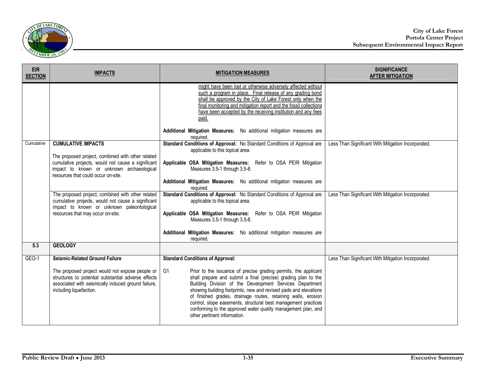

| <b>EIR</b><br><b>SECTION</b> | <b>IMPACTS</b>                                                                                                                                                                                                             | <b>MITIGATION MEASURES</b>                                                                                                                                                                                                                                                                                                                                                                                                                                                                                                                             | <b>SIGNIFICANCE</b><br><b>AFTER MITIGATION</b>      |
|------------------------------|----------------------------------------------------------------------------------------------------------------------------------------------------------------------------------------------------------------------------|--------------------------------------------------------------------------------------------------------------------------------------------------------------------------------------------------------------------------------------------------------------------------------------------------------------------------------------------------------------------------------------------------------------------------------------------------------------------------------------------------------------------------------------------------------|-----------------------------------------------------|
| Cumulative                   | <b>CUMULATIVE IMPACTS</b>                                                                                                                                                                                                  | might have been lost or otherwise adversely affected without<br>such a program in place. Final release of any grading bond<br>shall be approved by the City of Lake Forest only when the<br>final monitoring and mitigation report and the fossil collections<br>have been accepted by the receiving institution and any fees<br>paid.<br>Additional Mitigation Measures: No additional mitigation measures are<br>required.<br>Standard Conditions of Approval: No Standard Conditions of Approval are<br>applicable to this topical area.            | Less Than Significant With Mitigation Incorporated. |
|                              | The proposed project, combined with other related<br>cumulative projects, would not cause a significant<br>impact to known or unknown archaeological<br>resources that could occur on-site.                                | Applicable OSA Mitigation Measures: Refer to OSA PEIR Mitigation<br>Measures 3.5-1 through 3.5-8.<br>Additional Mitigation Measures: No additional mitigation measures are<br>required.                                                                                                                                                                                                                                                                                                                                                                |                                                     |
|                              | The proposed project, combined with other related<br>cumulative projects, would not cause a significant<br>impact to known or unknown paleontological<br>resources that may occur on-site.                                 | Standard Conditions of Approval: No Standard Conditions of Approval are<br>applicable to this topical area.<br>Applicable OSA Mitigation Measures: Refer to OSA PEIR Mitigation<br>Measures 3.5-1 through 3.5-8.<br>Additional Mitigation Measures: No additional mitigation measures are<br>required.                                                                                                                                                                                                                                                 | Less Than Significant With Mitigation Incorporated. |
| 5.3                          | <b>GEOLOGY</b>                                                                                                                                                                                                             |                                                                                                                                                                                                                                                                                                                                                                                                                                                                                                                                                        |                                                     |
| $GEO-1$                      | Seismic-Related Ground Failure<br>The proposed project would not expose people or<br>structures to potential substantial adverse effects<br>associated with seismically induced ground failure,<br>including liquefaction. | <b>Standard Conditions of Approval:</b><br>Prior to the issuance of precise grading permits, the applicant<br>G1<br>shall prepare and submit a final (precise) grading plan to the<br>Building Division of the Development Services Department<br>showing building footprints, new and revised pads and elevations<br>of finished grades, drainage routes, retaining walls, erosion<br>control, slope easements, structural best management practices<br>conforming to the approved water quality management plan, and<br>other pertinent information. | Less Than Significant With Mitigation Incorporated. |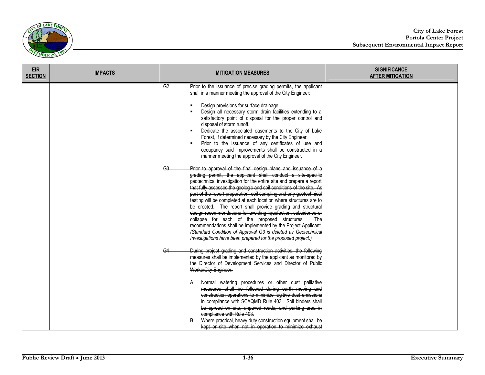

| <b>EIR</b><br><b>SECTION</b> | <b>IMPACTS</b> | <b>MITIGATION MEASURES</b>                                                                                                                                                                                                                                                                                                                                                                                                                                                                                                                                                                                                                                                                                                                                                                                                      | <b>SIGNIFICANCE</b><br><b>AFTER MITIGATION</b> |
|------------------------------|----------------|---------------------------------------------------------------------------------------------------------------------------------------------------------------------------------------------------------------------------------------------------------------------------------------------------------------------------------------------------------------------------------------------------------------------------------------------------------------------------------------------------------------------------------------------------------------------------------------------------------------------------------------------------------------------------------------------------------------------------------------------------------------------------------------------------------------------------------|------------------------------------------------|
|                              |                | G2<br>Prior to the issuance of precise grading permits, the applicant<br>shall in a manner meeting the approval of the City Engineer:<br>Design provisions for surface drainage.<br>Design all necessary storm drain facilities extending to a<br>satisfactory point of disposal for the proper control and<br>disposal of storm runoff.<br>Dedicate the associated easements to the City of Lake<br>Forest, if determined necessary by the City Engineer.<br>Prior to the issuance of any certificates of use and<br>occupancy said improvements shall be constructed in a<br>manner meeting the approval of the City Engineer.                                                                                                                                                                                                |                                                |
|                              |                | Prior to approval of the final design plans and issuance of a<br>G <sub>3</sub><br>grading permit, the applicant shall conduct a site specific<br>geotechnical investigation for the entire site and prepare a report<br>that fully assesses the geologic and soil conditions of the site. As<br>part of the report preparation, soil sampling and any geotechnical<br>testing will be completed at each location where structures are to<br>be erected. The report shall provide grading and structural<br>design recommendations for avoiding liquefaction, subsidence or<br>collapse for each of the proposed structures.<br>recommendations shall be implemented by the Project Applicant.<br>(Standard Condition of Approval G3 is deleted as Geotechnical<br>Investigations have been prepared for the proposed project.) |                                                |
|                              |                | During project grading and construction activities, the following<br>G4<br>measures shall be implemented by the applicant as monitored by<br>the Director of Development Services and Director of Public<br>Works/City Engineer.<br>Normal watering procedures or other dust palliative<br>measures shall be followed during earth moving and<br>construction operations to minimize fugitive dust emissions<br>in compliance with SCAQMD Rule 403. Soil binders shall<br>be spread on site, unpaved roads, and parking area in<br>compliance with Rule 403.<br>Where practical, heavy duty construction equipment shall be<br>kept on-site when not in operation to minimize exhaust                                                                                                                                           |                                                |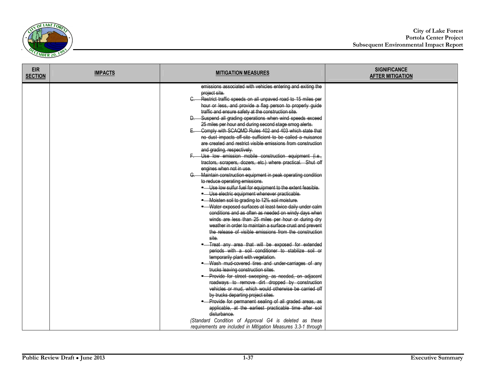

| <b>EIR</b><br><b>SECTION</b> | <b>IMPACTS</b> | <b>MITIGATION MEASURES</b>                                                                                                                                                                                                                                                                                                                                                                                                                                                                                                                                                                                                                                                                                                                                                                                                                                                                                                                                                                                                                                                                                                                                                                                                                                                                                                                                                                                                                                                                                                                                                                                                                                                                                                                                                                                                                                                                                                                                                                                                                                                    | <b>SIGNIFICANCE</b><br><b>AFTER MITIGATION</b> |
|------------------------------|----------------|-------------------------------------------------------------------------------------------------------------------------------------------------------------------------------------------------------------------------------------------------------------------------------------------------------------------------------------------------------------------------------------------------------------------------------------------------------------------------------------------------------------------------------------------------------------------------------------------------------------------------------------------------------------------------------------------------------------------------------------------------------------------------------------------------------------------------------------------------------------------------------------------------------------------------------------------------------------------------------------------------------------------------------------------------------------------------------------------------------------------------------------------------------------------------------------------------------------------------------------------------------------------------------------------------------------------------------------------------------------------------------------------------------------------------------------------------------------------------------------------------------------------------------------------------------------------------------------------------------------------------------------------------------------------------------------------------------------------------------------------------------------------------------------------------------------------------------------------------------------------------------------------------------------------------------------------------------------------------------------------------------------------------------------------------------------------------------|------------------------------------------------|
|                              |                | emissions associated with vehicles entering and exiting the<br>project site.<br>Restrict traffic speeds on all unpaved road to 15 miles per<br>hour or less, and provide a flag person to properly guide<br>traffic and ensure safety at the construction site.<br>D. Suspend all grading operations when wind speeds exceed<br>25 miles per hour and during second stage smog alerts.<br>Comply with SCAQMD Rules 402 and 403 which state that<br>no dust impacts off-site sufficient to be called a nuisance<br>are created and restrict visible emissions from construction<br>and grading, respectively.<br>Use low emission mobile construction equipment (i.e.,<br>tractors, scrapers, dozers, etc.) where practical. Shut off<br>engines when not in use.<br>Maintain construction equipment in peak operating condition<br>to reduce operating emissions.<br>- Use low sulfur fuel for equipment to the extent feasible.<br>- Use electric equipment whenever practicable.<br>- Moisten soil to grading to 12% soil moisture.<br>- Water exposed surfaces at least twice daily under calm<br>conditions and as often as needed on windy days when<br>winds are less than 25 miles per hour or during dry<br>weather in order to maintain a surface crust and prevent<br>the release of visible emissions from the construction<br>site.<br>- Treat any area that will be exposed for extended<br>periods with a soil conditioner to stabilize soil or<br>temporarily plant with vegetation.<br>- Wash mud-covered tires and under-carriages of any<br>trucks leaving construction sites.<br>- Provide for street sweeping, as needed, on adjacent<br>roadways to remove dirt dropped by construction<br>vehicles or mud, which would otherwise be carried off<br>by trucks departing project sites.<br>- Provide for permanent sealing of all graded areas, as<br>applicable, at the earliest practicable time after soil<br>disturbance.<br>(Standard Condition of Approval G4 is deleted as these<br>requirements are included in Mitigation Measures 3.3-1 through |                                                |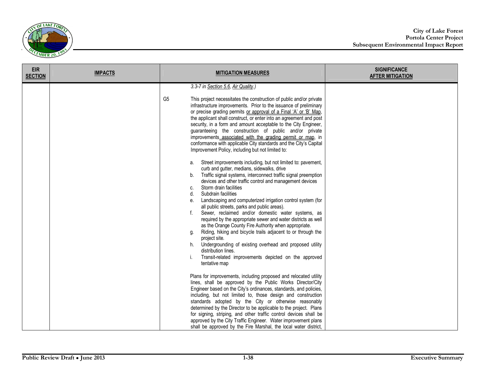

| <b>EIR</b><br><b>SECTION</b> | <b>IMPACTS</b> | <b>MITIGATION MEASURES</b>                                                                                                                                                                                                                                                                                                                                                                                                                                                                                                                                                                                                                                                                                                                                                                                                                                                                                                                                                                                                                                                                                                                                                                                                                                                                                                                                                                                                                                                                                                                            | <b>SIGNIFICANCE</b><br><b>AFTER MITIGATION</b> |
|------------------------------|----------------|-------------------------------------------------------------------------------------------------------------------------------------------------------------------------------------------------------------------------------------------------------------------------------------------------------------------------------------------------------------------------------------------------------------------------------------------------------------------------------------------------------------------------------------------------------------------------------------------------------------------------------------------------------------------------------------------------------------------------------------------------------------------------------------------------------------------------------------------------------------------------------------------------------------------------------------------------------------------------------------------------------------------------------------------------------------------------------------------------------------------------------------------------------------------------------------------------------------------------------------------------------------------------------------------------------------------------------------------------------------------------------------------------------------------------------------------------------------------------------------------------------------------------------------------------------|------------------------------------------------|
|                              |                | 3.3-7 in Section 5.6, Air Quality.)<br>G <sub>5</sub><br>This project necessitates the construction of public and/or private<br>infrastructure improvements. Prior to the issuance of preliminary<br>or precise grading permits or approval of a Final 'A' or 'B' Map,<br>the applicant shall construct, or enter into an agreement and post<br>security, in a form and amount acceptable to the City Engineer,<br>guaranteeing the construction of public and/or private<br>improvements_associated_with_the_grading_permit_or_map, in<br>conformance with applicable City standards and the City's Capital<br>Improvement Policy, including but not limited to:<br>Street improvements including, but not limited to: pavement,<br>а.<br>curb and gutter, medians, sidewalks, drive<br>Traffic signal systems, interconnect traffic signal preemption<br>b.<br>devices and other traffic control and management devices<br>Storm drain facilities<br>C.<br>Subdrain facilities<br>d.<br>Landscaping and computerized irrigation control system (for<br>е.<br>all public streets, parks and public areas).<br>Sewer, reclaimed and/or domestic water systems, as<br>required by the appropriate sewer and water districts as well<br>as the Orange County Fire Authority when appropriate.<br>Riding, hiking and bicycle trails adjacent to or through the<br>g.<br>project site.<br>Undergrounding of existing overhead and proposed utility<br>h.<br>distribution lines.<br>Transit-related improvements depicted on the approved<br>tentative map |                                                |
|                              |                | Plans for improvements, including proposed and relocated utility<br>lines, shall be approved by the Public Works Director/City<br>Engineer based on the City's ordinances, standards, and policies,<br>including, but not limited to, those design and construction<br>standards adopted by the City or otherwise reasonably<br>determined by the Director to be applicable to the project. Plans<br>for signing, striping, and other traffic control devices shall be<br>approved by the City Traffic Engineer. Water improvement plans<br>shall be approved by the Fire Marshal, the local water district,                                                                                                                                                                                                                                                                                                                                                                                                                                                                                                                                                                                                                                                                                                                                                                                                                                                                                                                                          |                                                |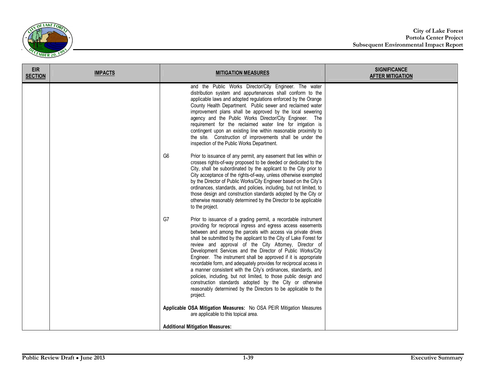

| <b>EIR</b><br><b>SECTION</b> | <b>IMPACTS</b> | <b>MITIGATION MEASURES</b>                                                                                                                                                                                                                                                                                                                                                                                                                                                                                                                                                                                                                                                                                                                                                                                               | <b>SIGNIFICANCE</b><br><b>AFTER MITIGATION</b> |
|------------------------------|----------------|--------------------------------------------------------------------------------------------------------------------------------------------------------------------------------------------------------------------------------------------------------------------------------------------------------------------------------------------------------------------------------------------------------------------------------------------------------------------------------------------------------------------------------------------------------------------------------------------------------------------------------------------------------------------------------------------------------------------------------------------------------------------------------------------------------------------------|------------------------------------------------|
|                              |                | and the Public Works Director/City Engineer. The water<br>distribution system and appurtenances shall conform to the<br>applicable laws and adopted regulations enforced by the Orange<br>County Health Department. Public sewer and reclaimed water<br>improvement plans shall be approved by the local sewering<br>agency and the Public Works Director/City Engineer. The<br>requirement for the reclaimed water line for irrigation is<br>contingent upon an existing line within reasonable proximity to<br>the site. Construction of improvements shall be under the<br>inspection of the Public Works Department.                                                                                                                                                                                                 |                                                |
|                              |                | G <sub>6</sub><br>Prior to issuance of any permit, any easement that lies within or<br>crosses rights-of-way proposed to be deeded or dedicated to the<br>City, shall be subordinated by the applicant to the City prior to<br>City acceptance of the rights-of-way, unless otherwise exempted<br>by the Director of Public Works/City Engineer based on the City's<br>ordinances, standards, and policies, including, but not limited, to<br>those design and construction standards adopted by the City or<br>otherwise reasonably determined by the Director to be applicable<br>to the project.                                                                                                                                                                                                                      |                                                |
|                              |                | G7<br>Prior to issuance of a grading permit, a recordable instrument<br>providing for reciprocal ingress and egress access easements<br>between and among the parcels with access via private drives<br>shall be submitted by the applicant to the City of Lake Forest for<br>review and approval of the City Attorney, Director of<br>Development Services and the Director of Public Works/City<br>Engineer. The instrument shall be approved if it is appropriate<br>recordable form, and adequately provides for reciprocal access in<br>a manner consistent with the City's ordinances, standards, and<br>policies, including, but not limited, to those public design and<br>construction standards adopted by the City or otherwise<br>reasonably determined by the Directors to be applicable to the<br>project. |                                                |
|                              |                | Applicable OSA Mitigation Measures: No OSA PEIR Mitigation Measures<br>are applicable to this topical area.                                                                                                                                                                                                                                                                                                                                                                                                                                                                                                                                                                                                                                                                                                              |                                                |
|                              |                | <b>Additional Mitigation Measures:</b>                                                                                                                                                                                                                                                                                                                                                                                                                                                                                                                                                                                                                                                                                                                                                                                   |                                                |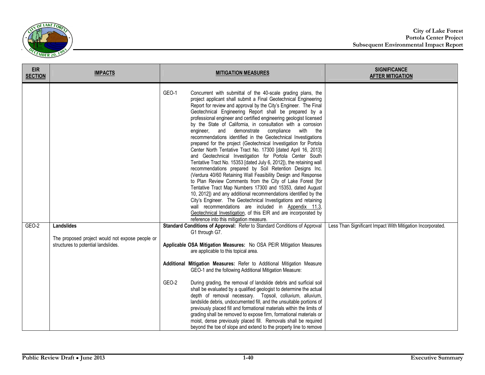

| <b>EIR</b><br><b>SECTION</b> | <b>IMPACTS</b>                                                                                              | <b>MITIGATION MEASURES</b>                                                                                                                                                                                                                                                                                                                                                                                                                                                                                                                                                                                                                                                                                                                                                                                                                                                                                                                                                                                                                                                                                                                                                                                                                                                                                                                                            | <b>SIGNIFICANCE</b><br><b>AFTER MITIGATION</b>             |
|------------------------------|-------------------------------------------------------------------------------------------------------------|-----------------------------------------------------------------------------------------------------------------------------------------------------------------------------------------------------------------------------------------------------------------------------------------------------------------------------------------------------------------------------------------------------------------------------------------------------------------------------------------------------------------------------------------------------------------------------------------------------------------------------------------------------------------------------------------------------------------------------------------------------------------------------------------------------------------------------------------------------------------------------------------------------------------------------------------------------------------------------------------------------------------------------------------------------------------------------------------------------------------------------------------------------------------------------------------------------------------------------------------------------------------------------------------------------------------------------------------------------------------------|------------------------------------------------------------|
|                              |                                                                                                             | GEO-1<br>Concurrent with submittal of the 40-scale grading plans, the<br>project applicant shall submit a Final Geotechnical Engineering<br>Report for review and approval by the City's Engineer. The Final<br>Geotechnical Engineering Report shall be prepared by a<br>professional engineer and certified engineering geologist licensed<br>by the State of California, in consultation with a corrosion<br>engineer, and demonstrate compliance with the<br>recommendations identified in the Geotechnical Investigations<br>prepared for the project (Geotechnical Investigation for Portola<br>Center North Tentative Tract No. 17300 [dated April 16, 2013]<br>and Geotechnical Investigation for Portola Center South<br>Tentative Tract No. 15353 [dated July 6, 2012]), the retaining wall<br>recommendations prepared by Soil Retention Designs Inc.<br>(Verdura 40/60 Retaining Wall Feasibility Design and Response<br>to Plan Review Comments from the City of Lake Forest [for<br>Tentative Tract Map Numbers 17300 and 15353, dated August<br>10, 2012]) and any additional recommendations identified by the<br>City's Engineer. The Geotechnical Investigations and retaining<br>wall recommendations are included in Appendix 11.3,<br>Geotechnical Investigation, of this EIR and are incorporated by<br>reference into this mitigation measure. |                                                            |
| $GEO-2$                      | <b>Landslides</b><br>The proposed project would not expose people or<br>structures to potential landslides. | Standard Conditions of Approval: Refer to Standard Conditions of Approval<br>G1 through G7.<br>Applicable OSA Mitigation Measures: No OSA PEIR Mitigation Measures<br>are applicable to this topical area.<br>Additional Mitigation Measures: Refer to Additional Mitigation Measure<br>GEO-1 and the following Additional Mitigation Measure:<br>GEO-2<br>During grading, the removal of landslide debris and surficial soil<br>shall be evaluated by a qualified geologist to determine the actual<br>depth of removal necessary. Topsoil, colluvium, alluvium,<br>landslide debris, undocumented fill, and the unsuitable portions of<br>previously placed fill and formational materials within the limits of<br>grading shall be removed to expose firm, formational materials or<br>moist, dense previously placed fill. Removals shall be required<br>beyond the toe of slope and extend to the property line to remove                                                                                                                                                                                                                                                                                                                                                                                                                                        | Less Than Significant Impact With Mitigation Incorporated. |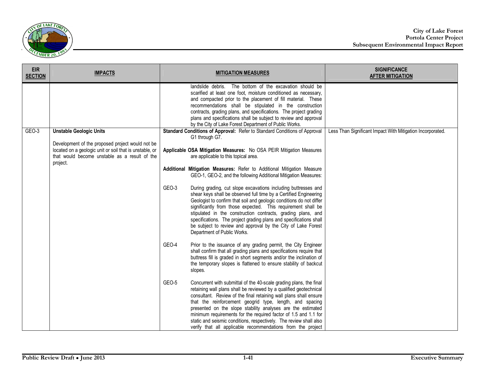

| <b>EIR</b><br><b>SECTION</b> | <b>IMPACTS</b>                                                                                                                                                           | <b>MITIGATION MEASURES</b>                                                                                                                                                                                                                                                                                                                                                                                                                                                                                                                                | <b>SIGNIFICANCE</b><br><b>AFTER MITIGATION</b>             |
|------------------------------|--------------------------------------------------------------------------------------------------------------------------------------------------------------------------|-----------------------------------------------------------------------------------------------------------------------------------------------------------------------------------------------------------------------------------------------------------------------------------------------------------------------------------------------------------------------------------------------------------------------------------------------------------------------------------------------------------------------------------------------------------|------------------------------------------------------------|
|                              |                                                                                                                                                                          | The bottom of the excavation should be<br>landslide debris.<br>scarified at least one foot, moisture conditioned as necessary,<br>and compacted prior to the placement of fill material. These<br>recommendations shall be stipulated in the construction<br>contracts, grading plans, and specifications. The project grading<br>plans and specifications shall be subject to review and approval<br>by the City of Lake Forest Department of Public Works.                                                                                              |                                                            |
| $GEO-3$                      | <b>Unstable Geologic Units</b>                                                                                                                                           | Standard Conditions of Approval: Refer to Standard Conditions of Approval<br>G1 through G7.                                                                                                                                                                                                                                                                                                                                                                                                                                                               | Less Than Significant Impact With Mitigation Incorporated. |
|                              | Development of the proposed project would not be<br>located on a geologic unit or soil that is unstable, or<br>that would become unstable as a result of the<br>project. | Applicable OSA Mitigation Measures: No OSA PEIR Mitigation Measures<br>are applicable to this topical area.                                                                                                                                                                                                                                                                                                                                                                                                                                               |                                                            |
|                              |                                                                                                                                                                          | Additional Mitigation Measures: Refer to Additional Mitigation Measure<br>GEO-1, GEO-2, and the following Additional Mitigation Measures:                                                                                                                                                                                                                                                                                                                                                                                                                 |                                                            |
|                              |                                                                                                                                                                          | GEO-3<br>During grading, cut slope excavations including buttresses and<br>shear keys shall be observed full time by a Certified Engineering<br>Geologist to confirm that soil and geologic conditions do not differ<br>significantly from those expected. This requirement shall be<br>stipulated in the construction contracts, grading plans, and<br>specifications. The project grading plans and specifications shall<br>be subject to review and approval by the City of Lake Forest<br>Department of Public Works.                                 |                                                            |
|                              |                                                                                                                                                                          | GEO-4<br>Prior to the issuance of any grading permit, the City Engineer<br>shall confirm that all grading plans and specifications require that<br>buttress fill is graded in short segments and/or the inclination of<br>the temporary slopes is flattened to ensure stability of backcut<br>slopes.                                                                                                                                                                                                                                                     |                                                            |
|                              |                                                                                                                                                                          | GEO-5<br>Concurrent with submittal of the 40-scale grading plans, the final<br>retaining wall plans shall be reviewed by a qualified geotechnical<br>consultant. Review of the final retaining wall plans shall ensure<br>that the reinforcement geogrid type, length, and spacing<br>presented on the slope stability analyses are the estimated<br>minimum requirements for the required factor of 1.5 and 1.1 for<br>static and seismic conditions, respectively. The review shall also<br>verify that all applicable recommendations from the project |                                                            |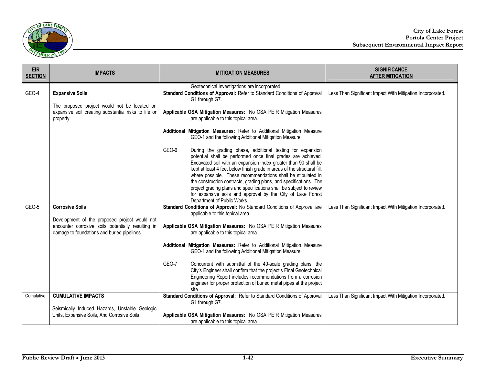

| <b>EIR</b><br><b>SECTION</b> | <b>IMPACTS</b>                                                                                                    | <b>MITIGATION MEASURES</b>                                                                                                                                                                                                                                                                                                                                                                                                                                                                                                                                                                    | <b>SIGNIFICANCE</b><br><b>AFTER MITIGATION</b>             |
|------------------------------|-------------------------------------------------------------------------------------------------------------------|-----------------------------------------------------------------------------------------------------------------------------------------------------------------------------------------------------------------------------------------------------------------------------------------------------------------------------------------------------------------------------------------------------------------------------------------------------------------------------------------------------------------------------------------------------------------------------------------------|------------------------------------------------------------|
|                              |                                                                                                                   | Geotechnical Investigations are incorporated.                                                                                                                                                                                                                                                                                                                                                                                                                                                                                                                                                 |                                                            |
| $GEO-4$                      | <b>Expansive Soils</b>                                                                                            | Standard Conditions of Approval: Refer to Standard Conditions of Approval<br>G1 through G7.                                                                                                                                                                                                                                                                                                                                                                                                                                                                                                   | Less Than Significant Impact With Mitigation Incorporated. |
|                              | The proposed project would not be located on<br>expansive soil creating substantial risks to life or<br>property. | Applicable OSA Mitigation Measures: No OSA PEIR Mitigation Measures<br>are applicable to this topical area.                                                                                                                                                                                                                                                                                                                                                                                                                                                                                   |                                                            |
|                              |                                                                                                                   | Additional Mitigation Measures: Refer to Additional Mitigation Measure<br>GEO-1 and the following Additional Mitigation Measure:                                                                                                                                                                                                                                                                                                                                                                                                                                                              |                                                            |
|                              |                                                                                                                   | GEO-6<br>During the grading phase, additional testing for expansion<br>potential shall be performed once final grades are achieved.<br>Excavated soil with an expansion index greater than 90 shall be<br>kept at least 4 feet below finish grade in areas of the structural fill,<br>where possible. These recommendations shall be stipulated in<br>the construction contracts, grading plans, and specifications. The<br>project grading plans and specifications shall be subject to review<br>for expansive soils and approval by the City of Lake Forest<br>Department of Public Works. |                                                            |
| $GEO-5$                      | <b>Corrosive Soils</b>                                                                                            | Standard Conditions of Approval: No Standard Conditions of Approval are                                                                                                                                                                                                                                                                                                                                                                                                                                                                                                                       | Less Than Significant Impact With Mitigation Incorporated. |
|                              |                                                                                                                   | applicable to this topical area.                                                                                                                                                                                                                                                                                                                                                                                                                                                                                                                                                              |                                                            |
|                              | Development of the proposed project would not<br>encounter corrosive soils potentially resulting in               | Applicable OSA Mitigation Measures: No OSA PEIR Mitigation Measures                                                                                                                                                                                                                                                                                                                                                                                                                                                                                                                           |                                                            |
|                              | damage to foundations and buried pipelines.                                                                       | are applicable to this topical area.                                                                                                                                                                                                                                                                                                                                                                                                                                                                                                                                                          |                                                            |
|                              |                                                                                                                   | Additional Mitigation Measures: Refer to Additional Mitigation Measure<br>GEO-1 and the following Additional Mitigation Measure:                                                                                                                                                                                                                                                                                                                                                                                                                                                              |                                                            |
|                              |                                                                                                                   | GEO-7<br>Concurrent with submittal of the 40-scale grading plans, the<br>City's Engineer shall confirm that the project's Final Geotechnical<br>Engineering Report includes recommendations from a corrosion<br>engineer for proper protection of buried metal pipes at the project<br>site.                                                                                                                                                                                                                                                                                                  |                                                            |
| Cumulative                   | <b>CUMULATIVE IMPACTS</b>                                                                                         | Standard Conditions of Approval: Refer to Standard Conditions of Approval<br>G1 through G7.                                                                                                                                                                                                                                                                                                                                                                                                                                                                                                   | Less Than Significant Impact With Mitigation Incorporated. |
|                              | Seismically Induced Hazards, Unstable Geologic                                                                    |                                                                                                                                                                                                                                                                                                                                                                                                                                                                                                                                                                                               |                                                            |
|                              | Units, Expansive Soils, And Corrosive Soils                                                                       | Applicable OSA Mitigation Measures: No OSA PEIR Mitigation Measures<br>are applicable to this topical area.                                                                                                                                                                                                                                                                                                                                                                                                                                                                                   |                                                            |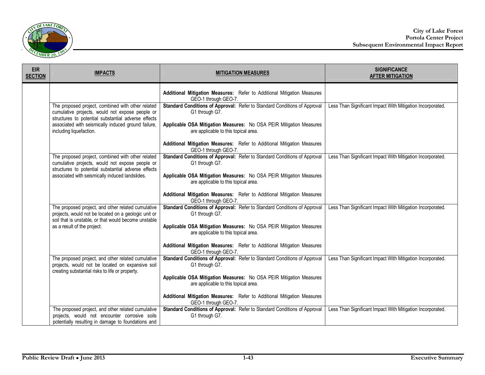

| <b>EIR</b><br><b>SECTION</b> | <b>IMPACTS</b>                                                                                                                                                     | <b>MITIGATION MEASURES</b>                                                                                  | <b>SIGNIFICANCE</b><br><b>AFTER MITIGATION</b>             |
|------------------------------|--------------------------------------------------------------------------------------------------------------------------------------------------------------------|-------------------------------------------------------------------------------------------------------------|------------------------------------------------------------|
|                              |                                                                                                                                                                    | Additional Mitigation Measures: Refer to Additional Mitigation Measures<br>GEO-1 through GEO-7.             |                                                            |
|                              | The proposed project, combined with other related<br>cumulative projects, would not expose people or<br>structures to potential substantial adverse effects        | Standard Conditions of Approval: Refer to Standard Conditions of Approval<br>G1 through G7.                 | Less Than Significant Impact With Mitigation Incorporated. |
|                              | associated with seismically induced ground failure,<br>including liquefaction.                                                                                     | Applicable OSA Mitigation Measures: No OSA PEIR Mitigation Measures<br>are applicable to this topical area. |                                                            |
|                              |                                                                                                                                                                    | Additional Mitigation Measures: Refer to Additional Mitigation Measures<br>GEO-1 through GEO-7.             |                                                            |
|                              | The proposed project, combined with other related<br>cumulative projects, would not expose people or<br>structures to potential substantial adverse effects        | Standard Conditions of Approval: Refer to Standard Conditions of Approval<br>G1 through G7.                 | Less Than Significant Impact With Mitigation Incorporated. |
|                              | associated with seismically induced landslides.                                                                                                                    | Applicable OSA Mitigation Measures: No OSA PEIR Mitigation Measures<br>are applicable to this topical area. |                                                            |
|                              |                                                                                                                                                                    | Additional Mitigation Measures: Refer to Additional Mitigation Measures<br>GEO-1 through GEO-7.             |                                                            |
|                              | The proposed project, and other related cumulative<br>projects, would not be located on a geologic unit or<br>soil that is unstable, or that would become unstable | Standard Conditions of Approval: Refer to Standard Conditions of Approval<br>G1 through G7.                 | Less Than Significant Impact With Mitigation Incorporated. |
|                              | as a result of the project.                                                                                                                                        | Applicable OSA Mitigation Measures: No OSA PEIR Mitigation Measures<br>are applicable to this topical area. |                                                            |
|                              |                                                                                                                                                                    | Additional Mitigation Measures: Refer to Additional Mitigation Measures<br>GEO-1 through GEO-7.             |                                                            |
|                              | The proposed project, and other related cumulative<br>projects, would not be located on expansive soil<br>creating substantial risks to life or property.          | Standard Conditions of Approval: Refer to Standard Conditions of Approval<br>G1 through G7.                 | Less Than Significant Impact With Mitigation Incorporated. |
|                              |                                                                                                                                                                    | Applicable OSA Mitigation Measures: No OSA PEIR Mitigation Measures<br>are applicable to this topical area. |                                                            |
|                              |                                                                                                                                                                    | Additional Mitigation Measures: Refer to Additional Mitigation Measures<br>GEO-1 through GEO-7.             |                                                            |
|                              | The proposed project, and other related cumulative<br>projects, would not encounter corrosive soils<br>potentially resulting in damage to foundations and          | Standard Conditions of Approval: Refer to Standard Conditions of Approval<br>G1 through G7.                 | Less Than Significant Impact With Mitigation Incorporated. |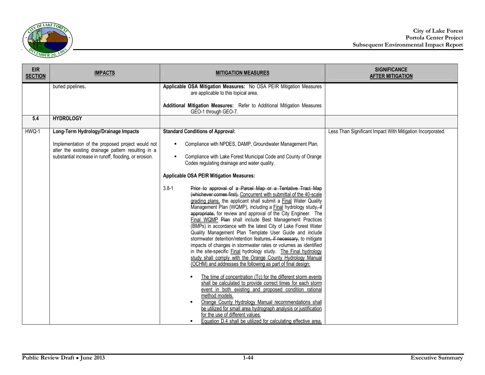

| <b>EIR</b><br><b>SECTION</b> | <b>IMPACTS</b>                                                                                                                                                  | <b>MITIGATION MEASURES</b>                                                                                                                                                                                                                                                                                                                                                                                                                                                                                                                                                                                                                                                                                                                                                                                                                                                                                                                                                                                                                                                                                                                                                                                                                                                                                                             | <b>SIGNIFICANCE</b><br><b>AFTER MITIGATION</b>             |
|------------------------------|-----------------------------------------------------------------------------------------------------------------------------------------------------------------|----------------------------------------------------------------------------------------------------------------------------------------------------------------------------------------------------------------------------------------------------------------------------------------------------------------------------------------------------------------------------------------------------------------------------------------------------------------------------------------------------------------------------------------------------------------------------------------------------------------------------------------------------------------------------------------------------------------------------------------------------------------------------------------------------------------------------------------------------------------------------------------------------------------------------------------------------------------------------------------------------------------------------------------------------------------------------------------------------------------------------------------------------------------------------------------------------------------------------------------------------------------------------------------------------------------------------------------|------------------------------------------------------------|
|                              | buried pipelines.                                                                                                                                               | Applicable OSA Mitigation Measures: No OSA PEIR Mitigation Measures<br>are applicable to this topical area.                                                                                                                                                                                                                                                                                                                                                                                                                                                                                                                                                                                                                                                                                                                                                                                                                                                                                                                                                                                                                                                                                                                                                                                                                            |                                                            |
|                              |                                                                                                                                                                 | Additional Mitigation Measures: Refer to Additional Mitigation Measures<br>GEO-1 through GEO-7.                                                                                                                                                                                                                                                                                                                                                                                                                                                                                                                                                                                                                                                                                                                                                                                                                                                                                                                                                                                                                                                                                                                                                                                                                                        |                                                            |
| 5.4                          | <b>HYDROLOGY</b>                                                                                                                                                |                                                                                                                                                                                                                                                                                                                                                                                                                                                                                                                                                                                                                                                                                                                                                                                                                                                                                                                                                                                                                                                                                                                                                                                                                                                                                                                                        |                                                            |
| HWQ-1                        | Long-Term Hydrology/Drainage Impacts                                                                                                                            | <b>Standard Conditions of Approval:</b>                                                                                                                                                                                                                                                                                                                                                                                                                                                                                                                                                                                                                                                                                                                                                                                                                                                                                                                                                                                                                                                                                                                                                                                                                                                                                                | Less Than Significant Impact With Mitigation Incorporated. |
|                              | Implementation of the proposed project would not<br>alter the existing drainage pattern resulting in a<br>substantial increase in runoff, flooding, or erosion. | Compliance with NPDES, DAMP, Groundwater Management Plan.<br>٠<br>Compliance with Lake Forest Municipal Code and County of Orange<br>٠<br>Codes regulating drainage and water quality.                                                                                                                                                                                                                                                                                                                                                                                                                                                                                                                                                                                                                                                                                                                                                                                                                                                                                                                                                                                                                                                                                                                                                 |                                                            |
|                              |                                                                                                                                                                 | <b>Applicable OSA PEIR Mitigation Measures:</b>                                                                                                                                                                                                                                                                                                                                                                                                                                                                                                                                                                                                                                                                                                                                                                                                                                                                                                                                                                                                                                                                                                                                                                                                                                                                                        |                                                            |
|                              |                                                                                                                                                                 | $3.8 - 1$<br>Prior to approval of a Parcel Map or a Tentative Tract Map<br>(whichever comes first), Concurrent with submittal of the 40-scale<br>grading plans, the applicant shall submit a Final Water Quality<br>Management Plan (WQMP), including a Final hydrology study, if<br>appropriate, for review and approval of the City Engineer. The<br>Final WQMP Plan shall include Best Management Practices<br>(BMPs) in accordance with the latest City of Lake Forest Water<br>Quality Management Plan Template User Guide and include<br>stormwater detention/retention features, if necessary, to mitigate<br>impacts of changes in stormwater rates or volumes as identified<br>in the site-specific Final hydrology study. The Final hydrology<br>study shall comply with the Orange County Hydrology Manual<br>(OCHM) and addresses the following as part of final design:<br>The time of concentration (Tc) for the different storm events<br>shall be calculated to provide correct times for each storm<br>event in both existing and proposed condition rational<br>method models.<br>Orange County Hydrology Manual recommendations shall<br>be utilized for small area hydrograph analysis or iustification<br>for the use of different values.<br>Equation D.4 shall be utilized for calculating effective area.<br>٠ |                                                            |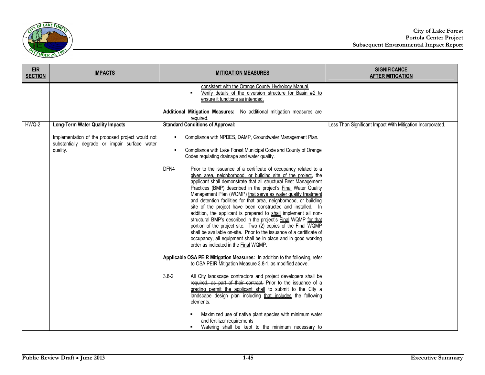

| <b>EIR</b><br><b>SECTION</b> | <b>IMPACTS</b>                                                                                                | <b>MITIGATION MEASURES</b>                                                                                                                                                                                                                                                                                                                                                                                                                                                                                                                                                                                                                                                                                                                                                                                                                                                                                                                                                                                                                                                      | <b>SIGNIFICANCE</b><br><b>AFTER MITIGATION</b>             |
|------------------------------|---------------------------------------------------------------------------------------------------------------|---------------------------------------------------------------------------------------------------------------------------------------------------------------------------------------------------------------------------------------------------------------------------------------------------------------------------------------------------------------------------------------------------------------------------------------------------------------------------------------------------------------------------------------------------------------------------------------------------------------------------------------------------------------------------------------------------------------------------------------------------------------------------------------------------------------------------------------------------------------------------------------------------------------------------------------------------------------------------------------------------------------------------------------------------------------------------------|------------------------------------------------------------|
|                              |                                                                                                               | consistent with the Orange County Hydrology Manual.<br>Verify details of the diversion structure for Basin #2 to<br>ensure it functions as intended.<br>Additional Mitigation Measures: No additional mitigation measures are                                                                                                                                                                                                                                                                                                                                                                                                                                                                                                                                                                                                                                                                                                                                                                                                                                                   |                                                            |
| HWQ-2                        | <b>Long-Term Water Quality Impacts</b>                                                                        | required.<br><b>Standard Conditions of Approval:</b>                                                                                                                                                                                                                                                                                                                                                                                                                                                                                                                                                                                                                                                                                                                                                                                                                                                                                                                                                                                                                            | Less Than Significant Impact With Mitigation Incorporated. |
|                              | Implementation of the proposed project would not<br>substantially degrade or impair surface water<br>quality. | Compliance with NPDES, DAMP, Groundwater Management Plan.<br>٠<br>Compliance with Lake Forest Municipal Code and County of Orange<br>٠<br>Codes regulating drainage and water quality.<br>DFN4<br>Prior to the issuance of a certificate of occupancy related to a<br>given area, neighborhood, or building site of the project, the<br>applicant shall demonstrate that all structural Best Management<br>Practices (BMP) described in the project's <b>Final Water Quality</b><br>Management Plan (WQMP) that serve as water quality treatment<br>and detention facilities for that area, neighborhood, or building<br>site of the project have been constructed and installed. In<br>addition, the applicant is prepared to shall implement all non-<br>structural BMP's described in the project's Final WQMP for that<br>portion of the project site. Two (2) copies of the Final WQMP<br>shall be available on-site. Prior to the issuance of a certificate of<br>occupancy, all equipment shall be in place and in good working<br>order as indicated in the Final WQMP. |                                                            |
|                              |                                                                                                               | Applicable OSA PEIR Mitigation Measures: In addition to the following, refer<br>to OSA PEIR Mitigation Measure 3.8-1, as modified above.                                                                                                                                                                                                                                                                                                                                                                                                                                                                                                                                                                                                                                                                                                                                                                                                                                                                                                                                        |                                                            |
|                              |                                                                                                               | $3.8 - 2$<br>All City landscape contractors and project developers shall be<br>required, as part of their contract, Prior to the issuance of a<br>grading permit the applicant shall to submit to the City a<br>landscape design plan including that includes the following<br>elements:<br>Maximized use of native plant species with minimum water<br>and fertilizer requirements<br>Watering shall be kept to the minimum necessary to                                                                                                                                                                                                                                                                                                                                                                                                                                                                                                                                                                                                                                       |                                                            |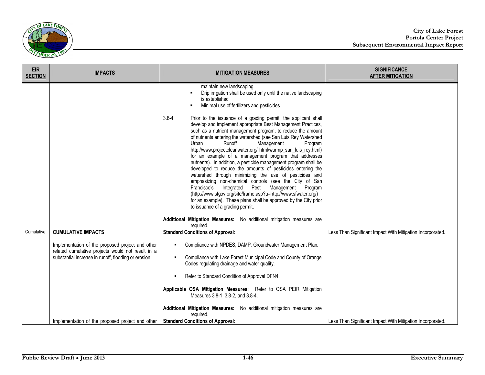

|            |                                                                                                                                                                                                                   | maintain new landscaping<br>Drip irrigation shall be used only until the native landscaping                                                                                                                                                                                                                                                                                                                                                                                                                                                                                                                                                                                                                                                                                                                                                                                                                                                                                                                                                                                            |                                                            |
|------------|-------------------------------------------------------------------------------------------------------------------------------------------------------------------------------------------------------------------|----------------------------------------------------------------------------------------------------------------------------------------------------------------------------------------------------------------------------------------------------------------------------------------------------------------------------------------------------------------------------------------------------------------------------------------------------------------------------------------------------------------------------------------------------------------------------------------------------------------------------------------------------------------------------------------------------------------------------------------------------------------------------------------------------------------------------------------------------------------------------------------------------------------------------------------------------------------------------------------------------------------------------------------------------------------------------------------|------------------------------------------------------------|
|            |                                                                                                                                                                                                                   | is established<br>Minimal use of fertilizers and pesticides<br>$3.8 - 4$<br>Prior to the issuance of a grading permit, the applicant shall<br>develop and implement appropriate Best Management Practices,<br>such as a nutrient management program, to reduce the amount<br>of nutrients entering the watershed (see San Luis Rey Watershed<br>Runoff<br>Urban<br>Management<br>Program<br>http://www.projectcleanwater.org/ html/wurmp_san_luis_rey.html)<br>for an example of a management program that addresses<br>nutrients). In addition, a pesticide management program shall be<br>developed to reduce the amounts of pesticides entering the<br>watershed through minimizing the use of pesticides and<br>emphasizing non-chemical controls (see the City of San<br>Francisco's<br>Integrated Pest Management<br>Program<br>(http://www.sfgov.org/site/frame.asp?u=http://www.sfwater.org/)<br>for an example). These plans shall be approved by the City prior<br>to issuance of a grading permit.<br>Additional Mitigation Measures: No additional mitigation measures are |                                                            |
| Cumulative | <b>CUMULATIVE IMPACTS</b>                                                                                                                                                                                         | required.<br><b>Standard Conditions of Approval:</b>                                                                                                                                                                                                                                                                                                                                                                                                                                                                                                                                                                                                                                                                                                                                                                                                                                                                                                                                                                                                                                   | Less Than Significant Impact With Mitigation Incorporated. |
|            | Implementation of the proposed project and other<br>related cumulative projects would not result in a<br>substantial increase in runoff, flooding or erosion.<br>Implementation of the proposed project and other | Compliance with NPDES, DAMP, Groundwater Management Plan.<br>Compliance with Lake Forest Municipal Code and County of Orange<br>Codes regulating drainage and water quality.<br>Refer to Standard Condition of Approval DFN4.<br>Applicable OSA Mitigation Measures: Refer to OSA PEIR Mitigation<br>Measures 3.8-1, 3.8-2, and 3.8-4.<br>Additional Mitigation Measures: No additional mitigation measures are<br>required.<br><b>Standard Conditions of Approval:</b>                                                                                                                                                                                                                                                                                                                                                                                                                                                                                                                                                                                                                | Less Than Significant Impact With Mitigation Incorporated. |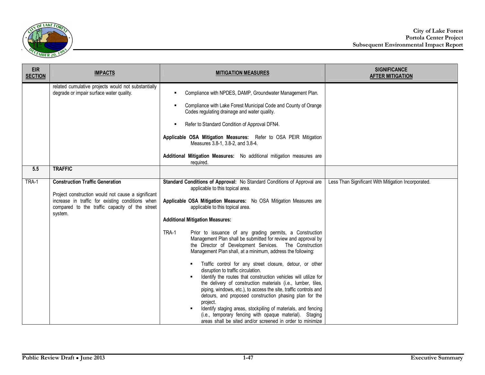

| <b>EIR</b><br><b>SECTION</b> | <b>IMPACTS</b>                                                                                                                                                                                                | <b>MITIGATION MEASURES</b>                                                                                                                                                                                                                                                                                                                                                                                                                                                                                                                                                                                                                                                                                                                                                                                                                                                                                                                                                                                                                                                                              | <b>SIGNIFICANCE</b><br><b>AFTER MITIGATION</b>      |
|------------------------------|---------------------------------------------------------------------------------------------------------------------------------------------------------------------------------------------------------------|---------------------------------------------------------------------------------------------------------------------------------------------------------------------------------------------------------------------------------------------------------------------------------------------------------------------------------------------------------------------------------------------------------------------------------------------------------------------------------------------------------------------------------------------------------------------------------------------------------------------------------------------------------------------------------------------------------------------------------------------------------------------------------------------------------------------------------------------------------------------------------------------------------------------------------------------------------------------------------------------------------------------------------------------------------------------------------------------------------|-----------------------------------------------------|
|                              | related cumulative projects would not substantially<br>degrade or impair surface water quality.                                                                                                               | Compliance with NPDES, DAMP, Groundwater Management Plan.                                                                                                                                                                                                                                                                                                                                                                                                                                                                                                                                                                                                                                                                                                                                                                                                                                                                                                                                                                                                                                               |                                                     |
|                              |                                                                                                                                                                                                               | Compliance with Lake Forest Municipal Code and County of Orange<br>٠<br>Codes regulating drainage and water quality.                                                                                                                                                                                                                                                                                                                                                                                                                                                                                                                                                                                                                                                                                                                                                                                                                                                                                                                                                                                    |                                                     |
|                              |                                                                                                                                                                                                               | Refer to Standard Condition of Approval DFN4.                                                                                                                                                                                                                                                                                                                                                                                                                                                                                                                                                                                                                                                                                                                                                                                                                                                                                                                                                                                                                                                           |                                                     |
|                              |                                                                                                                                                                                                               | Applicable OSA Mitigation Measures: Refer to OSA PEIR Mitigation<br>Measures 3.8-1, 3.8-2, and 3.8-4.                                                                                                                                                                                                                                                                                                                                                                                                                                                                                                                                                                                                                                                                                                                                                                                                                                                                                                                                                                                                   |                                                     |
|                              |                                                                                                                                                                                                               | Additional Mitigation Measures: No additional mitigation measures are<br>required.                                                                                                                                                                                                                                                                                                                                                                                                                                                                                                                                                                                                                                                                                                                                                                                                                                                                                                                                                                                                                      |                                                     |
| 5.5                          | <b>TRAFFIC</b>                                                                                                                                                                                                |                                                                                                                                                                                                                                                                                                                                                                                                                                                                                                                                                                                                                                                                                                                                                                                                                                                                                                                                                                                                                                                                                                         |                                                     |
| TRA-1                        | <b>Construction Traffic Generation</b><br>Project construction would not cause a significant<br>increase in traffic for existing conditions when<br>compared to the traffic capacity of the street<br>system. | Standard Conditions of Approval: No Standard Conditions of Approval are<br>applicable to this topical area.<br>Applicable OSA Mitigation Measures: No OSA Mitigation Measures are<br>applicable to this topical area.<br><b>Additional Mitigation Measures:</b><br>TRA-1<br>Prior to issuance of any grading permits, a Construction<br>Management Plan shall be submitted for review and approval by<br>the Director of Development Services. The Construction<br>Management Plan shall, at a minimum, address the following:<br>Traffic control for any street closure, detour, or other<br>disruption to traffic circulation.<br>Identify the routes that construction vehicles will utilize for<br>the delivery of construction materials (i.e., lumber, tiles,<br>piping, windows, etc.), to access the site, traffic controls and<br>detours, and proposed construction phasing plan for the<br>project.<br>Identify staging areas, stockpiling of materials, and fencing<br>(i.e., temporary fencing with opaque material). Staging<br>areas shall be sited and/or screened in order to minimize | Less Than Significant With Mitigation Incorporated. |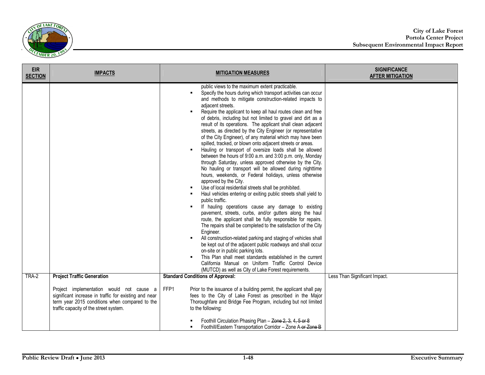

| <b>EIR</b><br><b>SECTION</b> | <b>IMPACTS</b>                                                                                                                                                                                | <b>MITIGATION MEASURES</b>                                                                                                                                                                                                                                                                                                                                                                                                                                                                                                                                                                                                                                                                                                                                                                                                                                                                                                                                                                                                                                                                                                                                                                                                                                                                                                                                                                                                                                                                                                                                                                                                                                                                        | <b>SIGNIFICANCE</b><br><b>AFTER MITIGATION</b> |
|------------------------------|-----------------------------------------------------------------------------------------------------------------------------------------------------------------------------------------------|---------------------------------------------------------------------------------------------------------------------------------------------------------------------------------------------------------------------------------------------------------------------------------------------------------------------------------------------------------------------------------------------------------------------------------------------------------------------------------------------------------------------------------------------------------------------------------------------------------------------------------------------------------------------------------------------------------------------------------------------------------------------------------------------------------------------------------------------------------------------------------------------------------------------------------------------------------------------------------------------------------------------------------------------------------------------------------------------------------------------------------------------------------------------------------------------------------------------------------------------------------------------------------------------------------------------------------------------------------------------------------------------------------------------------------------------------------------------------------------------------------------------------------------------------------------------------------------------------------------------------------------------------------------------------------------------------|------------------------------------------------|
|                              |                                                                                                                                                                                               | public views to the maximum extent practicable.<br>Specify the hours during which transport activities can occur<br>and methods to mitigate construction-related impacts to<br>adjacent streets.<br>Require the applicant to keep all haul routes clean and free<br>of debris, including but not limited to gravel and dirt as a<br>result of its operations. The applicant shall clean adjacent<br>streets, as directed by the City Engineer (or representative<br>of the City Engineer), of any material which may have been<br>spilled, tracked, or blown onto adjacent streets or areas.<br>Hauling or transport of oversize loads shall be allowed<br>between the hours of 9:00 a.m. and 3:00 p.m. only, Monday<br>through Saturday, unless approved otherwise by the City.<br>No hauling or transport will be allowed during nighttime<br>hours, weekends, or Federal holidays, unless otherwise<br>approved by the City.<br>Use of local residential streets shall be prohibited.<br>Haul vehicles entering or exiting public streets shall yield to<br>public traffic.<br>If hauling operations cause any damage to existing<br>pavement, streets, curbs, and/or gutters along the haul<br>route, the applicant shall be fully responsible for repairs.<br>The repairs shall be completed to the satisfaction of the City<br>Engineer.<br>All construction-related parking and staging of vehicles shall<br>be kept out of the adjacent public roadways and shall occur<br>on-site or in public parking lots.<br>This Plan shall meet standards established in the current<br>California Manual on Uniform Traffic Control Device<br>(MUTCD) as well as City of Lake Forest requirements. |                                                |
| TRA-2                        | <b>Project Traffic Generation</b>                                                                                                                                                             | <b>Standard Conditions of Approval:</b>                                                                                                                                                                                                                                                                                                                                                                                                                                                                                                                                                                                                                                                                                                                                                                                                                                                                                                                                                                                                                                                                                                                                                                                                                                                                                                                                                                                                                                                                                                                                                                                                                                                           | Less Than Significant Impact.                  |
|                              | Project implementation would not cause a<br>significant increase in traffic for existing and near<br>term year 2015 conditions when compared to the<br>traffic capacity of the street system. | FFP1<br>Prior to the issuance of a building permit, the applicant shall pay<br>fees to the City of Lake Forest as prescribed in the Major<br>Thoroughfare and Bridge Fee Program, including but not limited<br>to the following:<br>Foothill Circulation Phasing Plan - Zone 2, 3, 4, 5 or 8<br>Foothill/Eastern Transportation Corridor - Zone A-or Zone B                                                                                                                                                                                                                                                                                                                                                                                                                                                                                                                                                                                                                                                                                                                                                                                                                                                                                                                                                                                                                                                                                                                                                                                                                                                                                                                                       |                                                |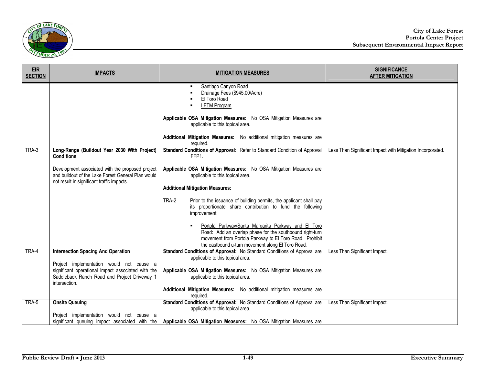

| <b>EIR</b><br><b>SECTION</b> | <b>IMPACTS</b>                                                                                                                                       | <b>MITIGATION MEASURES</b>                                                                                                                                                                                                                                                      | <b>SIGNIFICANCE</b><br><b>AFTER MITIGATION</b>             |
|------------------------------|------------------------------------------------------------------------------------------------------------------------------------------------------|---------------------------------------------------------------------------------------------------------------------------------------------------------------------------------------------------------------------------------------------------------------------------------|------------------------------------------------------------|
|                              |                                                                                                                                                      | Santiago Canyon Road<br>Drainage Fees (\$945.00/Acre)<br>El Toro Road<br><b>LFTM Program</b><br>Applicable OSA Mitigation Measures: No OSA Mitigation Measures are<br>applicable to this topical area.<br>Additional Mitigation Measures: No additional mitigation measures are |                                                            |
| TRA-3                        | Long-Range (Buildout Year 2030 With Project)                                                                                                         | required.<br>Standard Conditions of Approval: Refer to Standard Condition of Approval                                                                                                                                                                                           | Less Than Significant Impact with Mitigation Incorporated. |
|                              | <b>Conditions</b>                                                                                                                                    | FFP <sub>1</sub>                                                                                                                                                                                                                                                                |                                                            |
|                              | Development associated with the proposed project<br>and buildout of the Lake Forest General Plan would<br>not result in significant traffic impacts. | Applicable OSA Mitigation Measures: No OSA Mitigation Measures are<br>applicable to this topical area.                                                                                                                                                                          |                                                            |
|                              |                                                                                                                                                      | <b>Additional Mitigation Measures:</b>                                                                                                                                                                                                                                          |                                                            |
|                              |                                                                                                                                                      | TRA-2<br>Prior to the issuance of building permits, the applicant shall pay<br>its proportionate share contribution to fund the following<br>improvement:                                                                                                                       |                                                            |
|                              |                                                                                                                                                      | Portola Parkway/Santa Margarita Parkway and El Toro<br>Road: Add an overlap phase for the southbound right-turn                                                                                                                                                                 |                                                            |
|                              |                                                                                                                                                      | movement from Portola Parkway to El Toro Road. Prohibit<br>the eastbound u-turn movement along El Toro Road.                                                                                                                                                                    |                                                            |
| TRA-4                        | <b>Intersection Spacing And Operation</b>                                                                                                            | Standard Conditions of Approval: No Standard Conditions of Approval are<br>applicable to this topical area.                                                                                                                                                                     | Less Than Significant Impact.                              |
|                              | Project implementation would not cause a                                                                                                             |                                                                                                                                                                                                                                                                                 |                                                            |
|                              | significant operational impact associated with the<br>Saddleback Ranch Road and Project Driveway 1<br>intersection.                                  | Applicable OSA Mitigation Measures: No OSA Mitigation Measures are<br>applicable to this topical area.                                                                                                                                                                          |                                                            |
|                              |                                                                                                                                                      | Additional Mitigation Measures: No additional mitigation measures are<br>required.                                                                                                                                                                                              |                                                            |
| TRA-5                        | <b>Onsite Queuing</b>                                                                                                                                | Standard Conditions of Approval: No Standard Conditions of Approval are<br>applicable to this topical area.                                                                                                                                                                     | Less Than Significant Impact.                              |
|                              | Project implementation would not cause a                                                                                                             | significant queuing impact associated with the   Applicable OSA Mitigation Measures: No OSA Mitigation Measures are                                                                                                                                                             |                                                            |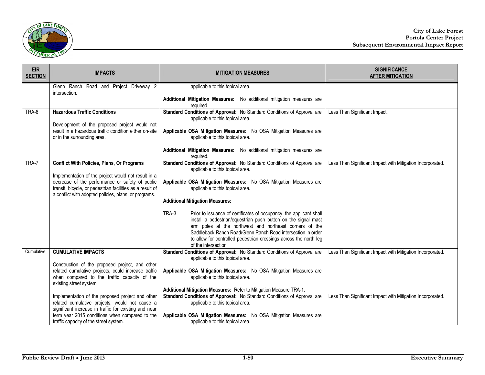

| <b>EIR</b><br><b>SECTION</b> | <b>IMPACTS</b>                                                                                                                                                                                                                                                                                                                                                                                                                                                            | <b>MITIGATION MEASURES</b>                                                                                                                                                                                                                                                                                                                                                                                                                                                                                                                                                                                                                | <b>SIGNIFICANCE</b><br><b>AFTER MITIGATION</b>                                                                           |
|------------------------------|---------------------------------------------------------------------------------------------------------------------------------------------------------------------------------------------------------------------------------------------------------------------------------------------------------------------------------------------------------------------------------------------------------------------------------------------------------------------------|-------------------------------------------------------------------------------------------------------------------------------------------------------------------------------------------------------------------------------------------------------------------------------------------------------------------------------------------------------------------------------------------------------------------------------------------------------------------------------------------------------------------------------------------------------------------------------------------------------------------------------------------|--------------------------------------------------------------------------------------------------------------------------|
|                              | Glenn Ranch Road and Project Driveway 2<br>intersection.                                                                                                                                                                                                                                                                                                                                                                                                                  | applicable to this topical area.<br>Additional Mitigation Measures: No additional mitigation measures are<br>required.                                                                                                                                                                                                                                                                                                                                                                                                                                                                                                                    |                                                                                                                          |
| TRA-6                        | <b>Hazardous Traffic Conditions</b><br>Development of the proposed project would not<br>result in a hazardous traffic condition either on-site<br>or in the surrounding area.                                                                                                                                                                                                                                                                                             | Standard Conditions of Approval: No Standard Conditions of Approval are<br>applicable to this topical area.<br>Applicable OSA Mitigation Measures: No OSA Mitigation Measures are<br>applicable to this topical area.<br>Additional Mitigation Measures: No additional mitigation measures are<br>required.                                                                                                                                                                                                                                                                                                                               | Less Than Significant Impact.                                                                                            |
| TRA-7                        | <b>Conflict With Policies, Plans, Or Programs</b><br>Implementation of the project would not result in a<br>decrease of the performance or safety of public<br>transit, bicycle, or pedestrian facilities as a result of<br>a conflict with adopted policies, plans, or programs.                                                                                                                                                                                         | Standard Conditions of Approval: No Standard Conditions of Approval are<br>applicable to this topical area.<br>Applicable OSA Mitigation Measures: No OSA Mitigation Measures are<br>applicable to this topical area.<br><b>Additional Mitigation Measures:</b><br>TRA-3<br>Prior to issuance of certificates of occupancy, the applicant shall<br>install a pedestrian/equestrian push button on the signal mast<br>arm poles at the northwest and northeast corners of the<br>Saddleback Ranch Road/Glenn Ranch Road intersection in order<br>to allow for controlled pedestrian crossings across the north leg<br>of the intersection. | Less Than Significant Impact with Mitigation Incorporated.                                                               |
| Cumulative                   | <b>CUMULATIVE IMPACTS</b><br>Construction of the proposed project, and other<br>related cumulative projects, could increase traffic<br>when compared to the traffic capacity of the<br>existing street system.<br>Implementation of the proposed project and other<br>related cumulative projects, would not cause a<br>significant increase in traffic for existing and near<br>term year 2015 conditions when compared to the<br>traffic capacity of the street system. | Standard Conditions of Approval: No Standard Conditions of Approval are<br>applicable to this topical area.<br>Applicable OSA Mitigation Measures: No OSA Mitigation Measures are<br>applicable to this topical area.<br>Additional Mitigation Measures: Refer to Mitigation Measure TRA-1.<br>Standard Conditions of Approval: No Standard Conditions of Approval are<br>applicable to this topical area.<br>Applicable OSA Mitigation Measures: No OSA Mitigation Measures are<br>applicable to this topical area.                                                                                                                      | Less Than Significant Impact with Mitigation Incorporated.<br>Less Than Significant Impact with Mitigation Incorporated. |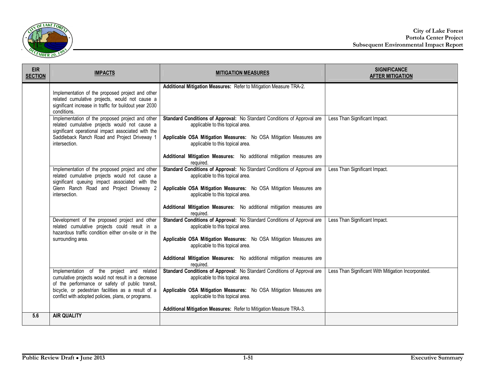

| <b>EIR</b><br><b>SECTION</b> | <b>IMPACTS</b>                                                                                                                                                                                          | <b>MITIGATION MEASURES</b>                                                                                                                                                        | <b>SIGNIFICANCE</b><br><b>AFTER MITIGATION</b>      |
|------------------------------|---------------------------------------------------------------------------------------------------------------------------------------------------------------------------------------------------------|-----------------------------------------------------------------------------------------------------------------------------------------------------------------------------------|-----------------------------------------------------|
|                              | Implementation of the proposed project and other<br>related cumulative projects, would not cause a<br>significant increase in traffic for buildout year 2030<br>conditions.                             | Additional Mitigation Measures: Refer to Mitigation Measure TRA-2.                                                                                                                |                                                     |
|                              | Implementation of the proposed project and other<br>related cumulative projects would not cause a<br>significant operational impact associated with the<br>Saddleback Ranch Road and Project Driveway 1 | Standard Conditions of Approval: No Standard Conditions of Approval are<br>applicable to this topical area.<br>Applicable OSA Mitigation Measures: No OSA Mitigation Measures are | Less Than Significant Impact.                       |
|                              | intersection.                                                                                                                                                                                           | applicable to this topical area.<br>Additional Mitigation Measures: No additional mitigation measures are<br>required.                                                            |                                                     |
|                              | Implementation of the proposed project and other<br>related cumulative projects would not cause a<br>significant queuing impact associated with the<br>Glenn Ranch Road and Project Driveway 2          | Standard Conditions of Approval: No Standard Conditions of Approval are<br>applicable to this topical area.<br>Applicable OSA Mitigation Measures: No OSA Mitigation Measures are | Less Than Significant Impact.                       |
|                              | intersection.                                                                                                                                                                                           | applicable to this topical area.<br>Additional Mitigation Measures: No additional mitigation measures are<br>required.                                                            |                                                     |
|                              | Development of the proposed project and other<br>related cumulative projects could result in a<br>hazardous traffic condition either on-site or in the<br>surrounding area.                             | Standard Conditions of Approval: No Standard Conditions of Approval are<br>applicable to this topical area.<br>Applicable OSA Mitigation Measures: No OSA Mitigation Measures are | Less Than Significant Impact.                       |
|                              |                                                                                                                                                                                                         | applicable to this topical area.<br>Additional Mitigation Measures: No additional mitigation measures are<br>required.                                                            |                                                     |
|                              | Implementation of the project and related<br>cumulative projects would not result in a decrease<br>of the performance or safety of public transit,                                                      | Standard Conditions of Approval: No Standard Conditions of Approval are<br>applicable to this topical area.                                                                       | Less Than Significant With Mitigation Incorporated. |
|                              | bicycle, or pedestrian facilities as a result of a<br>conflict with adopted policies, plans, or programs.                                                                                               | Applicable OSA Mitigation Measures: No OSA Mitigation Measures are<br>applicable to this topical area.<br>Additional Mitigation Measures: Refer to Mitigation Measure TRA-3.      |                                                     |
| 5.6                          | <b>AIR QUALITY</b>                                                                                                                                                                                      |                                                                                                                                                                                   |                                                     |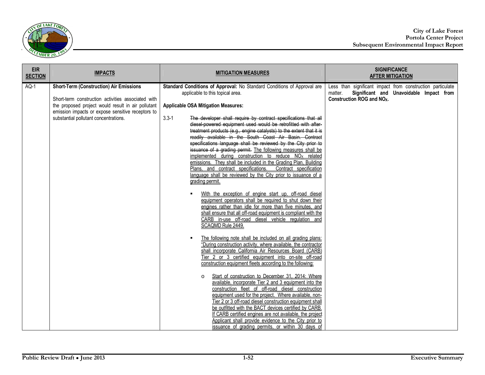

| <b>EIR</b><br><b>SECTION</b> | <b>IMPACTS</b>                                                                                                                                                                                                                                           | <b>MITIGATION MEASURES</b>                                                                                                                                                                                                                                                                                                                                                                                                                                                                                                                                                                                                                                                                                                                                                                                                                                                                                                                                                                                                                                                                                                                                                                                                                                                                                                                                                                                                                                                                                                                                                                                                                                                                                                                                                                                                                                                                                                                                                                                                                                              | <b>SIGNIFICANCE</b><br><b>AFTER MITIGATION</b>                                                                                                             |
|------------------------------|----------------------------------------------------------------------------------------------------------------------------------------------------------------------------------------------------------------------------------------------------------|-------------------------------------------------------------------------------------------------------------------------------------------------------------------------------------------------------------------------------------------------------------------------------------------------------------------------------------------------------------------------------------------------------------------------------------------------------------------------------------------------------------------------------------------------------------------------------------------------------------------------------------------------------------------------------------------------------------------------------------------------------------------------------------------------------------------------------------------------------------------------------------------------------------------------------------------------------------------------------------------------------------------------------------------------------------------------------------------------------------------------------------------------------------------------------------------------------------------------------------------------------------------------------------------------------------------------------------------------------------------------------------------------------------------------------------------------------------------------------------------------------------------------------------------------------------------------------------------------------------------------------------------------------------------------------------------------------------------------------------------------------------------------------------------------------------------------------------------------------------------------------------------------------------------------------------------------------------------------------------------------------------------------------------------------------------------------|------------------------------------------------------------------------------------------------------------------------------------------------------------|
| $AQ-1$                       | <b>Short-Term (Construction) Air Emissions</b><br>Short-term construction activities associated with<br>the proposed project would result in air pollutant<br>emission impacts or expose sensitive receptors to<br>substantial pollutant concentrations. | Standard Conditions of Approval: No Standard Conditions of Approval are<br>applicable to this topical area.<br><b>Applicable OSA Mitigation Measures:</b><br>$3.3 - 1$<br>The developer shall require by contract specifications that all<br>diesel-powered equipment used would be retrofitted with after-<br>treatment products (e.g., engine catalysts) to the extent that it is<br>readily available in the South Coast Air Basin. Contract<br>specifications language shall be reviewed by the City prior to<br>issuance of a grading permit. The following measures shall be<br>implemented during construction to reduce NO <sub>x</sub> related<br>emissions. They shall be included in the Grading Plan, Building<br>Contract specification<br>Plans, and contract specifications.<br>language shall be reviewed by the City prior to issuance of a<br>grading permit.<br>With the exception of engine start up, off-road diesel<br>equipment operators shall be required to shut down their<br>engines rather than idle for more than five minutes, and<br>shall ensure that all off-road equipment is compliant with the<br>CARB in-use off-road diesel vehicle regulation and<br>SCAQMD Rule 2449.<br>The following note shall be included on all grading plans:<br>"During construction activity, where available, the contractor<br>shall incorporate California Air Resources Board (CARB)<br>Tier 2 or 3 certified equipment into on-site off-road<br>construction equipment fleets according to the following:<br>Start of construction to December 31, 2014: Where<br>$\circ$<br>available, incorporate Tier 2 and 3 equipment into the<br>construction fleet of off-road diesel construction<br>equipment used for the project. Where available, non-<br>Tier 2 or 3 off-road diesel construction equipment shall<br>be outfitted with the BACT devices certified by CARB.<br>If CARB certified engines are not available, the project<br>Applicant shall provide evidence to the City prior to<br>issuance of grading permits, or within 30 days of | Less than significant impact from construction particulate<br>Significant and Unavoidable Impact from<br>matter.<br>Construction ROG and NO <sub>x</sub> . |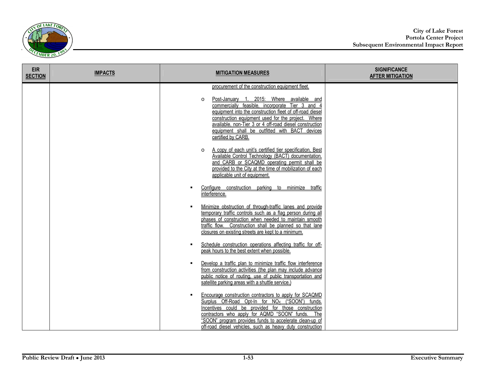

| <b>EIR</b><br><b>SECTION</b> | <b>IMPACTS</b> | <b>MITIGATION MEASURES</b>                                                                                                                                                                                                                                                                                                                                                                                       | <b>SIGNIFICANCE</b><br><b>AFTER MITIGATION</b> |
|------------------------------|----------------|------------------------------------------------------------------------------------------------------------------------------------------------------------------------------------------------------------------------------------------------------------------------------------------------------------------------------------------------------------------------------------------------------------------|------------------------------------------------|
|                              |                | procurement of the construction equipment fleet.<br>Post-January 1, 2015: Where available and<br>$\circ$<br>commercially feasible, incorporate Tier 3 and 4<br>equipment into the construction fleet of off-road diesel<br>construction equipment used for the project. Where<br>available, non-Tier 3 or 4 off-road diesel construction<br>equipment shall be outfitted with BACT devices<br>certified by CARB. |                                                |
|                              |                | A copy of each unit's certified tier specification, Best<br>$\Omega$<br>Available Control Technology (BACT) documentation.<br>and CARB or SCAQMD operating permit shall be<br>provided to the City at the time of mobilization of each<br>applicable unit of equipment.                                                                                                                                          |                                                |
|                              |                | Configure construction parking to minimize traffic<br>interference.                                                                                                                                                                                                                                                                                                                                              |                                                |
|                              |                | Minimize obstruction of through-traffic lanes and provide<br>temporary traffic controls such as a flag person during all<br>phases of construction when needed to maintain smooth<br>traffic flow. Construction shall be planned so that lane<br>closures on existing streets are kept to a minimum.                                                                                                             |                                                |
|                              |                | Schedule construction operations affecting traffic for off-<br>п<br>peak hours to the best extent when possible.                                                                                                                                                                                                                                                                                                 |                                                |
|                              |                | Develop a traffic plan to minimize traffic flow interference<br>from construction activities (the plan may include advance<br>public notice of routing, use of public transportation and<br>satellite parking areas with a shuttle service.)                                                                                                                                                                     |                                                |
|                              |                | Encourage construction contractors to apply for SCAQMD<br>Surplus Off-Road Opt-In for NO <sub>x</sub> ("SOON") funds.<br>Incentives could be provided for those construction<br>contractors who apply for AQMD "SOON" funds.<br>The<br>"SOON" program provides funds to accelerate clean-up of<br>off-road diesel vehicles, such as heavy duty construction                                                      |                                                |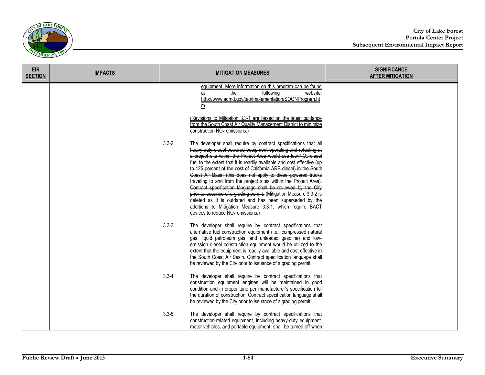

| <b>EIR</b><br><b>SECTION</b> | <b>IMPACTS</b> | <b>MITIGATION MEASURES</b>                                                                                                                                                                                                                                                                                                                                                                                                                                                                                                                                                                                                                                                                                                                                                                                                 | <b>SIGNIFICANCE</b><br><b>AFTER MITIGATION</b> |
|------------------------------|----------------|----------------------------------------------------------------------------------------------------------------------------------------------------------------------------------------------------------------------------------------------------------------------------------------------------------------------------------------------------------------------------------------------------------------------------------------------------------------------------------------------------------------------------------------------------------------------------------------------------------------------------------------------------------------------------------------------------------------------------------------------------------------------------------------------------------------------------|------------------------------------------------|
|                              |                | equipment. More information on this program can be found<br>following<br>website:<br>the<br>at<br>http://www.agmd.gov/tao/Implementation/SOONProgram.ht<br>▥                                                                                                                                                                                                                                                                                                                                                                                                                                                                                                                                                                                                                                                               |                                                |
|                              |                | (Revisions to Mitigation 3.3-1 are based on the latest guidance<br>from the South Coast Air Quality Management District to minimize<br>construction NO <sub>x</sub> emissions.)                                                                                                                                                                                                                                                                                                                                                                                                                                                                                                                                                                                                                                            |                                                |
|                              |                | $3.3 - 2$<br>The developer shall require by contract specifications that all<br>heavy-duty diesel-powered equipment operating and refueling at<br>a project site within the Project Area would use low NO <sub>x</sub> diesel<br>fuel to the extent that it is readily available and cost effective (up<br>to 125 percent of the cost of California ARB diesel) in the South<br>Coast Air Basin (this does not apply to diesel powered trucks<br>traveling to and from the project sites within the Project Area).<br>Contract specification language shall be reviewed by the City<br>prior to issuance of a grading permit. (Mitigation Measure 3.3-2 is<br>deleted as it is outdated and has been superseded by the<br>additions to Mitigation Measure 3.3-1, which require BACT<br>devices to reduce $NOx$ emissions.) |                                                |
|                              |                | $3.3 - 3$<br>The developer shall require by contract specifications that<br>alternative fuel construction equipment (i.e., compressed natural<br>gas, liquid petroleum gas, and unleaded gasoline) and low-<br>emission diesel construction equipment would be utilized to the<br>extent that the equipment is readily available and cost effective in<br>the South Coast Air Basin. Contract specification language shall<br>be reviewed by the City prior to issuance of a grading permit.                                                                                                                                                                                                                                                                                                                               |                                                |
|                              |                | $3.3 - 4$<br>The developer shall require by contract specifications that<br>construction equipment engines will be maintained in good<br>condition and in proper tune per manufacturer's specification for<br>the duration of construction. Contract specification language shall<br>be reviewed by the City prior to issuance of a grading permit.                                                                                                                                                                                                                                                                                                                                                                                                                                                                        |                                                |
|                              |                | $3.3 - 5$<br>The developer shall require by contract specifications that<br>construction-related equipment, including heavy-duty equipment,<br>motor vehicles, and portable equipment, shall be turned off when                                                                                                                                                                                                                                                                                                                                                                                                                                                                                                                                                                                                            |                                                |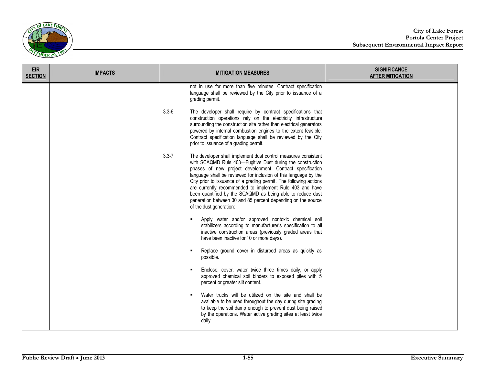

| <b>EIR</b><br><b>SECTION</b> | <b>IMPACTS</b> | <b>MITIGATION MEASURES</b>                                                                                                                                                                                                                                                                                                                                                                                                                                                                                                                                           | <b>SIGNIFICANCE</b><br><b>AFTER MITIGATION</b> |
|------------------------------|----------------|----------------------------------------------------------------------------------------------------------------------------------------------------------------------------------------------------------------------------------------------------------------------------------------------------------------------------------------------------------------------------------------------------------------------------------------------------------------------------------------------------------------------------------------------------------------------|------------------------------------------------|
|                              |                | not in use for more than five minutes. Contract specification<br>language shall be reviewed by the City prior to issuance of a<br>grading permit.                                                                                                                                                                                                                                                                                                                                                                                                                    |                                                |
|                              |                | $3.3 - 6$<br>The developer shall require by contract specifications that<br>construction operations rely on the electricity infrastructure<br>surrounding the construction site rather than electrical generators<br>powered by internal combustion engines to the extent feasible.<br>Contract specification language shall be reviewed by the City<br>prior to issuance of a grading permit.                                                                                                                                                                       |                                                |
|                              |                | $3.3 - 7$<br>The developer shall implement dust control measures consistent<br>with SCAQMD Rule 403-Fugitive Dust during the construction<br>phases of new project development. Contract specification<br>language shall be reviewed for inclusion of this language by the<br>City prior to issuance of a grading permit. The following actions<br>are currently recommended to implement Rule 403 and have<br>been quantified by the SCAQMD as being able to reduce dust<br>generation between 30 and 85 percent depending on the source<br>of the dust generation: |                                                |
|                              |                | Apply water and/or approved nontoxic chemical soil<br>stabilizers according to manufacturer's specification to all<br>inactive construction areas (previously graded areas that<br>have been inactive for 10 or more days).                                                                                                                                                                                                                                                                                                                                          |                                                |
|                              |                | Replace ground cover in disturbed areas as quickly as<br>possible.                                                                                                                                                                                                                                                                                                                                                                                                                                                                                                   |                                                |
|                              |                | Enclose, cover, water twice three times daily, or apply<br>approved chemical soil binders to exposed piles with 5<br>percent or greater silt content.                                                                                                                                                                                                                                                                                                                                                                                                                |                                                |
|                              |                | Water trucks will be utilized on the site and shall be<br>available to be used throughout the day during site grading<br>to keep the soil damp enough to prevent dust being raised<br>by the operations. Water active grading sites at least twice<br>daily.                                                                                                                                                                                                                                                                                                         |                                                |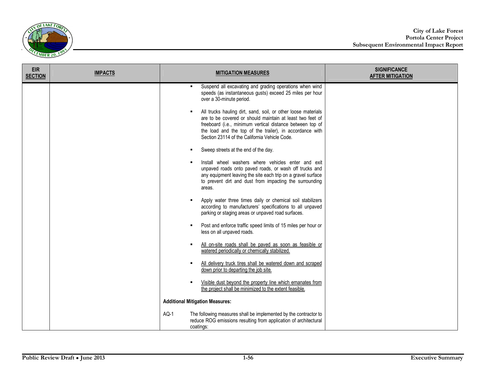

| <b>EIR</b><br><b>SECTION</b> | <b>IMPACTS</b> | <b>MITIGATION MEASURES</b>                                                                                                                                                                                                                                                                                                                                                                                                                                                                                                                                                                                                                                                                                                                            | <b>SIGNIFICANCE</b><br><b>AFTER MITIGATION</b> |
|------------------------------|----------------|-------------------------------------------------------------------------------------------------------------------------------------------------------------------------------------------------------------------------------------------------------------------------------------------------------------------------------------------------------------------------------------------------------------------------------------------------------------------------------------------------------------------------------------------------------------------------------------------------------------------------------------------------------------------------------------------------------------------------------------------------------|------------------------------------------------|
|                              |                | Suspend all excavating and grading operations when wind<br>speeds (as instantaneous gusts) exceed 25 miles per hour<br>over a 30-minute period.<br>All trucks hauling dirt, sand, soil, or other loose materials<br>are to be covered or should maintain at least two feet of<br>freeboard (i.e., minimum vertical distance between top of<br>the load and the top of the trailer), in accordance with<br>Section 23114 of the California Vehicle Code.<br>Sweep streets at the end of the day.<br>Install wheel washers where vehicles enter and exit<br>unpaved roads onto paved roads, or wash off trucks and<br>any equipment leaving the site each trip on a gravel surface<br>to prevent dirt and dust from impacting the surrounding<br>areas. |                                                |
|                              |                | Apply water three times daily or chemical soil stabilizers<br>according to manufacturers' specifications to all unpaved<br>parking or staging areas or unpaved road surfaces.<br>Post and enforce traffic speed limits of 15 miles per hour or                                                                                                                                                                                                                                                                                                                                                                                                                                                                                                        |                                                |
|                              |                | less on all unpaved roads.<br>All on-site roads shall be paved as soon as feasible or<br>watered periodically or chemically stabilized.                                                                                                                                                                                                                                                                                                                                                                                                                                                                                                                                                                                                               |                                                |
|                              |                | All delivery truck tires shall be watered down and scraped<br>down prior to departing the job site.                                                                                                                                                                                                                                                                                                                                                                                                                                                                                                                                                                                                                                                   |                                                |
|                              |                | Visible dust beyond the property line which emanates from<br>the project shall be minimized to the extent feasible.                                                                                                                                                                                                                                                                                                                                                                                                                                                                                                                                                                                                                                   |                                                |
|                              |                | <b>Additional Mitigation Measures:</b>                                                                                                                                                                                                                                                                                                                                                                                                                                                                                                                                                                                                                                                                                                                |                                                |
|                              |                | $AQ-1$<br>The following measures shall be implemented by the contractor to<br>reduce ROG emissions resulting from application of architectural<br>coatings:                                                                                                                                                                                                                                                                                                                                                                                                                                                                                                                                                                                           |                                                |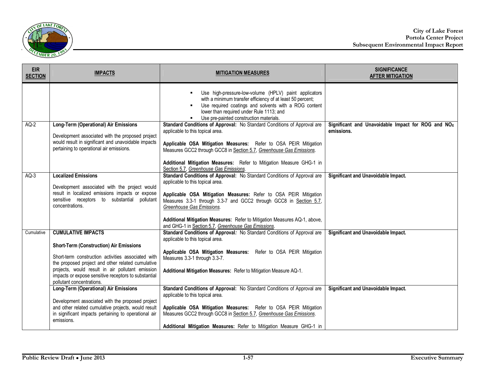

| <b>EIR</b><br><b>SECTION</b> | <b>IMPACTS</b>                                                                                                                                                                                                                                                                                                                                                                                                                                                                                                                                     | <b>MITIGATION MEASURES</b>                                                                                                                                                                                                                                                                                                                                                                                                                                                                                                                       | <b>SIGNIFICANCE</b><br><b>AFTER MITIGATION</b>                               |
|------------------------------|----------------------------------------------------------------------------------------------------------------------------------------------------------------------------------------------------------------------------------------------------------------------------------------------------------------------------------------------------------------------------------------------------------------------------------------------------------------------------------------------------------------------------------------------------|--------------------------------------------------------------------------------------------------------------------------------------------------------------------------------------------------------------------------------------------------------------------------------------------------------------------------------------------------------------------------------------------------------------------------------------------------------------------------------------------------------------------------------------------------|------------------------------------------------------------------------------|
|                              |                                                                                                                                                                                                                                                                                                                                                                                                                                                                                                                                                    | Use high-pressure-low-volume (HPLV) paint applicators<br>with a minimum transfer efficiency of at least 50 percent;<br>Use required coatings and solvents with a ROG content<br>lower than required under Rule 1113; and<br>Use pre-painted construction materials.                                                                                                                                                                                                                                                                              |                                                                              |
| $AG-2$                       | <b>Long-Term (Operational) Air Emissions</b><br>Development associated with the proposed project<br>would result in significant and unavoidable impacts<br>pertaining to operational air emissions.                                                                                                                                                                                                                                                                                                                                                | Standard Conditions of Approval: No Standard Conditions of Approval are<br>applicable to this topical area.<br>Applicable OSA Mitigation Measures: Refer to OSA PEIR Mitigation<br>Measures GCC2 through GCC8 in Section 5.7, Greenhouse Gas Emissions.<br>Additional Mitigation Measures: Refer to Mitigation Measure GHG-1 in<br>Section 5.7, Greenhouse Gas Emissions.                                                                                                                                                                        | Significant and Unavoidable Impact for ROG and NO <sub>x</sub><br>emissions. |
| $AQ-3$                       | <b>Localized Emissions</b><br>Development associated with the project would<br>result in localized emissions impacts or expose<br>sensitive receptors to substantial pollutant<br>concentrations.                                                                                                                                                                                                                                                                                                                                                  | Standard Conditions of Approval: No Standard Conditions of Approval are<br>applicable to this topical area.<br>Applicable OSA Mitigation Measures: Refer to OSA PEIR Mitigation<br>Measures 3.3-1 through 3.3-7 and GCC2 through GCC8 in Section 5.7,<br>Greenhouse Gas Emissions.<br>Additional Mitigation Measures: Refer to Mitigation Measures AQ-1, above,<br>and GHG-1 in Section 5.7, Greenhouse Gas Emissions.                                                                                                                           | Significant and Unavoidable Impact.                                          |
| Cumulative                   | <b>CUMULATIVE IMPACTS</b><br><b>Short-Term (Construction) Air Emissions</b><br>Short-term construction activities associated with<br>the proposed project and other related cumulative<br>projects, would result in air pollutant emission<br>impacts or expose sensitive receptors to substantial<br>pollutant concentrations.<br><b>Long-Term (Operational) Air Emissions</b><br>Development associated with the proposed project<br>and other related cumulative projects, would result<br>in significant impacts pertaining to operational air | Standard Conditions of Approval: No Standard Conditions of Approval are<br>applicable to this topical area.<br>Applicable OSA Mitigation Measures: Refer to OSA PEIR Mitigation<br>Measures 3.3-1 through 3.3-7.<br>Additional Mitigation Measures: Refer to Mitigation Measure AQ-1.<br>Standard Conditions of Approval: No Standard Conditions of Approval are<br>applicable to this topical area.<br>Applicable OSA Mitigation Measures: Refer to OSA PEIR Mitigation<br>Measures GCC2 through GCC8 in Section 5.7, Greenhouse Gas Emissions. | Significant and Unavoidable Impact.<br>Significant and Unavoidable Impact.   |
|                              | emissions.                                                                                                                                                                                                                                                                                                                                                                                                                                                                                                                                         | Additional Mitigation Measures: Refer to Mitigation Measure GHG-1 in                                                                                                                                                                                                                                                                                                                                                                                                                                                                             |                                                                              |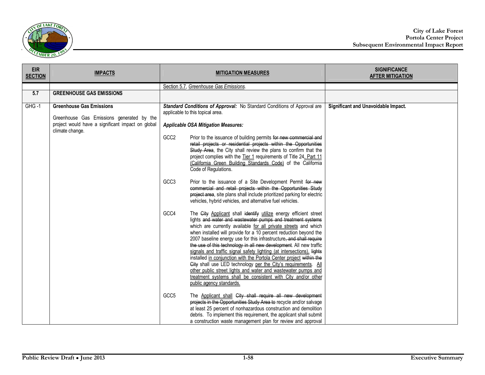

| <b>EIR</b><br><b>SECTION</b>                                  | <b>IMPACTS</b>                                                                                 | <b>MITIGATION MEASURES</b>                                                                                                                                                                                                                                                                                                                                                                                                                                                                                                                                                                                                                                                                                                                                                                                                                                                                                                                                                                                                                                                                                                                                                                                                                                                                                                                                                                                                                                                                                                                                                                                                                                                                                                                                                                                                                                                                                                                                                                                            | <b>SIGNIFICANCE</b><br><b>AFTER MITIGATION</b> |
|---------------------------------------------------------------|------------------------------------------------------------------------------------------------|-----------------------------------------------------------------------------------------------------------------------------------------------------------------------------------------------------------------------------------------------------------------------------------------------------------------------------------------------------------------------------------------------------------------------------------------------------------------------------------------------------------------------------------------------------------------------------------------------------------------------------------------------------------------------------------------------------------------------------------------------------------------------------------------------------------------------------------------------------------------------------------------------------------------------------------------------------------------------------------------------------------------------------------------------------------------------------------------------------------------------------------------------------------------------------------------------------------------------------------------------------------------------------------------------------------------------------------------------------------------------------------------------------------------------------------------------------------------------------------------------------------------------------------------------------------------------------------------------------------------------------------------------------------------------------------------------------------------------------------------------------------------------------------------------------------------------------------------------------------------------------------------------------------------------------------------------------------------------------------------------------------------------|------------------------------------------------|
|                                                               |                                                                                                | Section 5.7, Greenhouse Gas Emissions.                                                                                                                                                                                                                                                                                                                                                                                                                                                                                                                                                                                                                                                                                                                                                                                                                                                                                                                                                                                                                                                                                                                                                                                                                                                                                                                                                                                                                                                                                                                                                                                                                                                                                                                                                                                                                                                                                                                                                                                |                                                |
| 5.7<br><b>GREENHOUSE GAS EMISSIONS</b>                        |                                                                                                |                                                                                                                                                                                                                                                                                                                                                                                                                                                                                                                                                                                                                                                                                                                                                                                                                                                                                                                                                                                                                                                                                                                                                                                                                                                                                                                                                                                                                                                                                                                                                                                                                                                                                                                                                                                                                                                                                                                                                                                                                       |                                                |
| $GHG-1$<br><b>Greenhouse Gas Emissions</b><br>climate change. | Greenhouse Gas Emissions generated by the<br>project would have a significant impact on global | Standard Conditions of Approval: No Standard Conditions of Approval are<br>applicable to this topical area.<br><b>Applicable OSA Mitigation Measures:</b><br>GCC <sub>2</sub><br>Prior to the issuance of building permits for new commercial and<br>retail projects or residential projects within the Opportunities<br>Study Area, the City shall review the plans to confirm that the<br>project complies with the Tier 1 requirements of Title 24, Part 11<br>(California Green Building Standards Code) of the California<br>Code of Regulations.<br>GCC3<br>Prior to the issuance of a Site Development Permit for new<br>commercial and retail projects within the Opportunities Study<br>project area, site plans shall include prioritized parking for electric<br>vehicles, hybrid vehicles, and alternative fuel vehicles.<br>GCC4<br>The City Applicant shall identify utilize energy efficient street<br>lights and water and wastewater pumps and treatment systems<br>which are currently available for all private streets and which<br>when installed will provide for a 10 percent reduction beyond the<br>2007 baseline energy use for this infrastructure, and shall require<br>the use of this technology in all new development. All new traffic<br>signals and traffic signal safety lighting (at intersections). lights<br>installed in conjunction with the Portola Center project within the<br>City shall use LED technology per the City's requirements. All<br>other public street lights and water and wastewater pumps and<br>treatment systems shall be consistent with City and/or other<br>public agency standards.<br>GCC <sub>5</sub><br>The Applicant shall City shall require all new development<br>projects in the Opportunities Study Area to recycle and/or salvage<br>at least 25 percent of nonhazardous construction and demolition<br>debris. To implement this requirement, the applicant shall submit<br>a construction waste management plan for review and approval | Significant and Unavoidable Impact.            |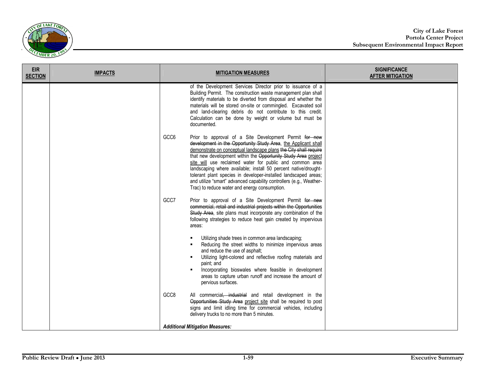

| <b>EIR</b><br><b>SECTION</b> | <b>IMPACTS</b> | <b>MITIGATION MEASURES</b>                                                                                                                                                                                                                                                                                                                                                                                                                                                                                                                                                                       | <b>SIGNIFICANCE</b><br><b>AFTER MITIGATION</b> |
|------------------------------|----------------|--------------------------------------------------------------------------------------------------------------------------------------------------------------------------------------------------------------------------------------------------------------------------------------------------------------------------------------------------------------------------------------------------------------------------------------------------------------------------------------------------------------------------------------------------------------------------------------------------|------------------------------------------------|
|                              |                | of the Development Services Director prior to issuance of a<br>Building Permit. The construction waste management plan shall<br>identify materials to be diverted from disposal and whether the<br>materials will be stored on-site or commingled. Excavated soil<br>and land-clearing debris do not contribute to this credit.<br>Calculation can be done by weight or volume but must be<br>documented.                                                                                                                                                                                        |                                                |
|                              |                | GCC6<br>Prior to approval of a Site Development Permit for new<br>development in the Opportunity Study Area, the Applicant shall<br>demonstrate on conceptual landscape plans the City shall require<br>that new development within the Opportunity Study Area project<br>site will use reclaimed water for public and common area<br>landscaping where available; install 50 percent native/drought-<br>tolerant plant species in developer-installed landscaped areas;<br>and utilize "smart" advanced capability controllers (e.g., Weather-<br>Trac) to reduce water and energy consumption. |                                                |
|                              |                | GCC7<br>Prior to approval of a Site Development Permit for new<br>commercial, retail and industrial projects within the Opportunities<br>Study Area, site plans must incorporate any combination of the<br>following strategies to reduce heat gain created by impervious<br>areas:                                                                                                                                                                                                                                                                                                              |                                                |
|                              |                | Utilizing shade trees in common area landscaping;<br>Reducing the street widths to minimize impervious areas<br>and reduce the use of asphalt;<br>Utilizing light-colored and reflective roofing materials and<br>paint; and<br>Incorporating bioswales where feasible in development<br>areas to capture urban runoff and increase the amount of<br>pervious surfaces.                                                                                                                                                                                                                          |                                                |
|                              |                | GCC8<br>All commercial, industrial and retail development in the<br>Opportunities Study Area project site shall be required to post<br>signs and limit idling time for commercial vehicles, including<br>delivery trucks to no more than 5 minutes.                                                                                                                                                                                                                                                                                                                                              |                                                |
|                              |                | <b>Additional Mitigation Measures:</b>                                                                                                                                                                                                                                                                                                                                                                                                                                                                                                                                                           |                                                |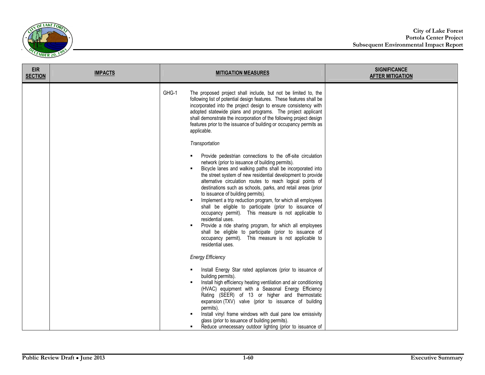

| <b>EIR</b><br><b>SECTION</b> | <b>IMPACTS</b> | <b>MITIGATION MEASURES</b>                                                                                                                                                                                                                                                                                                                                                                                                                                                                                                                                                                                                                                                                                                                                                                                                                                                                                                                                                                                                                                                                                                                                                                                                                                                                                                                                                                                                                                                                                                                                                                                                                                                                                             | <b>SIGNIFICANCE</b><br><b>AFTER MITIGATION</b> |
|------------------------------|----------------|------------------------------------------------------------------------------------------------------------------------------------------------------------------------------------------------------------------------------------------------------------------------------------------------------------------------------------------------------------------------------------------------------------------------------------------------------------------------------------------------------------------------------------------------------------------------------------------------------------------------------------------------------------------------------------------------------------------------------------------------------------------------------------------------------------------------------------------------------------------------------------------------------------------------------------------------------------------------------------------------------------------------------------------------------------------------------------------------------------------------------------------------------------------------------------------------------------------------------------------------------------------------------------------------------------------------------------------------------------------------------------------------------------------------------------------------------------------------------------------------------------------------------------------------------------------------------------------------------------------------------------------------------------------------------------------------------------------------|------------------------------------------------|
|                              |                | GHG-1<br>The proposed project shall include, but not be limited to, the<br>following list of potential design features. These features shall be<br>incorporated into the project design to ensure consistency with<br>adopted statewide plans and programs. The project applicant<br>shall demonstrate the incorporation of the following project design<br>features prior to the issuance of building or occupancy permits as<br>applicable.<br>Transportation<br>Provide pedestrian connections to the off-site circulation<br>network (prior to issuance of building permits).<br>Bicycle lanes and walking paths shall be incorporated into<br>the street system of new residential development to provide<br>alternative circulation routes to reach logical points of<br>destinations such as schools, parks, and retail areas (prior<br>to issuance of building permits).<br>Implement a trip reduction program, for which all employees<br>shall be eligible to participate (prior to issuance of<br>occupancy permit). This measure is not applicable to<br>residential uses.<br>Provide a ride sharing program, for which all employees<br>shall be eligible to participate (prior to issuance of<br>occupancy permit). This measure is not applicable to<br>residential uses.<br><b>Energy Efficiency</b><br>Install Energy Star rated appliances (prior to issuance of<br>building permits).<br>Install high efficiency heating ventilation and air conditioning<br>(HVAC) equipment with a Seasonal Energy Efficiency<br>Rating (SEER) of 13 or higher and thermostatic<br>expansion (TXV) valve (prior to issuance of building<br>permits).<br>Install vinyl frame windows with dual pane low emissivity |                                                |
|                              |                | glass (prior to issuance of building permits).<br>Reduce unnecessary outdoor lighting (prior to issuance of                                                                                                                                                                                                                                                                                                                                                                                                                                                                                                                                                                                                                                                                                                                                                                                                                                                                                                                                                                                                                                                                                                                                                                                                                                                                                                                                                                                                                                                                                                                                                                                                            |                                                |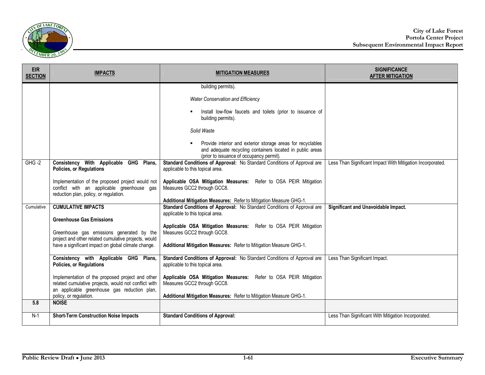

| <b>EIR</b><br><b>SECTION</b> | <b>IMPACTS</b>                                                                                                                           | <b>MITIGATION MEASURES</b>                                                                                                                                            | <b>SIGNIFICANCE</b><br><b>AFTER MITIGATION</b>             |
|------------------------------|------------------------------------------------------------------------------------------------------------------------------------------|-----------------------------------------------------------------------------------------------------------------------------------------------------------------------|------------------------------------------------------------|
|                              |                                                                                                                                          | building permits).                                                                                                                                                    |                                                            |
|                              |                                                                                                                                          | <b>Water Conservation and Efficiency</b>                                                                                                                              |                                                            |
|                              |                                                                                                                                          | Install low-flow faucets and toilets (prior to issuance of<br>building permits).                                                                                      |                                                            |
|                              |                                                                                                                                          | Solid Waste                                                                                                                                                           |                                                            |
|                              |                                                                                                                                          | Provide interior and exterior storage areas for recyclables<br>and adequate recycling containers located in public areas<br>(prior to issuance of occupancy permit).  |                                                            |
| $GHG-2$                      | Consistency With Applicable GHG Plans,<br><b>Policies, or Regulations</b>                                                                | Standard Conditions of Approval: No Standard Conditions of Approval are<br>applicable to this topical area.                                                           | Less Than Significant Impact With Mitigation Incorporated. |
|                              | Implementation of the proposed project would not<br>conflict with an applicable greenhouse gas<br>reduction plan, policy, or regulation. | Applicable OSA Mitigation Measures: Refer to OSA PEIR Mitigation<br>Measures GCC2 through GCC8.<br>Additional Mitigation Measures: Refer to Mitigation Measure GHG-1. |                                                            |
| Cumulative                   | <b>CUMULATIVE IMPACTS</b>                                                                                                                | Standard Conditions of Approval: No Standard Conditions of Approval are<br>applicable to this topical area.                                                           | Significant and Unavoidable Impact.                        |
|                              | <b>Greenhouse Gas Emissions</b>                                                                                                          | Applicable OSA Mitigation Measures: Refer to OSA PEIR Mitigation                                                                                                      |                                                            |
|                              | Greenhouse gas emissions generated by the<br>project and other related cumulative projects, would                                        | Measures GCC2 through GCC8.                                                                                                                                           |                                                            |
|                              | have a significant impact on global climate change.                                                                                      | Additional Mitigation Measures: Refer to Mitigation Measure GHG-1.                                                                                                    |                                                            |
|                              | Consistency with Applicable GHG Plans,<br><b>Policies, or Regulations</b>                                                                | Standard Conditions of Approval: No Standard Conditions of Approval are<br>applicable to this topical area.                                                           | Less Than Significant Impact.                              |
|                              | Implementation of the proposed project and other<br>related cumulative projects, would not conflict with                                 | Applicable OSA Mitigation Measures: Refer to OSA PEIR Mitigation<br>Measures GCC2 through GCC8.                                                                       |                                                            |
|                              | an applicable greenhouse gas reduction plan,<br>policy, or regulation.                                                                   | Additional Mitigation Measures: Refer to Mitigation Measure GHG-1.                                                                                                    |                                                            |
| 5.8                          | <b>NOISE</b>                                                                                                                             |                                                                                                                                                                       |                                                            |
| $N-1$                        | <b>Short-Term Construction Noise Impacts</b>                                                                                             | <b>Standard Conditions of Approval:</b>                                                                                                                               | Less Than Significant With Mitigation Incorporated.        |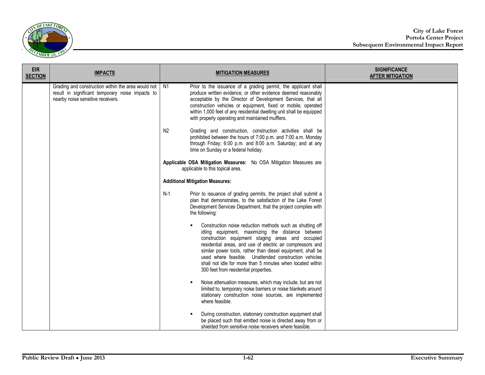

| <b>EIR</b><br><b>SECTION</b> | <b>IMPACTS</b>                                                                                                                                   | <b>MITIGATION MEASURES</b>                                                                                                                                                                                                                                                                                                                                                                                                                                       | <b>SIGNIFICANCE</b><br><b>AFTER MITIGATION</b> |
|------------------------------|--------------------------------------------------------------------------------------------------------------------------------------------------|------------------------------------------------------------------------------------------------------------------------------------------------------------------------------------------------------------------------------------------------------------------------------------------------------------------------------------------------------------------------------------------------------------------------------------------------------------------|------------------------------------------------|
|                              | Grading and construction within the area would not   N1<br>result in significant temporary noise impacts to<br>nearby noise sensitive receivers. | Prior to the issuance of a grading permit, the applicant shall<br>produce written evidence, or other evidence deemed reasonably<br>acceptable by the Director of Development Services, that all<br>construction vehicles or equipment, fixed or mobile, operated<br>within 1,000 feet of any residential dwelling unit shall be equipped<br>with properly operating and maintained mufflers.                                                                     |                                                |
|                              |                                                                                                                                                  | N <sub>2</sub><br>Grading and construction, construction activities shall be<br>prohibited between the hours of 7:00 p.m. and 7:00 a.m. Monday<br>through Friday; 6:00 p.m. and 8:00 a.m. Saturday; and at any<br>time on Sunday or a federal holiday.                                                                                                                                                                                                           |                                                |
|                              |                                                                                                                                                  | Applicable OSA Mitigation Measures: No OSA Mitigation Measures are<br>applicable to this topical area.                                                                                                                                                                                                                                                                                                                                                           |                                                |
|                              |                                                                                                                                                  | <b>Additional Mitigation Measures:</b>                                                                                                                                                                                                                                                                                                                                                                                                                           |                                                |
|                              |                                                                                                                                                  | $N-1$<br>Prior to issuance of grading permits, the project shall submit a<br>plan that demonstrates, to the satisfaction of the Lake Forest<br>Development Services Department, that the project complies with<br>the following:                                                                                                                                                                                                                                 |                                                |
|                              |                                                                                                                                                  | Construction noise reduction methods such as shutting off<br>idling equipment, maximizing the distance between<br>construction equipment staging areas and occupied<br>residential areas, and use of electric air compressors and<br>similar power tools, rather than diesel equipment, shall be<br>used where feasible. Unattended construction vehicles<br>shall not idle for more than 5 minutes when located within<br>300 feet from residential properties. |                                                |
|                              |                                                                                                                                                  | Noise attenuation measures, which may include, but are not<br>limited to, temporary noise barriers or noise blankets around<br>stationary construction noise sources, are implemented<br>where feasible.                                                                                                                                                                                                                                                         |                                                |
|                              |                                                                                                                                                  | During construction, stationary construction equipment shall<br>be placed such that emitted noise is directed away from or<br>shielded from sensitive noise receivers where feasible.                                                                                                                                                                                                                                                                            |                                                |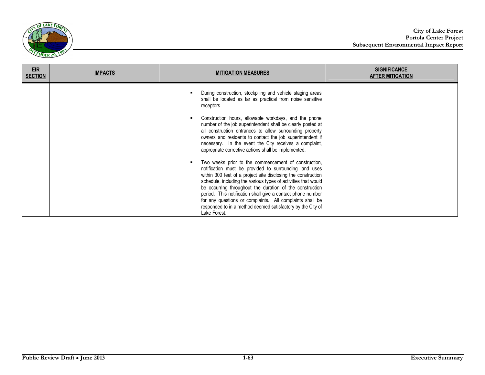

| <b>EIR</b><br><b>SECTION</b> | <b>IMPACTS</b> | <b>MITIGATION MEASURES</b>                                                                                                                                                                                                                                                                                                                                                                                                                                                                                                                                                                                                                                                                                                                                                                                                                                                                                                                                                                                                          | <b>SIGNIFICANCE</b><br><b>AFTER MITIGATION</b> |
|------------------------------|----------------|-------------------------------------------------------------------------------------------------------------------------------------------------------------------------------------------------------------------------------------------------------------------------------------------------------------------------------------------------------------------------------------------------------------------------------------------------------------------------------------------------------------------------------------------------------------------------------------------------------------------------------------------------------------------------------------------------------------------------------------------------------------------------------------------------------------------------------------------------------------------------------------------------------------------------------------------------------------------------------------------------------------------------------------|------------------------------------------------|
|                              |                | During construction, stockpiling and vehicle staging areas<br>shall be located as far as practical from noise sensitive<br>receptors.<br>Construction hours, allowable workdays, and the phone<br>number of the job superintendent shall be clearly posted at<br>all construction entrances to allow surrounding property<br>owners and residents to contact the job superintendent if<br>necessary. In the event the City receives a complaint,<br>appropriate corrective actions shall be implemented.<br>Two weeks prior to the commencement of construction,<br>notification must be provided to surrounding land uses<br>within 300 feet of a project site disclosing the construction<br>schedule, including the various types of activities that would<br>be occurring throughout the duration of the construction<br>period. This notification shall give a contact phone number<br>for any questions or complaints. All complaints shall be<br>responded to in a method deemed satisfactory by the City of<br>Lake Forest. |                                                |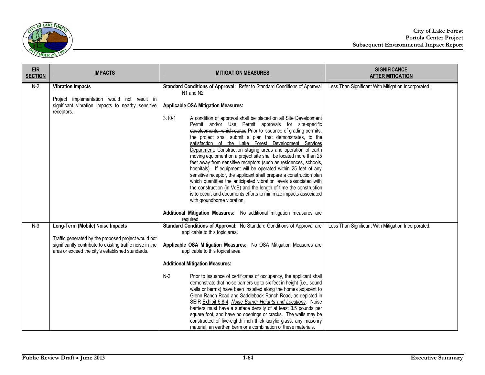

| <b>EIR</b><br><b>SECTION</b> | <b>IMPACTS</b>                                                                                                                                                                                           | <b>MITIGATION MEASURES</b>                                                                                                                                                                                                                                                                                                                                                                                                                                                                                                                                                                                                                                                                                                                                                                                                                                                                                                                                                                                                                                                                                                                                                              | <b>SIGNIFICANCE</b><br><b>AFTER MITIGATION</b>      |
|------------------------------|----------------------------------------------------------------------------------------------------------------------------------------------------------------------------------------------------------|-----------------------------------------------------------------------------------------------------------------------------------------------------------------------------------------------------------------------------------------------------------------------------------------------------------------------------------------------------------------------------------------------------------------------------------------------------------------------------------------------------------------------------------------------------------------------------------------------------------------------------------------------------------------------------------------------------------------------------------------------------------------------------------------------------------------------------------------------------------------------------------------------------------------------------------------------------------------------------------------------------------------------------------------------------------------------------------------------------------------------------------------------------------------------------------------|-----------------------------------------------------|
| $N-2$                        | <b>Vibration Impacts</b><br>Project implementation would not result in<br>significant vibration impacts to nearby sensitive<br>receptors.                                                                | Standard Conditions of Approval: Refer to Standard Conditions of Approval<br>N <sub>1</sub> and N <sub>2</sub> .<br><b>Applicable OSA Mitigation Measures:</b><br>$3.10 - 1$<br>A condition of approval shall be placed on all Site Development<br>Permit and/or Use Permit approvals for site-specific<br>developments, which states Prior to issuance of grading permits.<br>the project shall submit a plan that demonstrates, to the<br>satisfaction of the Lake Forest Development Services<br>Department: Construction staging areas and operation of earth<br>moving equipment on a project site shall be located more than 25<br>feet away from sensitive receptors (such as residences, schools,<br>hospitals). If equipment will be operated within 25 feet of any<br>sensitive receptor, the applicant shall prepare a construction plan<br>which quantifies the anticipated vibration levels associated with<br>the construction (in VdB) and the length of time the construction<br>is to occur, and documents efforts to minimize impacts associated<br>with groundborne vibration.<br>Additional Mitigation Measures: No additional mitigation measures are<br>required. | Less Than Significant With Mitigation Incorporated. |
| $N-3$                        | Long-Term (Mobile) Noise Impacts<br>Traffic generated by the proposed project would not<br>significantly contribute to existing traffic noise in the<br>area or exceed the city's established standards. | Standard Conditions of Approval: No Standard Conditions of Approval are<br>applicable to this topic area.<br>Applicable OSA Mitigation Measures: No OSA Mitigation Measures are<br>applicable to this topical area.<br><b>Additional Mitigation Measures:</b><br>$N-2$<br>Prior to issuance of certificates of occupancy, the applicant shall<br>demonstrate that noise barriers up to six feet in height (i.e., sound<br>walls or berms) have been installed along the homes adjacent to<br>Glenn Ranch Road and Saddleback Ranch Road, as depicted in<br>SEIR Exhibit 5.8-4, Noise Barrier Heights and Locations. Noise<br>barriers must have a surface density of at least 3.5 pounds per<br>square foot, and have no openings or cracks. The walls may be<br>constructed of five-eighth inch thick acrylic glass, any masonry<br>material, an earthen berm or a combination of these materials.                                                                                                                                                                                                                                                                                     | Less Than Significant With Mitigation Incorporated. |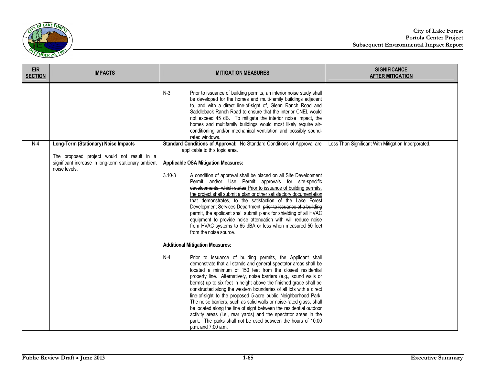

| <b>EIR</b><br><b>SECTION</b> | <b>IMPACTS</b>                                                                                                                                              | <b>MITIGATION MEASURES</b>                                                                                                                                                                                                                                                                                                                                                                                                                                                                                                                                                                                                                                                                                                                                                                                                                                                                                                                                                                                                                                                                                                                                                                                                                                                                                                                                                                                                                                                                                                                                                                                                                               | <b>SIGNIFICANCE</b><br><b>AFTER MITIGATION</b>      |
|------------------------------|-------------------------------------------------------------------------------------------------------------------------------------------------------------|----------------------------------------------------------------------------------------------------------------------------------------------------------------------------------------------------------------------------------------------------------------------------------------------------------------------------------------------------------------------------------------------------------------------------------------------------------------------------------------------------------------------------------------------------------------------------------------------------------------------------------------------------------------------------------------------------------------------------------------------------------------------------------------------------------------------------------------------------------------------------------------------------------------------------------------------------------------------------------------------------------------------------------------------------------------------------------------------------------------------------------------------------------------------------------------------------------------------------------------------------------------------------------------------------------------------------------------------------------------------------------------------------------------------------------------------------------------------------------------------------------------------------------------------------------------------------------------------------------------------------------------------------------|-----------------------------------------------------|
|                              |                                                                                                                                                             | $N-3$<br>Prior to issuance of building permits, an interior noise study shall<br>be developed for the homes and multi-family buildings adjacent<br>to, and with a direct line-of-sight of, Glenn Ranch Road and<br>Saddleback Ranch Road to ensure that the interior CNEL would<br>not exceed 45 dB. To mitigate the interior noise impact, the<br>homes and multifamily buildings would most likely require air-<br>conditioning and/or mechanical ventilation and possibly sound-<br>rated windows.                                                                                                                                                                                                                                                                                                                                                                                                                                                                                                                                                                                                                                                                                                                                                                                                                                                                                                                                                                                                                                                                                                                                                    |                                                     |
| $N-4$                        | Long-Term (Stationary) Noise Impacts<br>The proposed project would not result in a<br>significant increase in long-term stationary ambient<br>noise levels. | Standard Conditions of Approval: No Standard Conditions of Approval are<br>applicable to this topic area.<br><b>Applicable OSA Mitigation Measures:</b><br>$3.10 - 3$<br>A condition of approval shall be placed on all Site Development<br>Permit and/or Use Permit approvals for site-specific<br>developments, which states Prior to issuance of building permits.<br>the project shall submit a plan or other satisfactory documentation<br>that demonstrates, to the satisfaction of the Lake Forest<br>Development Services Department: prior to issuance of a building<br>permit, the applicant shall submit plans for shielding of all HVAC<br>equipment to provide noise attenuation with will reduce noise<br>from HVAC systems to 65 dBA or less when measured 50 feet<br>from the noise source.<br><b>Additional Mitigation Measures:</b><br>$N-4$<br>Prior to issuance of building permits, the Applicant shall<br>demonstrate that all stands and general spectator areas shall be<br>located a minimum of 150 feet from the closest residential<br>property line. Alternatively, noise barriers (e.g., sound walls or<br>berms) up to six feet in height above the finished grade shall be<br>constructed along the western boundaries of all lots with a direct<br>line-of-sight to the proposed 5-acre public Neighborhood Park.<br>The noise barriers, such as solid walls or noise-rated glass, shall<br>be located along the line of sight between the residential outdoor<br>activity areas (i.e., rear yards) and the spectator areas in the<br>park. The parks shall not be used between the hours of 10:00<br>p.m. and 7:00 a.m. | Less Than Significant With Mitigation Incorporated. |